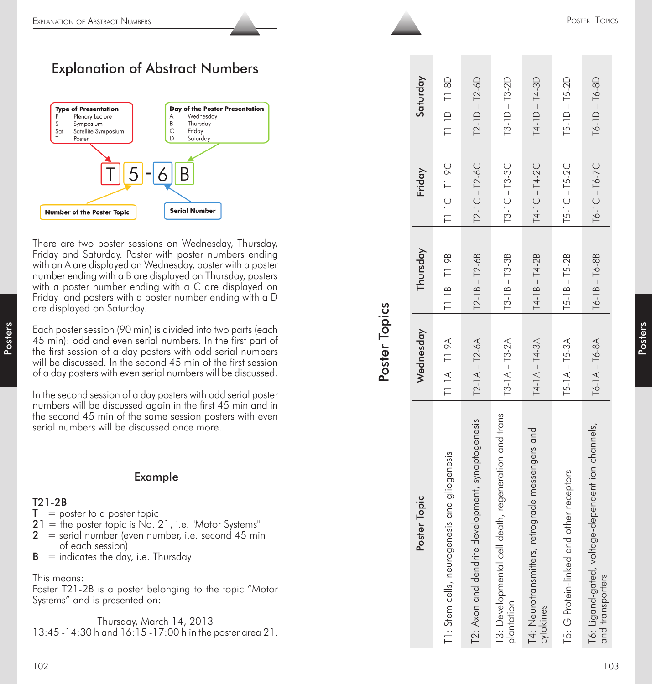# Explanation of Abstract Numbers



# Example

### T21-2B

- $T =$  poster to a poster topic
- $21$  = the poster topic is No. 21, i.e. "Motor Systems"
- $2 =$  serial number (even number, i.e. second 45 min of each session)
- $B =$  indicates the day, i.e. Thursday

### This means:

| Topics |  |
|--------|--|

| Explanation of Abstract Numbers                                                                                                                                                                                                                                                                                                                                                                                                                                                                                                                                                                                                                                                                    |               |                  |                                                                            |                                                   |                                                                     |                                                                   |                                             | POSTER TOPICS                                                         |  |
|----------------------------------------------------------------------------------------------------------------------------------------------------------------------------------------------------------------------------------------------------------------------------------------------------------------------------------------------------------------------------------------------------------------------------------------------------------------------------------------------------------------------------------------------------------------------------------------------------------------------------------------------------------------------------------------------------|---------------|------------------|----------------------------------------------------------------------------|---------------------------------------------------|---------------------------------------------------------------------|-------------------------------------------------------------------|---------------------------------------------|-----------------------------------------------------------------------|--|
|                                                                                                                                                                                                                                                                                                                                                                                                                                                                                                                                                                                                                                                                                                    |               |                  |                                                                            |                                                   |                                                                     |                                                                   |                                             |                                                                       |  |
| <b>Explanation of Abstract Numbers</b><br><b>Type of Presentation</b><br>Day of the Poster Presentation<br>Plenary Lecture<br>Wednesday<br>Α<br>Β<br>Thursday<br>S<br>Symposium<br>C<br>Sat<br>Satellite Symposium<br>Friday<br>Saturday<br>Poster                                                                                                                                                                                                                                                                                                                                                                                                                                                 |               | Saturday         | T1-8D<br>$\perp$<br>$T1-1D$                                                | $-12-6D$<br>$T2-1D$ .                             | $-13 - 2D$<br>$\overline{13-1D}$ .                                  | $-14-3D$<br>$T4-1D$                                               | $5 - 1D - T5 - 2D$                          | $T6-1D - T6-8D$                                                       |  |
| 5<br>B<br>6<br><b>Serial Number</b><br><b>Number of the Poster Topic</b>                                                                                                                                                                                                                                                                                                                                                                                                                                                                                                                                                                                                                           |               | Friday           | <b>1-9C</b><br>$\mathbf{I}% _{0}\left( \mathbf{1}\right)$<br>$\frac{1}{2}$ | $-12-6C$<br>$T2-1C$                               | $13 - 1C - 13 - 3C$                                                 | $14 - 1C - 14 - 2C$                                               | $T5-1C - T5-2C$                             | $T6 - 1C - T6 - 7C$                                                   |  |
| There are two poster sessions on Wednesday, Thursday,<br>Friday and Saturday. Poster with poster numbers ending<br>with an A are displayed on Wednesday, poster with a poster<br>number ending with a B are displayed on Thursday, posters<br>with a poster number ending with a C are displayed on<br>Friday and posters with a poster number ending with a D<br>are displayed on Saturday.                                                                                                                                                                                                                                                                                                       |               | Thursday         | T1-9B<br>$\perp$<br>$\infty$<br>$\frac{1}{1}$                              | $T2-6B$<br>$\perp$<br>$\bf \infty$<br>$T2-11$     | $-13-3B$<br>$T3-1B$                                                 | T4-2B<br>$T4-1B-$                                                 | $T5 - 1B - T5 - 2B$                         | $T6 - 1B - T6 - 8B$                                                   |  |
| Each poster session (90 min) is divided into two parts (each<br>45 min): odd and even serial numbers. In the first part of<br>the first session of a day posters with odd serial numbers<br>will be discussed. In the second 45 min of the first session<br>of a day posters with even serial numbers will be discussed.                                                                                                                                                                                                                                                                                                                                                                           | Poster Topics | Wednesday        | $T1 - 1A - T1 - 9A$                                                        | $-12 - 6A$<br>$T2-1A$                             | $T3 - 1A - T3 - 2A$                                                 | $T4 - 1A - T4 - 3A$                                               | $5 - 1A - T5 - 3A$                          | $T6 - 1A - T6 - 8A$                                                   |  |
| In the second session of a day posters with odd serial poster<br>numbers will be discussed again in the first 45 min and in<br>the second 45 min of the same session posters with even<br>serial numbers will be discussed once more.<br><b>Example</b><br>T21-2B<br>$\mathbf{T} = \text{poster to a posterior}$<br>$21$ = the poster topic is No. 21, i.e. "Motor Systems"<br>= serial number (even number, i.e. second 45 min<br>of each session)<br>$B =$ indicates the day, i.e. Thursday<br>This means:<br>Poster T21-2B is a poster belonging to the topic "Motor<br>Systems" and is presented on:<br>Thursday, March 14, 2013<br>13:45 - 14:30 h and 16:15 - 17:00 h in the poster area 21. |               | er Topic<br>Post | T1: Stem cells, neurogenesis and gliogenesis                               | T2: Axon and dendrite development, synaptogenesis | T3: Developmental cell death, regeneration and trans-<br>plantation | rograde messengers and<br>T4: Neurotransmitters, ret<br>cytokines | other receptors<br>T5: G Protein-linked and | T6: Ligand-gated, voltage-dependent ion channels,<br>and transporters |  |
| 102                                                                                                                                                                                                                                                                                                                                                                                                                                                                                                                                                                                                                                                                                                |               |                  |                                                                            |                                                   |                                                                     |                                                                   |                                             | 103                                                                   |  |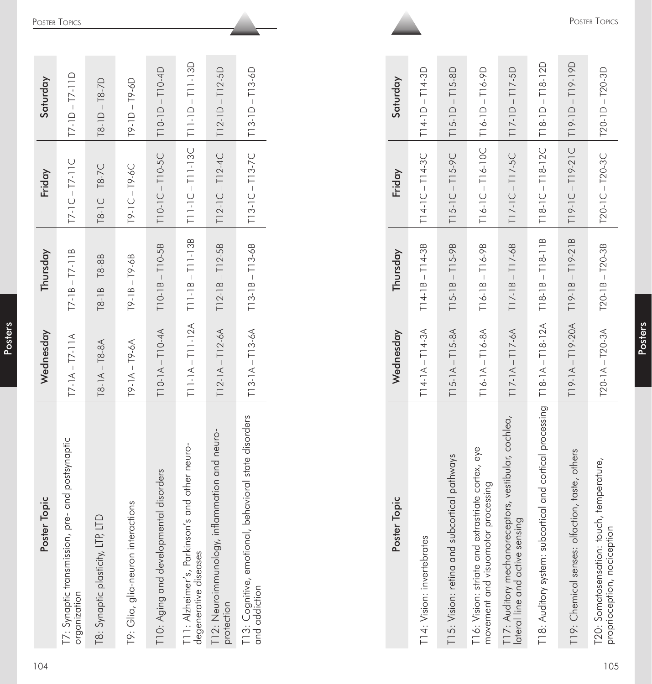| Poster Topic                                                            | Wednesday                                     | Thursday             | Friday                                          | Saturday             |
|-------------------------------------------------------------------------|-----------------------------------------------|----------------------|-------------------------------------------------|----------------------|
| T7: Synaptic transmission, pre- and postsynaptic<br>organization        | $T7 - 1A - T7 - 11A$                          | $T7 - 1B - T7 - 11B$ | $17 - 1C - 17 - 11C$                            | $T7 - 1D - T7 - 11D$ |
| T8: Synaptic plasticity, LTP, LTD                                       | $T8 - 1A - T8 - 8A$                           | $T8 - 1B - T8 - 8B$  | $T8-1C - T8-7C$                                 | $T8 - 1D - T8 - 7D$  |
| T9: Glia, glia-neuron interactions                                      | $T9 - 1A - T9 - 6A$                           | $T9 - 1B - T9 - 6B$  | $19 - 1C - 19 - 6C$                             | $T9 - 1D - T9 - 6D$  |
| T10: Aging and developmental disorders                                  | $T10-1A - T10-4A$                             | $T10-1B - T10-5B$    | $T10-1C - T10-5C$                               | $TI0-1D - T10-4D$    |
| T11: Alzheimer's, Parkinson's and other neuro-<br>degenerative diseases | $T11 - 1A - T11 - 12A$ $T11 - 1B - T11 - 13B$ |                      | $ T11 - C - T11 - 13C $ $ T11 - D - T11 - 13D $ |                      |
| T12: Neuroimmunology, inflammation and neuro-<br>protection             | $T12-1A - T12-6A$ $T12-1B - T12-5B$           |                      | $T12-1C-T12-4C$ $T12-1D-T12-5D$                 |                      |
| T13: Cognitive, emotional, behavioral state disorders<br>and addiction  | $T13-1A - T13-6A$ $T13-1B - T13-6B$           |                      | $T13-1C-T13-7C$ $T13-1D-T13-6D$                 |                      |

| 104 | er Topic<br>Post                                                                        | Wednesday              | Thursday                      | Friday                 | Saturday               |                      |
|-----|-----------------------------------------------------------------------------------------|------------------------|-------------------------------|------------------------|------------------------|----------------------|
|     | pre- and postsynaptic<br>T7: Synaptic transmission,<br>organization                     | $T7 - 1A - T7 - 11A$   | $T7 - 1B - T7 - 11B$          | $T7 - 1C - T7 - 11C$   | $T7-1D-T7-11D$         | POSTER TOPICS        |
|     | ED<br>T8: Synaptic plasticity, LTP,                                                     | $18 - 1A - 18 - 8A$    | $-18-8B$<br>T8-1B             | $T8 - 1C - T8 - 7C$    | $T8 - 1D - T8 - 7D$    |                      |
|     | T9: Glia, glia-neuron interactions                                                      | $19 - 1A - 19 - 6A$    | $T9 - 1B - T9 - 6B$           | $19 - 1C - 19 - 6C$    | $19 - 10 - 19 - 60$    |                      |
|     | T10: Aging and developmental disorders                                                  | $T10-1A - T10-4A$      | T10-1B-T10-5B                 | $T10-1C - T10-5C$      | $T10-1D - T10-4D$      |                      |
|     | T11: Alzheimer's, Parkinson's and other neuro-<br>degenerative diseases                 | $T11-1A - T11-12A$     | $T11 - 18 - T11 - 138$        | $T11 - 1C - T11 - 13C$ | $T11-1D-T11-13D$       |                      |
|     | nflammation and neuro-<br>T12: Neuroimmunology, i<br>protection                         | $T12-1A - T12-6A$      | $T12-1B - T12-5B$             | $T12-1C - T12-4C$      | $T12-1D - T12-5D$      |                      |
|     | T13: Cognitive, emotional, behavioral state disorders<br>and addiction                  | $T13-1A - T13-6A$      | $T13-1B - T13-6B$             | $T13 - 1C - T13 - 7C$  | $T13-1D - T13-6D$      |                      |
|     |                                                                                         |                        |                               |                        |                        |                      |
|     | Poster Topic                                                                            | Wednesday              | Thursday                      | Friday                 | Saturday               |                      |
|     | T14: Vision: invertebrates                                                              | $T14-1A - T14-3A$      | $T14-1B - T14-3B$             | $T14 - 1C - T14 - 3C$  | $T14-1D - T14-3D$      |                      |
|     | T15: Vision: retina and subcortical pathways                                            | $T15-1A - T15-8A$      | T15-9B<br>$\perp$<br>$T15-1B$ | $T15 - 1C - T15 - 9C$  | T15-8D<br>$T15-1D-$    |                      |
|     | T16: Vision: striate and extrastriate cortex, eye<br>movement and visuomotor processing | $T16-1A - T16-8A$      | $T16 - 1B - T16 - 9B$         | $T16 - 1C - T16 - 10C$ | $T16-1D - T16-9D$      |                      |
|     | T17: Auditory mechanoreceptors, vestibular, cochlea,<br>lateral line and active sensing | $T17 - 1A - T17 - 6A$  | $T17-1B - T17-6B$             | $T17-1C - T17-5C$      | $T17-1D - T17-5D$      |                      |
|     | T18: Auditory system: subcortical and cortical processing                               | $T18 - 1A - T18 - 12A$ | $T18 - 1B - T18 - 11B$        | $T18 - 1C - T18 - 12C$ | $T18 - 1D - T18 - 12D$ |                      |
|     | T19: Chemical senses: olfaction, taste, others                                          | $T19 - 1A - T19 - 20A$ | $T19-18 - T19-218$            | $T19 - 1C - T19 - 21C$ | $T19 - T19 - T190$     |                      |
| 105 | T20: Somatosensation: touch, temperature,<br>proprioception, nociception                | $T20-1A - T20-3A$      | $T20-1B - T20-3B$             | T20-1C-T20-3C          | T20-1D-T20-3D          | <b>POSTER TOPICS</b> |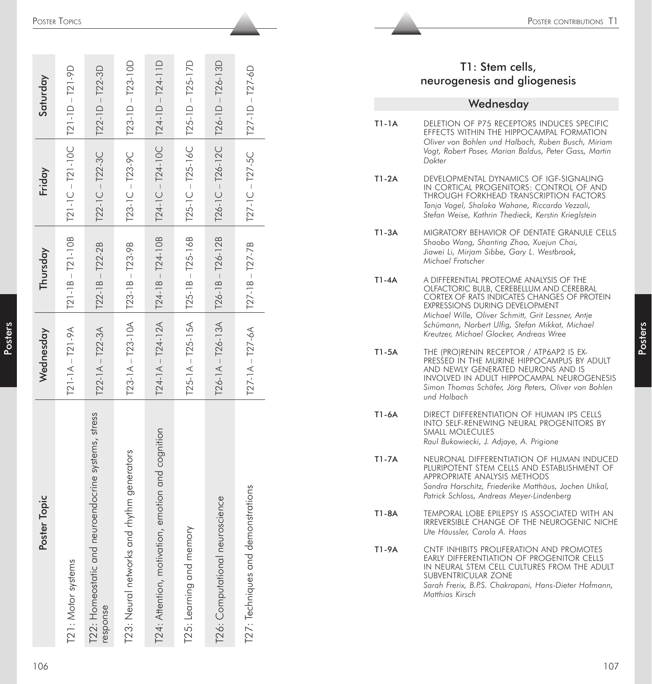|           | POSTER TOPICS                       |                                     |                          |                             |                          |                            |                                    |           | POSTER CONTRIBUTIONS T1                                                                                                                                                                                                                 |
|-----------|-------------------------------------|-------------------------------------|--------------------------|-----------------------------|--------------------------|----------------------------|------------------------------------|-----------|-----------------------------------------------------------------------------------------------------------------------------------------------------------------------------------------------------------------------------------------|
|           |                                     |                                     |                          |                             |                          |                            |                                    |           |                                                                                                                                                                                                                                         |
| Saturday  | $-721-9D$                           | $-122-3D$                           | $-723-10D$               | $-124-11D$                  | $-125-17D$               | $-126-13D$                 | $T27 - 1D - T27 - 6D$              |           | T1: Stem cells,<br>neurogenesis and gliogenesis                                                                                                                                                                                         |
|           |                                     |                                     |                          |                             |                          |                            |                                    |           | Wednesday                                                                                                                                                                                                                               |
|           | $T21-1D$<br>$-721-10C$              | $T22-1D$<br>$-122-3C$               | T23-1D<br>$-123-9C$      | $T24-1D$                    | $T25-1D$<br>$-725-16C$   | T26-1D<br>$-126-12C$       |                                    | $T1-1A$   | DELETION OF P75 RECEPTORS INDUCES SPECIFIC<br>EFFECTS WITHIN THE HIPPOCAMPAL FORMATION<br>Oliver von Bohlen und Halbach, Ruben Busch, Miriam<br>Vogt, Robert Poser, Marian Baldus, Peter Gass, Martin<br>Dokter                         |
| Friday    | $121-1C$                            | $T22-1C$                            | $T23-1C$                 | $T24 - 1C - T24 - 10C$      | $T25-1C$                 | $T26-1C$                   | $T27 - 1C - T27 - 5C$              | $T1-2A$   | DEVELOPMENTAL DYNAMICS OF IGF-SIGNALING<br>IN CORTICAL PROGENITORS: CONTROL OF AND<br>THROUGH FORKHEAD TRANSCRIPTION FACTORS<br>Tanja Vogel, Shalaka Wahane, Riccardo Vezzali,<br>Stefan Weise, Kathrin Thedieck, Kerstin Krieglstein   |
| Thursday  | T21-10B<br>$\overline{\phantom{a}}$ | T22-2B<br>$\perp$                   | T23-9B<br>$\mathbb{I}$   | T24-10B                     | T25-16B<br>$\mathbb T$   | T26-12B<br>$\perp$         |                                    | $T1-3A$   | MIGRATORY BEHAVIOR OF DENTATE GRANULE CELLS<br>Shaobo Wang, Shanting Zhao, Xuejun Chai,<br>Jiawei Li, Mirjam Sibbe, Gary L. Westbrook,<br>Michael Frotscher                                                                             |
|           | $T21-1B$                            | $\bf \infty$<br>$T22 - 1$           | T23-1B                   | $T24-1B -$                  | T25-1B                   | T26-1B                     | $T27 - 1B - T27 - 7B$              | $T1 - 4A$ | A DIFFERENTIAL PROTEOME ANALYSIS OF THE<br>OLFACTORIC BULB, CEREBELLUM AND CEREBRAL<br>CORTEX OF RATS INDICATES CHANGES OF PROTEIN<br><b>EXPRESSIONS DURING DEVELOPMENT</b><br>Michael Wille, Oliver Schmitt, Grit Lessner, Antje       |
| Wednesday | $-121 - 9A$                         | $-122 - 3A$                         | $T23 - 1A - T23 - 10A$   | $T24 - 1A - T24 - 12A$      | $T25-1A - T25-15A$       | $T26 - 1A - T26 - 13A$     |                                    | $T1-5A$   | Schümann, Norbert Ulfig, Stefan Mikkat, Michael<br>Kreutzer, Michael Glocker, Andreas Wree<br>THE (PRO)RENIN RECEPTOR / ATP6AP2 IS EX-                                                                                                  |
|           | $T21-1A$                            | $T22-1A$                            |                          |                             |                          |                            | $T27 - 1A - T27 - 6A$              |           | PRESSED IN THE MURINE HIPPOCAMPUS BY ADULT<br>AND NEWLY GENERATED NEURONS AND IS<br>INVOLVED IN ADULT HIPPOCAMPAL NEUROGENESIS<br>Simon Thomas Schäfer, Jörg Peters, Oliver von Bohlen<br>und Halbach                                   |
|           |                                     |                                     |                          |                             |                          |                            |                                    | T1-6A     | DIRECT DIFFERENTIATION OF HUMAN IPS CELLS<br>INTO SELF-RENEWING NEURAL PROGENITORS BY<br>SMALL MOLECULES<br>Raul Bukowiecki, J. Adjaye, A. Prigione                                                                                     |
|           |                                     | uroendocrine systems, stress        | rhythm generators        | emotion and cognition       |                          |                            |                                    | T1-7A     | NEURONAL DIFFERENTIATION OF HUMAN INDUCED<br>PLURIPOTENT STEM CELLS AND ESTABLISHMENT OF<br>APPROPRIATE ANALYSIS METHODS<br>Sandra Horschitz, Friederike Matthäus, Jochen Utikal,<br>Patrick Schloss, Andreas Meyer-Lindenberg          |
| ter Topic |                                     |                                     |                          |                             |                          | oscience                   |                                    | T1-8A     | TEMPORAL LOBE EPILEPSY IS ASSOCIATED WITH AN<br>IRREVERSIBLE CHANGE OF THE NEUROGENIC NICHE<br>Ute Häussler, Carola A. Haas                                                                                                             |
| Post      | T21: Motor systems                  | T22: Homeostatic and ne<br>response | T23: Neural networks and | T24: Attention, motivation, | T25: Learning and memory | Computational neur<br>T26: | T27: Techniques and demonstrations | T1-9A     | CNTF INHIBITS PROLIFERATION AND PROMOTES<br>EARLY DIFFERENTIATION OF PROGENITOR CELLS<br>IN NEURAL STEM CELL CULTURES FROM THE ADULT<br>SUBVENTRICULAR ZONE<br>Sarah Frerix, B.P.S. Chakrapani, Hans-Dieter Hofmann,<br>Matthias Kirsch |
| 106       |                                     |                                     |                          |                             |                          |                            |                                    |           | 107                                                                                                                                                                                                                                     |

# T1: Stem cells, neurogenesis and gliogenesis

#### **Wednesday** T1-1A DELETION OF P75 RECEPTORS INDUCES SPECIFIC EFFECTS WITHIN THE HIPPOCAMPAL FORMATION *Oliver von Bohlen und Halbach, Ruben Busch, Miriam Vogt, Robert Poser, Marian Baldus, Peter Gass, Martin Dokter* T1-2A DEVELOPMENTAL DYNAMICS OF IGF-SIGNALING IN CORTICAL PROGENITORS: CONTROL OF AND THROUGH FORKHEAD TRANSCRIPTION FACTORS *Tanja Vogel, Shalaka Wahane, Riccardo Vezzali, Stefan Weise, Kathrin Thedieck, Kerstin Krieglstein* T1-3A MIGRATORY BEHAVIOR OF DENTATE GRANULE CELLS *Shaobo Wang, Shanting Zhao, Xuejun Chai, Jiawei Li, Mirjam Sibbe, Gary L. Westbrook, Michael Frotscher* T1-4A A DIFFERENTIAL PROTEOME ANALYSIS OF THE OLFACTORIC BULB, CEREBELLUM AND CEREBRAL CORTEX OF RATS INDICATES CHANGES OF PROTEIN EXPRESSIONS DURING DEVELOPMENT *Michael Wille, Oliver Schmitt, Grit Lessner, Antje Schümann, Norbert Ulfig, Stefan Mikkat, Michael Kreutzer, Michael Glocker, Andreas Wree* T1-5A THE (PRO)RENIN RECEPTOR / ATP6AP2 IS EX-PRESSED IN THE MURINE HIPPOCAMPUS BY ADULT AND NEWLY GENERATED NEURONS AND IS INVOLVED IN ADULT HIPPOCAMPAL NEUROGENESIS *Simon Thomas Schäfer, Jörg Peters, Oliver von Bohlen und Halbach* T1-6A DIRECT DIFFERENTIATION OF HUMAN IPS CELLS INTO SELF-RENEWING NEURAL PROGENITORS BY SMALL MOLECULES *Raul Bukowiecki, J. Adjaye, A. Prigione* T1-7A NEURONAL DIFFERENTIATION OF HUMAN INDUCED PLURIPOTENT STEM CELLS AND ESTABLISHMENT OF APPROPRIATE ANALYSIS METHODS *Sandra Horschitz, Friederike Matthäus, Jochen Utikal, Patrick Schloss, Andreas Meyer-Lindenberg* T1-8A TEMPORAL LOBE EPILEPSY IS ASSOCIATED WITH AN IRREVERSIBLE CHANGE OF THE NEUROGENIC NICHE *Ute Häussler, Carola A. Haas* T1-9A CNTF INHIBITS PROLIFERATION AND PROMOTES EARLY DIFFERENTIATION OF PROGENITOR CELLS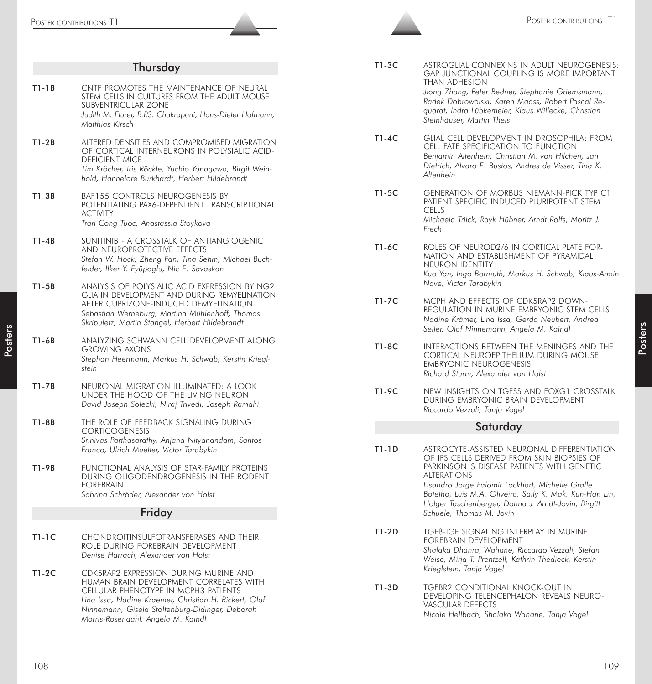| $T1-3C$<br>Thursday<br>THAN ADHESION<br>$T1-1B$<br>CNTF PROMOTES THE MAINTENANCE OF NEURAL<br>Jiong Zhang, Peter Bedner, Stephanie Griemsmann,<br>STEM CELLS IN CULTURES FROM THE ADULT MOUSE<br>Radek Dobrowolski, Karen Maass, Robert Pascal Re-<br>SUBVENTRICULAR ZONE<br>quardt, Indra Lübkemeier, Klaus Willecke, Christian<br>Judith M. Flurer, B.P.S. Chakrapani, Hans-Dieter Hofmann,<br>Steinhäuser, Martin Theis<br>Matthias Kirsch<br>T1-4C<br>$T1-2B$<br>ALTERED DENSITIES AND COMPROMISED MIGRATION<br>CELL FATE SPECIFICATION TO FUNCTION<br>OF CORTICAL INTERNEURONS IN POLYSIALIC ACID-<br>Benjamin Altenhein, Christian M. von Hilchen, Jan<br><b>DEFICIENT MICE</b><br>Dietrich, Alvaro E. Bustos, Andres de Visser, Tina K.<br>Tim Kröcher, Iris Röckle, Yuchio Yanagawa, Birgit Wein-<br>Altenhein<br>hold, Hannelore Burkhardt, Herbert Hildebrandt<br>T1-5C<br><b>GENERATION OF MORBUS NIEMANN-PICK TYP C1</b><br>$T1-3B$<br>BAF155 CONTROLS NEUROGENESIS BY<br>PATIENT SPECIFIC INDUCED PLURIPOTENT STEM<br>POTENTIATING PAX6-DEPENDENT TRANSCRIPTIONAL<br><b>CELLS</b><br><b>ACTIVITY</b><br>Michaela Trilck, Rayk Hübner, Arndt Rolfs, Moritz J.<br>Tran Cong Tuoc, Anastassia Stoykova<br>Frech<br>SUNITINIB - A CROSSTALK OF ANTIANGIOGENIC<br>$T1-4B$<br>T1-6C<br>ROLES OF NEUROD2/6 IN CORTICAL PLATE FOR-<br>AND NEUROPROTECTIVE EFFECTS<br>MATION AND ESTABLISHMENT OF PYRAMIDAL<br>Stefan W. Hock, Zheng Fan, Tina Sehm, Michael Buch-<br>NEURON IDENTITY<br>felder, Ilker Y. Eyüpoglu, Nic E. Savaskan<br>Nave, Victor Tarabykin<br>$T1-5B$<br>ANALYSIS OF POLYSIALIC ACID EXPRESSION BY NG2<br>GLIA IN DEVELOPMENT AND DURING REMYELINATION<br>$T1-7C$<br>MCPH AND EFFECTS OF CDK5RAP2 DOWN-<br>AFTER CUPRIZONE-INDUCED DEMYELINATION<br>REGULATION IN MURINE EMBRYONIC STEM CELLS<br>Sebastian Werneburg, Martina Mühlenhoff, Thomas<br>Nadine Krämer, Lina Issa, Gerda Neubert, Andrea<br>Skripuletz, Martin Stangel, Herbert Hildebrandt<br>Seiler, Olaf Ninnemann, Angela M. Kaindl<br>$T1-6B$<br>ANALYZING SCHWANN CELL DEVELOPMENT ALONG<br>T1-8C<br><b>GROWING AXONS</b><br>CORTICAL NEUROEPITHELIUM DURING MOUSE<br>Stephan Heermann, Markus H. Schwab, Kerstin Kriegl-<br><b>EMBRYONIC NEUROGENESIS</b><br>stein<br>Richard Sturm, Alexander von Holst<br>NEURONAL MIGRATION ILLUMINATED: A LOOK<br>T1-7B<br>T1-9C<br>UNDER THE HOOD OF THE LIVING NEURON<br>DURING EMBRYONIC BRAIN DEVELOPMENT<br>David Joseph Solecki, Niraj Trivedi, Joseph Ramahi<br>Riccardo Vezzali, Tanja Vogel<br>T1-8B<br>THE ROLE OF FEEDBACK SIGNALING DURING<br>Saturday<br><b>CORTICOGENESIS</b><br>Srinivas Parthasarathy, Anjana Nityanandam, Santos<br>$T1-1D$<br>Franco, Ulrich Mueller, Victor Tarabykin<br>OF IPS CELLS DERIVED FROM SKIN BIOPSIES OF<br>PARKINSON'S DISEASE PATIENTS WITH GENETIC<br>T1-9B<br>FUNCTIONAL ANALYSIS OF STAR-FAMILY PROTEINS<br><b>ALTERATIONS</b><br>DURING OLIGODENDROGENESIS IN THE RODENT<br>Lisandro Jorge Falomir Lockhart, Michelle Gralle<br><b>FOREBRAIN</b><br>Sabrina Schröder, Alexander von Holst<br>Holger Taschenberger, Donna J. Arndt-Jovin, Birgitt<br>Friday<br>Schuele, Thomas M. Jovin<br>T1-2D<br>TGFB-IGF SIGNALING INTERPLAY IN MURINE<br>$T1-1C$<br>CHONDROITINSULFOTRANSFERASES AND THEIR<br>FOREBRAIN DEVELOPMENT<br>role during forebrain development<br>Shalaka Dhanraj Wahane, Riccardo Vezzali, Stefan<br>Denise Harrach, Alexander von Holst<br>Weise, Mirja T. Prentzell, Kathrin Thedieck, Kerstin<br>Krieglstein, Tanja Vogel<br>CDK5RAP2 EXPRESSION DURING MURINE AND<br>T1-2C<br>HUMAN BRAIN DEVELOPMENT CORRELATES WITH<br>T1-3D<br>TGFBR2 CONDITIONAL KNOCK-OUT IN<br>CELLULAR PHENOTYPE IN MCPH3 PATIENTS<br>DEVELOPING TELENCEPHALON REVEALS NEURO-<br>Lina Issa, Nadine Kraemer, Christian H. Rickert, Olaf<br>VASCULAR DEFECTS<br>Ninnemann, Gisela Stoltenburg-Didinger, Deborah<br>Nicole Hellbach, Shalaka Wahane, Tanja Vogel<br>Morris-Rosendahl, Angela M. Kaindl |     | POSTER CONTRIBUTIONS T1 | POSTER CONTRIBUTIONS 1                                                                                 |
|--------------------------------------------------------------------------------------------------------------------------------------------------------------------------------------------------------------------------------------------------------------------------------------------------------------------------------------------------------------------------------------------------------------------------------------------------------------------------------------------------------------------------------------------------------------------------------------------------------------------------------------------------------------------------------------------------------------------------------------------------------------------------------------------------------------------------------------------------------------------------------------------------------------------------------------------------------------------------------------------------------------------------------------------------------------------------------------------------------------------------------------------------------------------------------------------------------------------------------------------------------------------------------------------------------------------------------------------------------------------------------------------------------------------------------------------------------------------------------------------------------------------------------------------------------------------------------------------------------------------------------------------------------------------------------------------------------------------------------------------------------------------------------------------------------------------------------------------------------------------------------------------------------------------------------------------------------------------------------------------------------------------------------------------------------------------------------------------------------------------------------------------------------------------------------------------------------------------------------------------------------------------------------------------------------------------------------------------------------------------------------------------------------------------------------------------------------------------------------------------------------------------------------------------------------------------------------------------------------------------------------------------------------------------------------------------------------------------------------------------------------------------------------------------------------------------------------------------------------------------------------------------------------------------------------------------------------------------------------------------------------------------------------------------------------------------------------------------------------------------------------------------------------------------------------------------------------------------------------------------------------------------------------------------------------------------------------------------------------------------------------------------------------------------------------------------------------------------------------------------------------------------------------------------------------------------------------------------------------------------------------------------------------------------------------------------------------------------------------------------------------------------------------------------------------------------------------------------------------------------------------------------------------------------------------------------------------------------------------|-----|-------------------------|--------------------------------------------------------------------------------------------------------|
|                                                                                                                                                                                                                                                                                                                                                                                                                                                                                                                                                                                                                                                                                                                                                                                                                                                                                                                                                                                                                                                                                                                                                                                                                                                                                                                                                                                                                                                                                                                                                                                                                                                                                                                                                                                                                                                                                                                                                                                                                                                                                                                                                                                                                                                                                                                                                                                                                                                                                                                                                                                                                                                                                                                                                                                                                                                                                                                                                                                                                                                                                                                                                                                                                                                                                                                                                                                                                                                                                                                                                                                                                                                                                                                                                                                                                                                                                                                                                                                |     |                         |                                                                                                        |
|                                                                                                                                                                                                                                                                                                                                                                                                                                                                                                                                                                                                                                                                                                                                                                                                                                                                                                                                                                                                                                                                                                                                                                                                                                                                                                                                                                                                                                                                                                                                                                                                                                                                                                                                                                                                                                                                                                                                                                                                                                                                                                                                                                                                                                                                                                                                                                                                                                                                                                                                                                                                                                                                                                                                                                                                                                                                                                                                                                                                                                                                                                                                                                                                                                                                                                                                                                                                                                                                                                                                                                                                                                                                                                                                                                                                                                                                                                                                                                                |     |                         | ASTROGLIAL CONNEXINS IN ADULT NEUROGENESIS<br><b>GAP JUNCTIONAL COUPLING IS MORE IMPORTANT</b>         |
|                                                                                                                                                                                                                                                                                                                                                                                                                                                                                                                                                                                                                                                                                                                                                                                                                                                                                                                                                                                                                                                                                                                                                                                                                                                                                                                                                                                                                                                                                                                                                                                                                                                                                                                                                                                                                                                                                                                                                                                                                                                                                                                                                                                                                                                                                                                                                                                                                                                                                                                                                                                                                                                                                                                                                                                                                                                                                                                                                                                                                                                                                                                                                                                                                                                                                                                                                                                                                                                                                                                                                                                                                                                                                                                                                                                                                                                                                                                                                                                |     |                         | GLIAL CELL DEVELOPMENT IN DROSOPHILA: FROM                                                             |
|                                                                                                                                                                                                                                                                                                                                                                                                                                                                                                                                                                                                                                                                                                                                                                                                                                                                                                                                                                                                                                                                                                                                                                                                                                                                                                                                                                                                                                                                                                                                                                                                                                                                                                                                                                                                                                                                                                                                                                                                                                                                                                                                                                                                                                                                                                                                                                                                                                                                                                                                                                                                                                                                                                                                                                                                                                                                                                                                                                                                                                                                                                                                                                                                                                                                                                                                                                                                                                                                                                                                                                                                                                                                                                                                                                                                                                                                                                                                                                                |     |                         |                                                                                                        |
|                                                                                                                                                                                                                                                                                                                                                                                                                                                                                                                                                                                                                                                                                                                                                                                                                                                                                                                                                                                                                                                                                                                                                                                                                                                                                                                                                                                                                                                                                                                                                                                                                                                                                                                                                                                                                                                                                                                                                                                                                                                                                                                                                                                                                                                                                                                                                                                                                                                                                                                                                                                                                                                                                                                                                                                                                                                                                                                                                                                                                                                                                                                                                                                                                                                                                                                                                                                                                                                                                                                                                                                                                                                                                                                                                                                                                                                                                                                                                                                |     |                         | Kuo Yan, Ingo Bormuth, Markus H. Schwab, Klaus-Armin                                                   |
|                                                                                                                                                                                                                                                                                                                                                                                                                                                                                                                                                                                                                                                                                                                                                                                                                                                                                                                                                                                                                                                                                                                                                                                                                                                                                                                                                                                                                                                                                                                                                                                                                                                                                                                                                                                                                                                                                                                                                                                                                                                                                                                                                                                                                                                                                                                                                                                                                                                                                                                                                                                                                                                                                                                                                                                                                                                                                                                                                                                                                                                                                                                                                                                                                                                                                                                                                                                                                                                                                                                                                                                                                                                                                                                                                                                                                                                                                                                                                                                |     |                         |                                                                                                        |
|                                                                                                                                                                                                                                                                                                                                                                                                                                                                                                                                                                                                                                                                                                                                                                                                                                                                                                                                                                                                                                                                                                                                                                                                                                                                                                                                                                                                                                                                                                                                                                                                                                                                                                                                                                                                                                                                                                                                                                                                                                                                                                                                                                                                                                                                                                                                                                                                                                                                                                                                                                                                                                                                                                                                                                                                                                                                                                                                                                                                                                                                                                                                                                                                                                                                                                                                                                                                                                                                                                                                                                                                                                                                                                                                                                                                                                                                                                                                                                                |     |                         | INTERACTIONS BETWEEN THE MENINGES AND THE                                                              |
|                                                                                                                                                                                                                                                                                                                                                                                                                                                                                                                                                                                                                                                                                                                                                                                                                                                                                                                                                                                                                                                                                                                                                                                                                                                                                                                                                                                                                                                                                                                                                                                                                                                                                                                                                                                                                                                                                                                                                                                                                                                                                                                                                                                                                                                                                                                                                                                                                                                                                                                                                                                                                                                                                                                                                                                                                                                                                                                                                                                                                                                                                                                                                                                                                                                                                                                                                                                                                                                                                                                                                                                                                                                                                                                                                                                                                                                                                                                                                                                |     |                         | NEW INSIGHTS ON TGFSS AND FOXG1 CROSSTALK                                                              |
|                                                                                                                                                                                                                                                                                                                                                                                                                                                                                                                                                                                                                                                                                                                                                                                                                                                                                                                                                                                                                                                                                                                                                                                                                                                                                                                                                                                                                                                                                                                                                                                                                                                                                                                                                                                                                                                                                                                                                                                                                                                                                                                                                                                                                                                                                                                                                                                                                                                                                                                                                                                                                                                                                                                                                                                                                                                                                                                                                                                                                                                                                                                                                                                                                                                                                                                                                                                                                                                                                                                                                                                                                                                                                                                                                                                                                                                                                                                                                                                |     |                         |                                                                                                        |
|                                                                                                                                                                                                                                                                                                                                                                                                                                                                                                                                                                                                                                                                                                                                                                                                                                                                                                                                                                                                                                                                                                                                                                                                                                                                                                                                                                                                                                                                                                                                                                                                                                                                                                                                                                                                                                                                                                                                                                                                                                                                                                                                                                                                                                                                                                                                                                                                                                                                                                                                                                                                                                                                                                                                                                                                                                                                                                                                                                                                                                                                                                                                                                                                                                                                                                                                                                                                                                                                                                                                                                                                                                                                                                                                                                                                                                                                                                                                                                                |     |                         | ASTROCYTE-ASSISTED NEURONAL DIFFERENTIATION<br>Botelho, Luis M.A. Oliveira, Sally K. Mak, Kun-Han Lin, |
|                                                                                                                                                                                                                                                                                                                                                                                                                                                                                                                                                                                                                                                                                                                                                                                                                                                                                                                                                                                                                                                                                                                                                                                                                                                                                                                                                                                                                                                                                                                                                                                                                                                                                                                                                                                                                                                                                                                                                                                                                                                                                                                                                                                                                                                                                                                                                                                                                                                                                                                                                                                                                                                                                                                                                                                                                                                                                                                                                                                                                                                                                                                                                                                                                                                                                                                                                                                                                                                                                                                                                                                                                                                                                                                                                                                                                                                                                                                                                                                |     |                         |                                                                                                        |
|                                                                                                                                                                                                                                                                                                                                                                                                                                                                                                                                                                                                                                                                                                                                                                                                                                                                                                                                                                                                                                                                                                                                                                                                                                                                                                                                                                                                                                                                                                                                                                                                                                                                                                                                                                                                                                                                                                                                                                                                                                                                                                                                                                                                                                                                                                                                                                                                                                                                                                                                                                                                                                                                                                                                                                                                                                                                                                                                                                                                                                                                                                                                                                                                                                                                                                                                                                                                                                                                                                                                                                                                                                                                                                                                                                                                                                                                                                                                                                                |     |                         |                                                                                                        |
|                                                                                                                                                                                                                                                                                                                                                                                                                                                                                                                                                                                                                                                                                                                                                                                                                                                                                                                                                                                                                                                                                                                                                                                                                                                                                                                                                                                                                                                                                                                                                                                                                                                                                                                                                                                                                                                                                                                                                                                                                                                                                                                                                                                                                                                                                                                                                                                                                                                                                                                                                                                                                                                                                                                                                                                                                                                                                                                                                                                                                                                                                                                                                                                                                                                                                                                                                                                                                                                                                                                                                                                                                                                                                                                                                                                                                                                                                                                                                                                |     |                         |                                                                                                        |
|                                                                                                                                                                                                                                                                                                                                                                                                                                                                                                                                                                                                                                                                                                                                                                                                                                                                                                                                                                                                                                                                                                                                                                                                                                                                                                                                                                                                                                                                                                                                                                                                                                                                                                                                                                                                                                                                                                                                                                                                                                                                                                                                                                                                                                                                                                                                                                                                                                                                                                                                                                                                                                                                                                                                                                                                                                                                                                                                                                                                                                                                                                                                                                                                                                                                                                                                                                                                                                                                                                                                                                                                                                                                                                                                                                                                                                                                                                                                                                                | 108 |                         | 109                                                                                                    |

**Posters**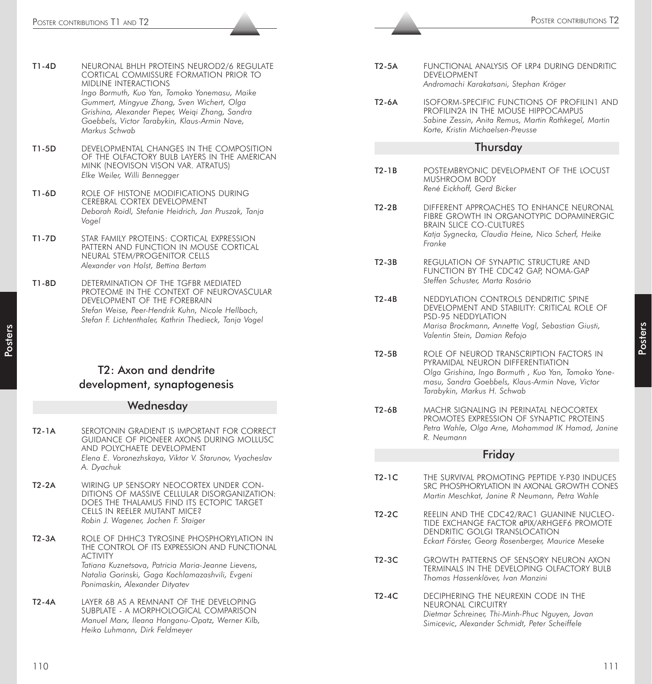- T1-4D NEURONAL BHLH PROTEINS NEUROD2/6 REGULATE CORTICAL COMMISSURE FORMATION PRIOR TO MIDLINE INTERACTIONS *Ingo Bormuth, Kuo Yan, Tomoko Yonemasu, Maike Gummert, Mingyue Zhang, Sven Wichert, Olga Grishina, Alexander Pieper, Weiqi Zhang, Sandra Goebbels, Victor Tarabykin, Klaus-Armin Nave, Markus Schwab*
- T1-5D DEVELOPMENTAL CHANGES IN THE COMPOSITION OF THE OLFACTORY BULB LAYERS IN THE AMERICAN MINK (NEOVISON VISON VAR. ATRATUS) *Elke Weiler, Willi Bennegger*
- T1-6D ROLE OF HISTONE MODIFICATIONS DURING CEREBRAL CORTEX DEVELOPMENT *Deborah Roidl, Stefanie Heidrich, Jan Pruszak, Tanja Vogel*
- T1-7D STAR FAMILY PROTEINS: CORTICAL EXPRESSION PATTERN AND FUNCTION IN MOUSE CORTICAL NEURAL STEM/PROGENITOR CELLS *Alexander von Holst, Bettina Bertam*
- T1-8D DETERMINATION OF THE TGFBR MEDIATED PROTEOME IN THE CONTEXT OF NEUROVASCULAR DEVELOPMENT OF THE FOREBRAIN *Stefan Weise, Peer-Hendrik Kuhn, Nicole Hellbach, Stefan F. Lichtenthaler, Kathrin Thedieck, Tanja Vogel*

# T2: Axon and dendrite development, synaptogenesis

#### Wednesday

- The specific of the specific of the specific of the specific of the specific of the specific of the specific of the specific of the specific of the specific of the specific of the specific of the specific of the specific T2-1A SEROTONIN GRADIENT IS IMPORTANT FOR CORRECT GUIDANCE OF PIONEER AXONS DURING MOLLUSC AND POLYCHAETE DEVELOPMENT *Elena E. Voronezhskaya, Viktor V. Starunov, Vyacheslav A. Dyachuk* T2-2A WIRING UP SENSORY NEOCORTEX UNDER CON-DITIONS OF MASSIVE CELLULAR DISORGANIZATION: DOES THE THALAMUS FIND ITS ECTOPIC TARGET CELLS IN REELER MUTANT MICE? *Robin J. Wagener, Jochen F. Staiger* T2-3A ROLE OF DHHC3 TYROSINE PHOSPHORYLATION IN THE CONTROL OF ITS EXPRESSION AND FUNCTIONAL ACTIVITY *Tatiana Kuznetsova, Patricia Maria-Jeanne Lievens, Natalia Gorinski, Gaga Kochlamazashvili, Evgeni Ponimaskin, Alexander Dityatev* T2-4A LAYER 6B AS A REMNANT OF THE DEVELOPING SUBPLATE - A MORPHOLOGICAL COMPARISON *Manuel Marx, Ileana Hanganu-Opatz, Werner Kilb, Heiko Luhmann, Dirk Feldmeyer*
	- T2-5A FUNCTIONAL ANALYSIS OF LRP4 DURING DENDRITIC DEVELOPMENT *Andromachi Karakatsani, Stephan Kröger*
	- T2-6A ISOFORM-SPECIFIC FUNCTIONS OF PROFILIN1 AND PROFILIN2A IN THE MOUSE HIPPOCAMPUS *Sabine Zessin, Anita Remus, Martin Rothkegel, Martin Korte, Kristin Michaelsen-Preusse*

#### **Thursdav**

- T2-1B POSTEMBRYONIC DEVELOPMENT OF THE LOCUST MUSHROOM BODY *René Eickhoff, Gerd Bicker*
- T2-2B DIFFERENT APPROACHES TO ENHANCE NEURONAL FIBRE GROWTH IN ORGANOTYPIC DOPAMINERGIC BRAIN SLICE CO-CULTURES *Katja Sygnecka, Claudia Heine, Nico Scherf, Heike Franke*
- T2-3B REGULATION OF SYNAPTIC STRUCTURE AND FUNCTION BY THE CDC42 GAP, NOMA-GAP *Steffen Schuster, Marta Rosário*
- T2-4B NEDDYLATION CONTROLS DENDRITIC SPINE DEVELOPMENT AND STABILITY: CRITICAL ROLE OF PSD-95 NEDDYLATION *Marisa Brockmann, Annette Vogl, Sebastian Giusti, Valentin Stein, Damian Refojo*
- T2-5B ROLE OF NEUROD TRANSCRIPTION FACTORS IN PYRAMIDAL NEURON DIFFERENTIATION *Olga Grishina, Ingo Bormuth , Kuo Yan, Tomoko Yonemasu, Sandra Goebbels, Klaus-Armin Nave, Victor Tarabykin, Markus H. Schwab*
- T2-6B MACHR SIGNALING IN PERINATAL NEOCORTEX PROMOTES EXPRESSION OF SYNAPTIC PROTEINS *Petra Wahle, Olga Arne, Mohammad IK Hamad, Janine R. Neumann*

#### **Friday**

- T2-1C THE SURVIVAL PROMOTING PEPTIDE Y-P30 INDUCES SRC PHOSPHORYLATION IN AXONAL GROWTH CONES *Martin Meschkat, Janine R Neumann, Petra Wahle*
- T2-2C REELIN AND THE CDC42/RAC1 GUANINE NUCLEO-TIDE EXCHANGE FACTOR αPIX/ARHGEF6 PROMOTE DENDRITIC GOLGI TRANSLOCATION *Eckart Förster, Georg Rosenberger, Maurice Meseke*
- T2-3C GROWTH PATTERNS OF SENSORY NEURON AXON TERMINALS IN THE DEVELOPING OLFACTORY BULB *Thomas Hassenklöver, Ivan Manzini*
- T2-4C DECIPHERING THE NEUREXIN CODE IN THE NEURONAL CIRCUITRY *Dietmar Schreiner, Thi-Minh-Phuc Nguyen, Jovan Simicevic, Alexander Schmidt, Peter Scheiffele*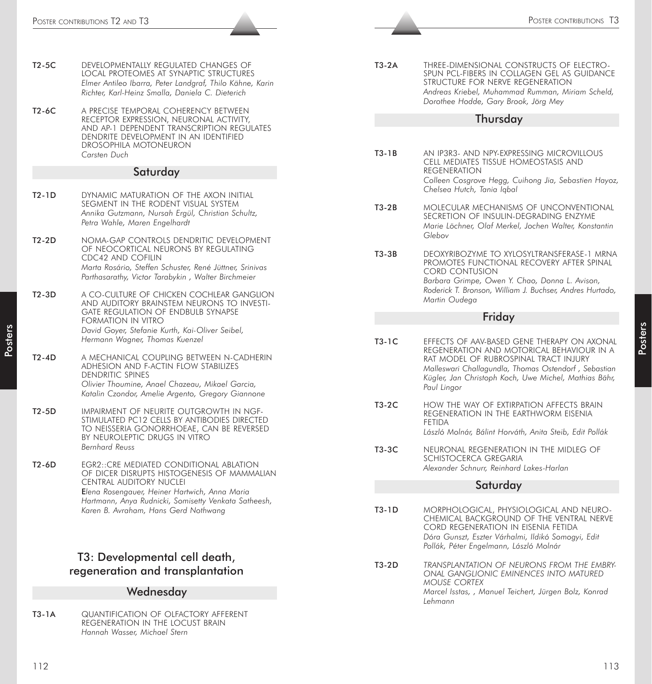- T2-5C DEVELOPMENTALLY REGULATED CHANGES OF LOCAL PROTEOMES AT SYNAPTIC STRUCTURES *Elmer Antileo Ibarra, Peter Landgraf, Thilo Kähne, Karin Richter, Karl-Heinz Smalla, Daniela C. Dieterich*
- T2-6C A PRECISE TEMPORAL COHERENCY BETWEEN RECEPTOR EXPRESSION, NEURONAL ACTIVITY, AND AP-1 DEPENDENT TRANSCRIPTION REGULATES DENDRITE DEVELOPMENT IN AN IDENTIFIED DROSOPHILA MOTONEURON *Carsten Duch*

#### Saturday

- T2-1D DYNAMIC MATURATION OF THE AXON INITIAL SEGMENT IN THE RODENT VISUAL SYSTEM *Annika Gutzmann, Nursah Ergül, Christian Schultz, Petra Wahle, Maren Engelhardt*
- T2-2D NOMA-GAP CONTROLS DENDRITIC DEVELOPMENT OF NEOCORTICAL NEURONS BY REGULATING CDC42 AND COFILIN *Marta Rosário, Steffen Schuster, René Jüttner, Srinivas Parthasarathy, Victor Tarabykin , Walter Birchmeier*
- T2-3D A CO-CULTURE OF CHICKEN COCHLEAR GANGLION AND AUDITORY BRAINSTEM NEURONS TO INVESTI-GATE REGULATION OF ENDBULB SYNAPSE FORMATION IN VITRO *David Goyer, Stefanie Kurth, Kai-Oliver Seibel, Hermann Wagner, Thomas Kuenzel*
- T2-4D A MECHANICAL COUPLING BETWEEN N-CADHERIN ADHESION AND F-ACTIN FLOW STABILIZES DENDRITIC SPINES *Olivier Thoumine, Anael Chazeau, Mikael Garcia, Katalin Czondor, Amelie Argento, Gregory Giannone*
- T2-5D IMPAIRMENT OF NEURITE OUTGROWTH IN NGF-STIMULATED PC12 CELLS BY ANTIBODIES DIRECTED TO NEISSERIA GONORRHOEAE, CAN BE REVERSED BY NEUROLEPTIC DRUGS IN VITRO *Bernhard Reuss*
- T2-6D EGR2::CRE MEDIATED CONDITIONAL ABLATION OF DICER DISRUPTS HISTOGENESIS OF MAMMALIAN CENTRAL AUDITORY NUCLEI E*lena Rosengauer, Heiner Hartwich, Anna Maria Hartmann, Anya Rudnicki, Somisetty Venkata Satheesh, Karen B. Avraham, Hans Gerd Nothwang*

# T3: Developmental cell death, regeneration and transplantation

#### **Wednesday**

T3-1A QUANTIFICATION OF OLFACTORY AFFERENT REGENERATION IN THE LOCUST BRAIN *Hannah Wasser, Michael Stern*

T3-2A THREE-DIMENSIONAL CONSTRUCTS OF ELECTRO-SPUN PCL-FIBERS IN COLLAGEN GEL AS GUIDANCE STRUCTURE FOR NERVE REGENERATION *Andreas Kriebel, Muhammad Rumman, Miriam Scheld, Dorothee Hodde, Gary Brook, Jörg Mey*

## **Thursdav**

- T3-1B AN IP3R3- AND NPY-EXPRESSING MICROVILLOUS CELL MEDIATES TISSUE HOMEOSTASIS AND REGENERATION *Colleen Cosgrove Hegg, Cuihong Jia, Sebastien Hayoz, Chelsea Hutch, Tania Iqbal*
- T3-2B MOLECULAR MECHANISMS OF UNCONVENTIONAL SECRETION OF INSULIN-DEGRADING ENZYME *Marie Löchner, Olaf Merkel, Jochen Walter, Konstantin Glebov*
- T3-3B DEOXYRIBOZYME TO XYLOSYLTRANSFERASE-1 MRNA PROMOTES FUNCTIONAL RECOVERY AFTER SPINAL CORD CONTUSION *Barbara Grimpe, Owen Y. Chao, Donna L. Avison, Roderick T. Bronson, William J. Buchser, Andres Hurtado, Martin Oudega*

#### Friday

- Analysis (i.e. of  $\frac{1}{2}$  Poster Contributions Contributions Contributions (i.e. of  $\frac{1}{2}$  Poster Control interactions and the control interactions are control interactions (i.e. of  $\frac{1}{2}$  Poster Control interacti T3-1C EFFECTS OF AAV-BASED GENE THERAPY ON AXONAL REGENERATION AND MOTORICAL BEHAVIOUR IN A RAT MODEL OF RUBROSPINAL TRACT INJURY *Malleswari Challagundla, Thomas Ostendorf , Sebastian Kügler, Jan Christoph Koch, Uwe Michel, Mathias Bähr, Paul Lingor*
	- T3-2C HOW THE WAY OF EXTIRPATION AFFECTS BRAIN REGENERATION IN THE EARTHWORM EISENIA FETIDA *László Molnár, Bálint Horváth, Anita Steib, Edit Pollák*
	- T3-3C NEURONAL REGENERATION IN THE MIDLEG OF SCHISTOCERCA GREGARIA *Alexander Schnurr, Reinhard Lakes-Harlan*

#### Saturday

- T3-1D MORPHOLOGICAL, PHYSIOLOGICAL AND NEURO-CHEMICAL BACKGROUND OF THE VENTRAL NERVE CORD REGENERATION IN EISENIA FETIDA *Dóra Gunszt, Eszter Várhalmi, Ildikó Somogyi, Edit Pollák, Péter Engelmann, László Molnár*
- T3-2D *TRANSPLANTATION OF NEURONS FROM THE EMBRY-ONAL GANGLIONIC EMINENCES INTO MATURED MOUSE CORTEX Marcel Isstas, , Manuel Teichert, Jürgen Bolz, Konrad Lehmann*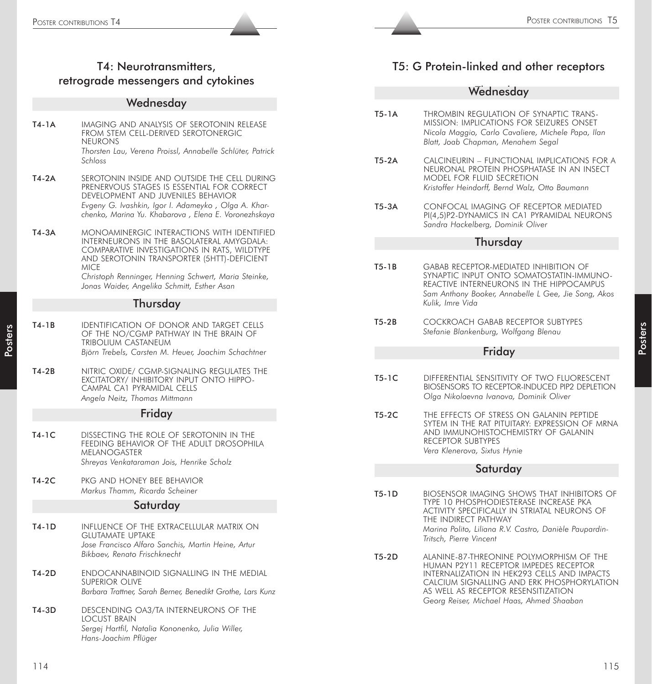# T4: Neurotransmitters, retrograde messengers and cytokines

#### **Wednesday**

- **T4-1A** IMAGING AND ANALYSIS OF SEROTONIN RELEASE FROM STEM CELL-DERIVED SEROTONERGIC NEURONS *Thorsten Lau, Verena Proissl, Annabelle Schlüter, Patrick Schloss*
- T4-2A SEROTONIN INSIDE AND OUTSIDE THE CELL DURING PRENERVOUS STAGES IS ESSENTIAL FOR CORRECT DEVELOPMENT AND JUVENILES BEHAVIOR *Evgeny G. Ivashkin, Igor I. Adameyko , Olga A. Kharchenko, Marina Yu. Khabarova , Elena E. Voronezhskaya*
- T4-3A MONOAMINERGIC INTERACTIONS WITH IDENTIFIED INTERNEURONS IN THE BASOLATERAL AMYGDALA: COMPARATIVE INVESTIGATIONS IN RATS, WILDTYPE AND SEROTONIN TRANSPORTER (5HTT)-DEFICIENT MICE

*Christoph Renninger, Henning Schwert, Maria Steinke, Jonas Waider, Angelika Schmitt, Esther Asan*

#### Thursday

- **T4-1B** IDENTIFICATION OF DONOR AND TARGET CELLS OF THE NO/CGMP PATHWAY IN THE BRAIN OF TRIBOLIUM CASTANEUM *Björn Trebels, Carsten M. Heuer, Joachim Schachtner*
- T4-2B NITRIC OXIDE/ CGMP-SIGNALING REGULATES THE EXCITATORY/ INHIBITORY INPUT ONTO HIPPO-CAMPAL CA1 PYRAMIDAL CELLS *Angela Neitz, Thomas Mittmann*

#### Friday

- T4-1C DISSECTING THE ROLE OF SEROTONIN IN THE FEEDING BEHAVIOR OF THE ADULT DROSOPHILA MELANOGASTER *Shreyas Venkataraman Jois, Henrike Scholz*
- T4-2C PKG AND HONEY BEE BEHAVIOR *Markus Thamm, Ricarda Scheiner*

#### Saturday

- T4-1D INFLUENCE OF THE EXTRACELLULAR MATRIX ON GLUTAMATE UPTAKE *Jose Francisco Alfaro Sanchis, Martin Heine, Artur Bikbaev, Renato Frischknecht*
- T4-2D ENDOCANNABINOID SIGNALLING IN THE MEDIAL SUPERIOR OLIVE *Barbara Trattner, Sarah Berner, Benedikt Grothe, Lars Kunz*
- T4-3D DESCENDING OA3/TA INTERNEURONS OF THE LOCUST BRAIN *Sergej Hartfil, Natalia Kononenko, Julia Willer, Hans-Joachim Pflüger*

# T5: G Protein-linked and other receptors

## Wednesday

- T5-1A THROMBIN REGULATION OF SYNAPTIC TRANS-MISSION: IMPLICATIONS FOR SEIZURES ONSET *Nicola Maggio, Carlo Cavaliere, Michele Papa, Ilan Blatt, Joab Chapman, Menahem Segal*
- T5-2A CALCINEURIN FUNCTIONAL IMPLICATIONS FOR A NEURONAL PROTEIN PHOSPHATASE IN AN INSECT MODEL FOR FLUID SECRETION *Kristoffer Heindorff, Bernd Walz, Otto Baumann*
- T5-3A CONFOCAL IMAGING OF RECEPTOR MEDIATED PI(4,5)P2-DYNAMICS IN CA1 PYRAMIDAL NEURONS *Sandra Hackelberg, Dominik Oliver*

#### Thursday

- T5-1B GABAB RECEPTOR-MEDIATED INHIBITION OF SYNAPTIC INPUT ONTO SOMATOSTATIN-IMMUNO-REACTIVE INTERNEURONS IN THE HIPPOCAMPUS *Sam Anthony Booker, Annabelle L Gee, Jie Song, Akos Kulik, Imre Vida*
- T5-2B COCKROACH GABAB RECEPTOR SUBTYPES *Stefanie Blankenburg, Wolfgang Blenau*

#### Friday

- T5-1C DIFFERENTIAL SENSITIVITY OF TWO FLUORESCENT BIOSENSORS TO RECEPTOR-INDUCED PIP2 DEPLETION *Olga Nikolaevna Ivanova, Dominik Oliver*
- T5-2C THE EFFECTS OF STRESS ON GALANIN PEPTIDE SYTEM IN THE RAT PITUITARY: EXPRESSION OF MRNA AND IMMUNOHISTOCHEMISTRY OF GALANIN RECEPTOR SUBTYPES *Vera Klenerova, Sixtus Hynie*

#### Saturday

- T5-1D BIOSENSOR IMAGING SHOWS THAT INHIBITORS OF TYPE 10 PHOSPHODIESTERASE INCREASE PKA ACTIVITY SPECIFICALLY IN STRIATAL NEURONS OF THE INDIRECT PATHWAY *Marina Polito, Liliana R.V. Castro, Danièle Paupardin-Tritsch, Pierre Vincent*
- T5-2D ALANINE-87-THREONINE POLYMORPHISM OF THE HUMAN P2Y11 RECEPTOR IMPEDES RECEPTOR INTERNALIZATION IN HEK293 CELLS AND IMPACTS CALCIUM SIGNALLING AND ERK PHOSPHORYLATION AS WELL AS RECEPTOR RESENSITIZATION *Georg Reiser, Michael Haas, Ahmed Shaaban*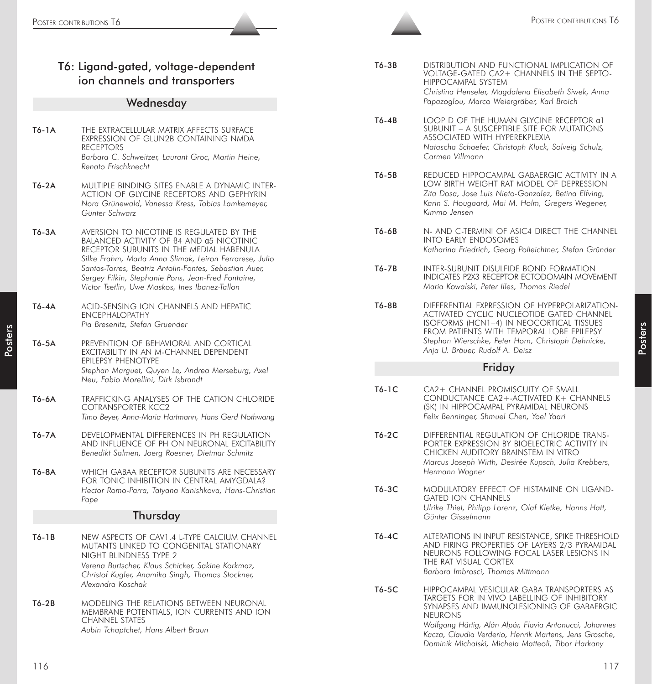|       | T6: Ligand-gated, voltage-dependent<br>ion channels and transporters                                                                                                                                                       | T6-3B     | <b>DISTRI</b><br><b>VOLTA</b><br><b>HIPPC</b><br>Christi            |
|-------|----------------------------------------------------------------------------------------------------------------------------------------------------------------------------------------------------------------------------|-----------|---------------------------------------------------------------------|
|       | Wednesday                                                                                                                                                                                                                  |           | Papazo                                                              |
| T6-1A | THE EXTRACELLULAR MATRIX AFFECTS SURFACE<br>EXPRESSION OF GLUN2B CONTAINING NMDA<br><b>RECEPTORS</b><br>Barbara C. Schweitzer, Laurant Groc, Martin Heine,<br>Renato Frischknecht                                          | $T6 - 4B$ | <b>LOOP</b><br><b>SUBUI</b><br>ASSO <sub>1</sub><br>Natasa<br>Carme |
| T6-2A | MULTIPLE BINDING SITES ENABLE A DYNAMIC INTER-<br>ACTION OF GLYCINE RECEPTORS AND GEPHYRIN<br>Nora Grünewald, Vanessa Kress, Tobias Lamkemeyer,<br>Günter Schwarz                                                          | $T6-5B$   | <b>REDU</b><br>LOW I<br>Zita D<br>Karin !<br>Kimmc                  |
| T6-3A | AVERSION TO NICOTINE IS REGULATED BY THE<br>BALANCED ACTIVITY OF B4 AND a5 NICOTINIC<br>RECEPTOR SUBUNITS IN THE MEDIAL HABENULA<br>Silke Frahm, Marta Anna Slimak, Leiron Ferrarese, Julio                                | T6-6B     | $N-AN$<br>INTO<br>Kathar                                            |
|       | Santos-Torres, Beatriz Antolin-Fontes, Sebastian Auer,<br>Sergey Filkin, Stephanie Pons, Jean-Fred Fontaine,<br>Victor Tsetlin, Uwe Maskos, Ines Ibanez-Tallon                                                             | $T6-7B$   | <b>INTER</b><br><b>INDIC</b><br>Maria                               |
| T6-4A | ACID-SENSING ION CHANNELS AND HEPATIC<br><b>ENCEPHALOPATHY</b><br>Pia Bresenitz, Stefan Gruender                                                                                                                           | T6-8B     | <b>DIFFEI</b><br><b>ACTIV</b><br><b>ISOFC</b><br><b>FROM</b>        |
| T6-5A | PREVENTION OF BEHAVIORAL AND CORTICAL<br>EXCITABILITY IN AN M-CHANNEL DEPENDENT<br>EPILEPSY PHENOTYPE                                                                                                                      |           | Stephc<br>Anja L                                                    |
|       | Stephan Marguet, Quyen Le, Andrea Merseburg, Axel<br>Neu, Fabio Morellini, Dirk Isbrandt                                                                                                                                   |           |                                                                     |
| T6-6A | TRAFFICKING ANALYSES OF THE CATION CHLORIDE<br><b>COTRANSPORTER KCC2</b><br>Timo Beyer, Anna-Maria Hartmann, Hans Gerd Nothwang                                                                                            | $T6-1C$   | $CA2+$<br><b>COND</b><br>(SK) IN<br>Felix B                         |
| T6-7A | DEVELOPMENTAL DIFFERENCES IN PH REGULATION<br>AND INFLUENCE OF PH ON NEURONAL EXCITABILITY<br>Benedikt Salmen, Joerg Roesner, Dietmar Schmitz                                                                              | $T6-2C$   | <b>DIFFEI</b><br><b>PORTE</b><br><b>CHICK</b><br>Marcu              |
| T6-8A | WHICH GABAA RECEPTOR SUBUNITS ARE NECESSARY<br>FOR TONIC INHIBITION IN CENTRAL AMYGDALA?<br>Hector Romo-Parra, Tatyana Kanishkova, Hans-Christian<br>Pape                                                                  | T6-3C     | Herma<br><b>MODI</b><br><b>GATEI</b>                                |
|       | Thursday                                                                                                                                                                                                                   |           | Ulrike<br>Günte.                                                    |
| T6-1B | NEW ASPECTS OF CAV1.4 L-TYPE CALCIUM CHANNEL<br>MUTANTS LINKED TO CONGENITAL STATIONARY<br>NIGHT BLINDNESS TYPE 2<br>Verena Burtscher, Klaus Schicker, Sakine Korkmaz,<br>Christof Kugler, Anamika Singh, Thomas Stockner, | T6-4C     | <b>ALTER</b><br>AND F<br><b>NEUR</b><br>THE R<br>Barbar             |
| T6-2B | Alexandra Koschak<br>MODELING THE RELATIONS BETWEEN NEURONAL<br>MEMBRANE POTENTIALS, ION CURRENTS AND ION<br>CHANNEL STATES                                                                                                | T6-5C     | <b>HIPPC</b><br>TARGE<br><b>SYNAF</b><br><b>NEUR</b>                |

- **IBUTION AND FUNCTIONAL IMPLICATION OF** *NGE-GATED CA2+ CHANNELS IN THE SEPTO-*CAMPAL SYSTEM *Christina Henseler, Magdalena Elisabeth Siwek, Anna Papazoglou, Marco Weiergräber, Karl Broich*
- D OF THE HUMAN GLYCINE RECEPTOR α1 NIT – A SUSCEPTIBLE SITE FOR MUTATIONS CIATED WITH HYPEREKPLEXIA *Natascha Schaefer, Christoph Kluck, Solveig Schulz, Carmen Villmann*
- CED HIPPOCAMPAL GABAERGIC ACTIVITY IN A BIRTH WEIGHT RAT MODEL OF DEPRESSION *Zita Dosa, Jose Luis Nieto-Gonzalez, Betina Elfving, Karin S. Hougaard, Mai M. Holm, Gregers Wegener, Kimmo Jensen*
	- ID C-TERMINI OF ASIC4 DIRECT THE CHANNEL **EARLY ENDOSOMES** *Katharina Friedrich, Georg Polleichtner, Stefan Gründer*
- -SUBUNIT DISULFIDE BOND FORMATION ATES P2X3 RECEPTOR ECTODOMAIN MOVEMENT *Maria Kowalski, Peter Illes, Thomas Riedel*
- RENTIAL EXPRESSION OF HYPERPOLARIZATION-**ATED CYCLIC NUCLEOTIDE GATED CHANNEL DRMS (HCN1–4) IN NEOCORTICAL TISSUES** PATIENTS WITH TEMPORAL LOBE EPILEPSY *Stephan Wierschke, Peter Horn, Christoph Dehnicke, Anja U. Bräuer, Rudolf A. Deisz*

# Friday

- CHANNEL PROMISCUITY OF SMALL DUCTANCE CA2+-ACTIVATED K+ CHANNELS **IN HIPPOCAMPAL PYRAMIDAL NEURONS** *Felix Benninger, Shmuel Chen, Yoel Yaari*
	- RENTIAL REGULATION OF CHLORIDE TRANS-ER EXPRESSION BY BIOELECTRIC ACTIVITY IN ken auditory brainstem in vitro *Marcus Joseph Wirth, Desirée Kupsch, Julia Krebbers, Hermann Wagner*
- **ULATORY EFFECT OF HISTAMINE ON LIGAND-**D ION CHANNELS *Ulrike Thiel, Philipp Lorenz, Olaf Kletke, Hanns Hatt, Günter Gisselmann*
- ATIONS IN INPUT RESISTANCE, SPIKE THRESHOLD FIRING PROPERTIES OF LAYERS 2/3 PYRAMIDAL ONS FOLLOWING FOCAL LASER LESIONS IN AT VISUAL CORTEX *Barbara Imbrosci, Thomas Mittmann*
	- **CAMPAL VESICULAR GABA TRANSPORTERS AS** ETS FOR IN VIVO LABELLING OF INHIBITORY PSES AND IMMUNOLESIONING OF GABAERGIC ONS

*Wolfgang Härtig, Alán Alpár, Flavia Antonucci, Johannes Kacza, Claudia Verderio, Henrik Martens, Jens Grosche, Dominik Michalski, Michela Matteoli, Tibor Harkany*

*Aubin Tchaptchet, Hans Albert Braun*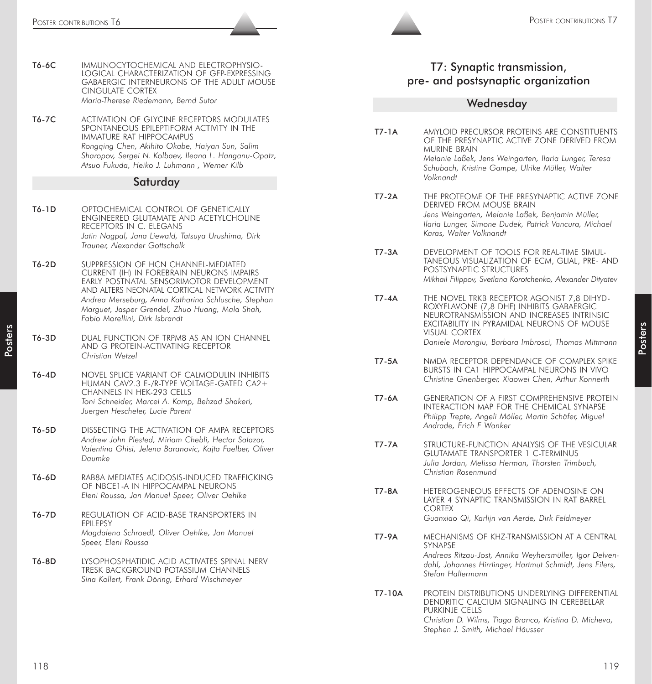|       | Poster contributions T6                                                                                                                                                                                                                                                      |              | POSTER CONTRIBUTIONS 17                                                                                                                                                                                                |
|-------|------------------------------------------------------------------------------------------------------------------------------------------------------------------------------------------------------------------------------------------------------------------------------|--------------|------------------------------------------------------------------------------------------------------------------------------------------------------------------------------------------------------------------------|
| T6-6C | IMMUNOCYTOCHEMICAL AND ELECTROPHYSIO-<br>LOGICAL CHARACTERIZATION OF GFP-EXPRESSING<br>GABAERGIC INTERNEURONS OF THE ADULT MOUSE<br><b>CINGULATE CORTEX</b>                                                                                                                  |              | T7: Synaptic transmission,<br>pre- and postsynaptic organization                                                                                                                                                       |
|       | Maria-Therese Riedemann, Bernd Sutor                                                                                                                                                                                                                                         |              | Wednesday                                                                                                                                                                                                              |
| T6-7C | ACTIVATION OF GLYCINE RECEPTORS MODULATES<br>SPONTANEOUS EPILEPTIFORM ACTIVITY IN THE<br>IMMATURE RAT HIPPOCAMPUS<br>Rongqing Chen, Akihito Okabe, Haiyan Sun, Salim<br>Sharopov, Sergei N. Kolbaev, Ileana L. Hanganu-Opatz,<br>Atsuo Fukuda, Heiko J. Luhmann, Werner Kilb | $T7-1A$      | AMYLOID PRECURSOR PROTEINS ARE CONSTITUENTS<br>OF THE PRESYNAPTIC ACTIVE ZONE DERIVED FROM<br>MURINE BRAIN<br>Melanie Laßek, Jens Weingarten, Ilaria Lunger, Teresa<br>Schubach, Kristine Gampe, Ulrike Müller, Walter |
|       | Saturday                                                                                                                                                                                                                                                                     |              | Volknandt                                                                                                                                                                                                              |
| T6-1D | OPTOCHEMICAL CONTROL OF GENETICALLY<br>ENGINEERED GLUTAMATE AND ACETYLCHOLINE<br>RECEPTORS IN C. ELEGANS<br>Jatin Nagpal, Jana Liewald, Tatsuya Urushima, Dirk<br>Trauner, Alexander Gottschalk                                                                              | $T7-2A$      | THE PROTEOME OF THE PRESYNAPTIC ACTIVE ZONE<br>DERIVED FROM MOUSE BRAIN<br>Jens Weingarten, Melanie Laßek, Benjamin Müller,<br>Ilaria Lunger, Simone Dudek, Patrick Vancura, Michael<br>Karas, Walter Volknandt        |
| T6-2D | SUPPRESSION OF HCN CHANNEL-MEDIATED<br>CURRENT (IH) IN FOREBRAIN NEURONS IMPAIRS<br>EARLY POSTNATAL SENSORIMOTOR DEVELOPMENT<br>AND ALTERS NEONATAL CORTICAL NETWORK ACTIVITY                                                                                                | T7-3A        | DEVELOPMENT OF TOOLS FOR REAL-TIME SIMUL-<br>TANEOUS VISUALIZATION OF ECM, GLIAL, PRE- AND<br>POSTSYNAPTIC STRUCTURES<br>Mikhail Filippov, Svetlana Korotchenko, Alexander Dityatev                                    |
|       | Andrea Merseburg, Anna Katharina Schlusche, Stephan<br>Marguet, Jasper Grendel, Zhuo Huang, Mala Shah,<br>Fabio Morellini, Dirk Isbrandt                                                                                                                                     | $T7 - 4A$    | THE NOVEL TRKB RECEPTOR AGONIST 7,8 DIHYD-<br>ROXYFLAVONE (7,8 DHF) INHIBITS GABAERGIC<br>NEUROTRANSMISSION AND INCREASES INTRINSIC<br>EXCITABILITY IN PYRAMIDAL NEURONS OF MOUSE                                      |
| T6-3D | DUAL FUNCTION OF TRPM8 AS AN ION CHANNEL<br>AND G PROTEIN-ACTIVATING RECEPTOR<br>Christian Wetzel                                                                                                                                                                            | $T7-5A$      | VISUAL CORTEX<br>Daniele Marongiu, Barbara Imbrosci, Thomas Mittmann<br>NMDA RECEPTOR DEPENDANCE OF COMPLEX SPIKE                                                                                                      |
| T6-4D | NOVEL SPLICE VARIANT OF CALMODULIN INHIBITS<br>HUMAN CAV2.3 E-/R-TYPE VOLTAGE-GATED CA2+<br>CHANNELS IN HEK-293 CELLS                                                                                                                                                        |              | BURSTS IN CA1 HIPPOCAMPAL NEURONS IN VIVO<br>Christine Grienberger, Xiaowei Chen, Arthur Konnerth                                                                                                                      |
| T6-5D | Toni Schneider, Marcel A. Kamp, Behzad Shakeri,<br>Juergen Hescheler, Lucie Parent<br>DISSECTING THE ACTIVATION OF AMPA RECEPTORS                                                                                                                                            | T7-6A        | <b>GENERATION OF A FIRST COMPREHENSIVE PROTEIN</b><br>INTERACTION MAP FOR THE CHEMICAL SYNAPSE<br>Philipp Trepte, Angeli Möller, Martin Schäfer, Miguel<br>Andrade, Erich E Wanker                                     |
|       | Andrew John Plested, Miriam Chebli, Hector Salazar,<br>Valentina Ghisi, Jelena Baranovic, Kajta Faelber, Oliver<br>Daumke                                                                                                                                                    | <b>T7-7A</b> | STRUCTURE-FUNCTION ANALYSIS OF THE VESICULAR<br><b>GLUTAMATE TRANSPORTER 1 C-TERMINUS</b><br>Julia Jordan, Melissa Herman, Thorsten Trimbuch,                                                                          |
| T6-6D | RAB8A MEDIATES ACIDOSIS-INDUCED TRAFFICKING<br>OF NBCE1-A IN HIPPOCAMPAL NEURONS<br>Eleni Roussa, Jan Manuel Speer, Oliver Oehlke                                                                                                                                            | T7-8A        | Christian Rosenmund<br>HETEROGENEOUS EFFECTS OF ADENOSINE ON<br>LAYER 4 SYNAPTIC TRANSMISSION IN RAT BARREL                                                                                                            |
| T6-7D | REGULATION OF ACID-BASE TRANSPORTERS IN<br>EPILEPSY                                                                                                                                                                                                                          |              | <b>CORTEX</b><br>Guanxiao Qi, Karlijn van Aerde, Dirk Feldmeyer                                                                                                                                                        |
|       | Magdalena Schroedl, Oliver Oehlke, Jan Manuel<br>Speer, Eleni Roussa                                                                                                                                                                                                         | T7-9A        | MECHANISMS OF KHZ-TRANSMISSION AT A CENTRAL<br>SYNAPSE<br>Andreas Ritzau-Jost, Annika Weyhersmüller, Igor Delven-                                                                                                      |
| T6-8D | LYSOPHOSPHATIDIC ACID ACTIVATES SPINAL NERV<br>TRESK BACKGROUND POTASSIUM CHANNELS<br>Sina Kollert, Frank Döring, Erhard Wischmeyer                                                                                                                                          |              | dahl, Johannes Hirrlinger, Hartmut Schmidt, Jens Eilers,<br>Stefan Hallermann                                                                                                                                          |
|       |                                                                                                                                                                                                                                                                              |              | PROTEIN DISTRIBUTIONS UNDERLYING DIFFERENTIAL<br>DENDRITIC CALCIUM SIGNALING IN CEREBELLAR<br>PURKINJE CELLS<br>Christian D. Wilms, Tiago Branco, Kristina D. Micheva,<br>Stephen J. Smith, Michael Häusser            |
| 118   |                                                                                                                                                                                                                                                                              | T7-10A       |                                                                                                                                                                                                                        |

# T7: Synaptic transmission, pre- and postsynaptic organization

### **Wednesday**

- T7-1A AMYLOID PRECURSOR PROTEINS ARE CONSTITUENTS OF THE PRESYNAPTIC ACTIVE ZONE DERIVED FROM MURINE BRAIN *Melanie Laßek, Jens Weingarten, Ilaria Lunger, Teresa Schubach, Kristine Gampe, Ulrike Müller, Walter Volknandt*
- T7-2A THE PROTEOME OF THE PRESYNAPTIC ACTIVE ZONE DERIVED FROM MOUSE BRAIN *Jens Weingarten, Melanie Laßek, Benjamin Müller, Ilaria Lunger, Simone Dudek, Patrick Vancura, Michael Karas, Walter Volknandt*
- T7-3A DEVELOPMENT OF TOOLS FOR REAL-TIME SIMUL-TANEOUS VISUALIZATION OF ECM, GLIAL, PRE- AND POSTSYNAPTIC STRUCTURES *Mikhail Filippov, Svetlana Korotchenko, Alexander Dityatev*
- T7-4A THE NOVEL TRKB RECEPTOR AGONIST 7,8 DIHYD-ROXYFLAVONE (7,8 DHF) INHIBITS GABAERGIC NEUROTRANSMISSION AND INCREASES INTRINSIC EXCITABILITY IN PYRAMIDAL NEURONS OF MOUSE VISUAL CORTEX *Daniele Marongiu, Barbara Imbrosci, Thomas Mittmann*

- T7-5A NMDA RECEPTOR DEPENDANCE OF COMPLEX SPIKE BURSTS IN CA1 HIPPOCAMPAL NEURONS IN VIVO *Christine Grienberger, Xiaowei Chen, Arthur Konnerth*
- T7-6A GENERATION OF A FIRST COMPREHENSIVE PROTEIN INTERACTION MAP FOR THE CHEMICAL SYNAPSE *Philipp Trepte, Angeli Möller, Martin Schäfer, Miguel Andrade, Erich E Wanker*
- T7-7A STRUCTURE-FUNCTION ANALYSIS OF THE VESICULAR GLUTAMATE TRANSPORTER 1 C-TERMINUS *Julia Jordan, Melissa Herman, Thorsten Trimbuch, Christian Rosenmund*
- T7-8A HETEROGENEOUS EFFECTS OF ADENOSINE ON LAYER 4 SYNAPTIC TRANSMISSION IN RAT BARREL CORTEX *Guanxiao Qi, Karlijn van Aerde, Dirk Feldmeyer*
- T7-9A MECHANISMS OF KHZ-TRANSMISSION AT A CENTRAL SYNAPSE *Andreas Ritzau-Jost, Annika Weyhersmüller, Igor Delven-*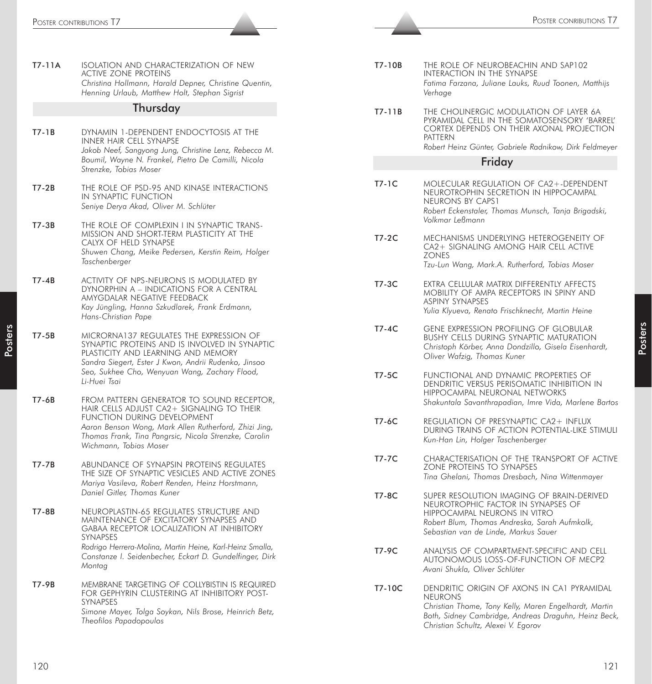| ISOLATION AND CHARACTERIZATION OF NEW<br><b>ACTIVE ZONE PROTEINS</b><br>Christina Hollmann, Harald Depner, Christine Quentin,<br>Henning Urlaub, Matthew Holt, Stephan Sigrist                                       | T7-10B       | THE ROLE OF NEUROBEACHIN AND SAP102                                                                                                                                                                                  |
|----------------------------------------------------------------------------------------------------------------------------------------------------------------------------------------------------------------------|--------------|----------------------------------------------------------------------------------------------------------------------------------------------------------------------------------------------------------------------|
|                                                                                                                                                                                                                      |              |                                                                                                                                                                                                                      |
|                                                                                                                                                                                                                      |              | INTERACTION IN THE SYNAPSE<br>Fatima Farzana, Juliane Lauks, Ruud Toonen, Matthijs<br>Verhage                                                                                                                        |
| Thursday                                                                                                                                                                                                             | T7-11B       | THE CHOLINERGIC MODULATION OF LAYER 6A<br>PYRAMIDAL CELL IN THE SOMATOSENSORY 'BARREL'                                                                                                                               |
| DYNAMIN 1-DEPENDENT ENDOCYTOSIS AT THE<br>INNER HAIR CELL SYNAPSE<br>Jakob Neef, Sangyong Jung, Christine Lenz, Rebecca M.                                                                                           |              | CORTEX DEPENDS ON THEIR AXONAL PROJECTION<br>PATTERN<br>Robert Heinz Günter, Gabriele Radnikow, Dirk Feldmeyer                                                                                                       |
| Boumil, Wayne N. Frankel, Pietro De Camilli, Nicola<br>Strenzke, Tobias Moser                                                                                                                                        |              | Friday                                                                                                                                                                                                               |
| THE ROLE OF PSD-95 AND KINASE INTERACTIONS<br>IN SYNAPTIC FUNCTION<br>Seniye Derya Akad, Oliver M. Schlüter                                                                                                          | T7-1C        | MOLECULAR REGULATION OF CA2+-DEPENDENT<br>NEUROTROPHIN SECRETION IN HIPPOCAMPAL<br>NEURONS BY CAPS1<br>Robert Eckenstaler, Thomas Munsch, Tanja Brigadski,<br>Volkmar Leßmann                                        |
| THE ROLE OF COMPLEXIN I IN SYNAPTIC TRANS-<br>MISSION AND SHORT-TERM PLASTICITY AT THE<br>CALYX OF HELD SYNAPSE<br>Shuwen Chang, Meike Pedersen, Kerstin Reim, Holger<br>Taschenberger                               | $T7-2C$      | MECHANISMS UNDERLYING HETEROGENEITY OF<br>CA2+ SIGNALING AMONG HAIR CELL ACTIVE<br><b>ZONES</b><br>Tzu-Lun Wang, Mark.A. Rutherford, Tobias Moser                                                                    |
| ACTIVITY OF NPS-NEURONS IS MODULATED BY<br>DYNORPHIN A - INDICATIONS FOR A CENTRAL<br>AMYGDALAR NEGATIVE FEEDBACK<br>Kay Jüngling, Hanna Szkudlarek, Frank Erdmann,<br>Hans-Christian Pape                           | T7-3C        | EXTRA CELLULAR MATRIX DIFFERENTLY AFFECTS<br>MOBILITY OF AMPA RECEPTORS IN SPINY AND<br><b>ASPINY SYNAPSES</b><br>Yulia Klyueva, Renato Frischknecht, Martin Heine                                                   |
| MICRORNA137 REGULATES THE EXPRESSION OF<br>SYNAPTIC PROTEINS AND IS INVOLVED IN SYNAPTIC<br>PLASTICITY AND LEARNING AND MEMORY<br>Sandra Siegert, Ester J Kwon, Andrii Rudenko, Jinsoo                               | $T7-4C$      | <b>GENE EXPRESSION PROFILING OF GLOBULAR</b><br><b>BUSHY CELLS DURING SYNAPTIC MATURATION</b><br>Christoph Körber, Anna Dondzillo, Gisela Eisenhardt,<br>Oliver Wafzig, Thomas Kuner                                 |
| Seo, Sukhee Cho, Wenyuan Wang, Zachary Flood,<br>Li-Huei Tsai<br>FROM PATTERN GENERATOR TO SOUND RECEPTOR,                                                                                                           | $T7-5C$      | FUNCTIONAL AND DYNAMIC PROPERTIES OF<br>DENDRITIC VERSUS PERISOMATIC INHIBITION IN<br>HIPPOCAMPAL NEURONAL NETWORKS                                                                                                  |
| HAIR CELLS ADJUST CA2+ SIGNALING TO THEIR<br>FUNCTION DURING DEVELOPMENT<br>Aaron Benson Wong, Mark Allen Rutherford, Zhizi Jing,<br>Thomas Frank, Tina Pangrsic, Nicola Strenzke, Carolin<br>Wichmann, Tobias Moser | T7-6C        | Shakuntala Savanthrapadian, Imre Vida, Marlene Bartos<br>REGULATION OF PRESYNAPTIC CA2+ INFLUX<br>DURING TRAINS OF ACTION POTENTIAL-LIKE STIMULI<br>Kun-Han Lin, Holger Taschenberger                                |
| ABUNDANCE OF SYNAPSIN PROTEINS REGULATES<br>THE SIZE OF SYNAPTIC VESICLES AND ACTIVE ZONES<br>Mariya Vasileva, Robert Renden, Heinz Horstmann,                                                                       | <b>T7-7C</b> | CHARACTERISATION OF THE TRANSPORT OF ACTIVE<br>ZONE PROTEINS TO SYNAPSES<br>Tina Ghelani, Thomas Dresbach, Nina Wittenmayer                                                                                          |
| Daniel Gitler, Thomas Kuner<br>NEUROPLASTIN-65 REGULATES STRUCTURE AND<br>MAINTENANCE OF EXCITATORY SYNAPSES AND<br><b>GABAA RECEPTOR LOCALIZATION AT INHIBITORY</b><br>SYNAPSES                                     | <b>T7-8C</b> | SUPER RESOLUTION IMAGING OF BRAIN-DERIVED<br>NEUROTROPHIC FACTOR IN SYNAPSES OF<br>HIPPOCAMPAL NEURONS IN VITRO<br>Robert Blum, Thomas Andreska, Sarah Aufmkolk,<br>Sebastian van de Linde, Markus Sauer             |
| Rodrigo Herrera-Molina, Martin Heine, Karl-Heinz Smalla,<br>Constanze I. Seidenbecher, Eckart D. Gundelfinger, Dirk<br>Montag                                                                                        | T7-9C        | ANALYSIS OF COMPARTMENT-SPECIFIC AND CELL<br>AUTONOMOUS LOSS-OF-FUNCTION OF MECP2<br>Avani Shukla, Oliver Schlüter                                                                                                   |
| MEMBRANE TARGETING OF COLLYBISTIN IS REQUIRED<br>FOR GEPHYRIN CLUSTERING AT INHIBITORY POST-<br>SYNAPSES<br>Simone Mayer, Tolga Soykan, Nils Brose, Heinrich Betz,<br>Theofilos Papadopoulos                         | T7-10C       | DENDRITIC ORIGIN OF AXONS IN CA1 PYRAMIDAL<br><b>NEURONS</b><br>Christian Thome, Tony Kelly, Maren Engelhardt, Martin<br>Both, Sidney Cambridge, Andreas Draguhn, Heinz Beck,<br>Christian Schultz, Alexei V. Egorov |
|                                                                                                                                                                                                                      |              |                                                                                                                                                                                                                      |

| T7-10B  | THE ROLE OF NEUROBEACHIN AND SAP102<br>INTERACTION IN THE SYNAPSE<br>Fatima Farzana, Juliane Lauks, Ruud Toonen, Matthijs<br>Verhage                                                                     |
|---------|----------------------------------------------------------------------------------------------------------------------------------------------------------------------------------------------------------|
| T7-11B  | THE CHOLINERGIC MODULATION OF LAYER 6A<br>PYRAMIDAL CELL IN THE SOMATOSENSORY 'BARREL'<br>CORTEX DEPENDS ON THEIR AXONAL PROJECTION<br>PATTERN<br>Robert Heinz Günter, Gabriele Radnikow, Dirk Feldmeyer |
|         | Friday                                                                                                                                                                                                   |
| $T7-1C$ | MOLECULAR REGULATION OF CA2+-DEPENDENT<br>NEUROTROPHIN SECRETION IN HIPPOCAMPAL<br>NEURONS BY CAPS1<br>Robert Eckenstaler, Thomas Munsch, Tanja Brigadski,<br>Volkmar Leßmann                            |
| $T7-2C$ | MECHANISMS UNDERLYING HETEROGENEITY OF<br>CA2+ SIGNALING AMONG HAIR CELL ACTIVE<br><b>ZONES</b><br>Tzu-Lun Wang, Mark.A. Rutherford, Tobias Moser                                                        |
| T7-3C   | EXTRA CELLULAR MATRIX DIFFERENTLY AFFECTS<br>MOBILITY OF AMPA RECEPTORS IN SPINY AND<br><b>ASPINY SYNAPSES</b><br>Yulia Klyueva, Renato Frischknecht, Martin Heine                                       |
| $T7-4C$ | <b>GENE EXPRESSION PROFILING OF GLOBULAR</b><br><b>BUSHY CELLS DURING SYNAPTIC MATURATION</b><br>Christoph Körber, Anna Dondzillo, Gisela Eisenhardt,<br>Oliver Wafzig, Thomas Kuner                     |
| T7-5C   | FUNCTIONAL AND DYNAMIC PROPERTIES OF<br>DENDRITIC VERSUS PERISOMATIC INHIBITION IN<br>HIPPOCAMPAL NEURONAL NETWORKS<br>Shakuntala Savanthrapadian, Imre Vida, Marlene Bartos                             |
| $T7-6C$ | REGULATION OF PRESYNAPTIC CA2+ INFLUX<br>DURING TRAINS OF ACTION POTENTIAL-LIKE STIMULI<br>Kun-Han Lin, Holger Taschenberger                                                                             |
| T7-7C   | CHARACTERISATION OF THE TRANSPORT OF ACTIVE<br>ZONE PROTEINS TO SYNAPSES<br>Tina Ghelani, Thomas Dresbach, Nina Wittenmayer                                                                              |
| T7-8C   | SUPER RESOLUTION IMAGING OF BRAIN-DERIVED<br>NEUROTROPHIC FACTOR IN SYNAPSES OF<br>HIPPOCAMPAL NEURONS IN VITRO<br>Robert Blum, Thomas Andreska, Sarah Aufmkolk,<br>Sebastian van de Linde, Markus Sauer |
| T7-9C   | ANALYSIS OF COMPARTMENT-SPECIFIC AND CELL<br>AUTONOMOUS LOSS-OF-FUNCTION OF MECP2<br>Avani Shukla, Oliver Schlüter                                                                                       |
| T7-10C  | DENDRITIC ORIGIN OF AXONS IN CA1 PYRAMIDAL<br><b>NEURONS</b>                                                                                                                                             |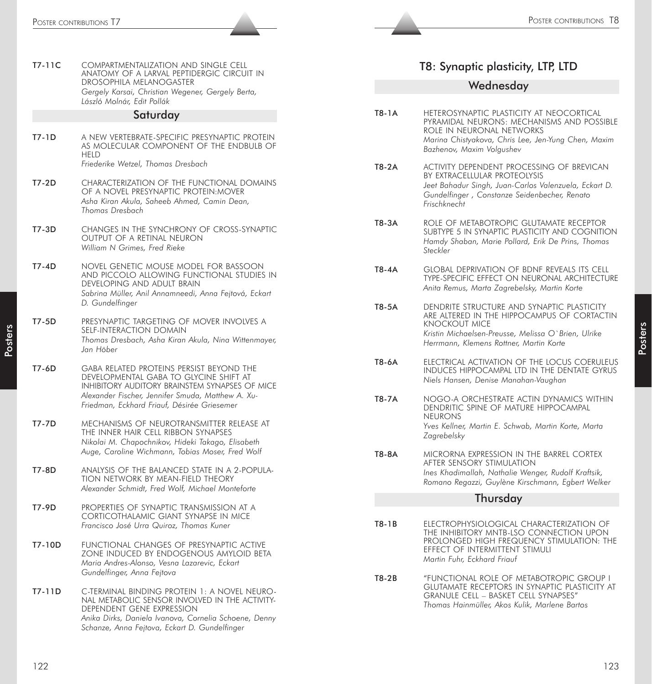|          | POSTER CONTRIBUTIONS T7                                                                                                                                                               |              | POSTER CONTRIBUTIONS T8                                                                                                                                     |
|----------|---------------------------------------------------------------------------------------------------------------------------------------------------------------------------------------|--------------|-------------------------------------------------------------------------------------------------------------------------------------------------------------|
|          |                                                                                                                                                                                       |              |                                                                                                                                                             |
| $T7-11C$ | COMPARTMENTALIZATION AND SINGLE CELL<br>ANATOMY OF A LARVAL PEPTIDERGIC CIRCUIT IN                                                                                                    |              | T8: Synaptic plasticity, LTP, LTD                                                                                                                           |
|          | DROSOPHILA MELANOGASTER<br>Gergely Karsai, Christian Wegener, Gergely Berta,<br>László Molnár, Edit Pollák                                                                            |              | Wednesday                                                                                                                                                   |
|          | Saturday                                                                                                                                                                              | T8-1A        | HETEROSYNAPTIC PLASTICITY AT NEOCORTICAL                                                                                                                    |
| T7-1D    | A NEW VERTEBRATE-SPECIFIC PRESYNAPTIC PROTEIN<br>AS MOLECULAR COMPONENT OF THE ENDBULB OF<br>HELD                                                                                     |              | PYRAMIDAL NEURONS: MECHANISMS AND POSSIBLE<br>ROLE IN NEURONAL NETWORKS<br>Marina Chistyakova, Chris Lee, Jen-Yung Chen, Maxim<br>Bazhenov, Maxim Volgushev |
|          | Friederike Wetzel, Thomas Dresbach                                                                                                                                                    | T8-2A        | ACTIVITY DEPENDENT PROCESSING OF BREVICAN<br>BY EXTRACELLULAR PROTEOLYSIS                                                                                   |
| $T7-2D$  | CHARACTERIZATION OF THE FUNCTIONAL DOMAINS<br>OF A NOVEL PRESYNAPTIC PROTEIN: MOVER<br>Asha Kiran Akula, Saheeb Ahmed, Camin Dean,<br><b>Thomas Dresbach</b>                          |              | Jeet Bahadur Singh, Juan-Carlos Valenzuela, Eckart D.<br>Gundelfinger, Constanze Seidenbecher, Renato<br>Frischknecht                                       |
| T7-3D    | CHANGES IN THE SYNCHRONY OF CROSS-SYNAPTIC<br>OUTPUT OF A RETINAL NEURON<br>William N Grimes, Fred Rieke                                                                              | T8-3A        | ROLE OF METABOTROPIC GLUTAMATE RECEPTOR<br>SUBTYPE 5 IN SYNAPTIC PLASTICITY AND COGNITION<br>Hamdy Shaban, Marie Pollard, Erik De Prins, Thomas<br>Steckler |
| $T7-4D$  | NOVEL GENETIC MOUSE MODEL FOR BASSOON<br>AND PICCOLO ALLOWING FUNCTIONAL STUDIES IN<br>DEVELOPING AND ADULT BRAIN<br>Sabrina Müller, Anil Annamneedi, Anna Fejtová, Eckart            | T8-4A        | <b>GLOBAL DEPRIVATION OF BDNF REVEALS ITS CELL</b><br>TYPE-SPECIFIC EFFECT ON NEURONAL ARCHITECTURE<br>Anita Remus, Marta Zagrebelsky, Martin Korte         |
| $T7-5D$  | D. Gundelfinger<br>PRESYNAPTIC TARGETING OF MOVER INVOLVES A<br>SELF-INTERACTION DOMAIN                                                                                               | T8-5A        | DENDRITE STRUCTURE AND SYNAPTIC PLASTICITY<br>ARE ALTERED IN THE HIPPOCAMPUS OF CORTACTIN<br><b>KNOCKOUT MICE</b>                                           |
|          | Thomas Dresbach, Asha Kiran Akula, Nina Wittenmayer,<br>Jan Höber                                                                                                                     |              | Kristin Michaelsen-Preusse, Melissa O'Brien, Ulrike<br>Herrmann, Klemens Rottner, Martin Korte                                                              |
|          | <b>GABA RELATED PROTEINS PERSIST BEYOND THE</b><br>DEVELOPMENTAL GABA TO GLYCINE SHIFT AT<br>INHIBITORY AUDITORY BRAINSTEM SYNAPSES OF MICE                                           | T8-6A        | ELECTRICAL ACTIVATION OF THE LOCUS COERULEUS<br>INDUCES HIPPOCAMPAL LTD IN THE DENTATE GYRUS<br>Niels Hansen, Denise Manahan-Vaughan                        |
|          | Alexander Fischer, Jennifer Smuda, Matthew A. Xu-<br>Friedman, Eckhard Friauf, Désirée Griesemer                                                                                      | <b>T8-7A</b> | NOGO-A ORCHESTRATE ACTIN DYNAMICS WITHIN<br>DENDRITIC SPINE OF MATURE HIPPOCAMPAL<br><b>NEURONS</b>                                                         |
|          | MECHANISMS OF NEUROTRANSMITTER RELEASE AT<br>THE INNER HAIR CELL RIBBON SYNAPSES<br>Nikolai M. Chapochnikov, Hideki Takago, Elisabeth                                                 |              | Yves Kellner, Martin E. Schwab, Martin Korte, Marta<br>Zagrebelsky                                                                                          |
|          | Auge, Caroline Wichmann, Tobias Moser, Fred Wolf<br>ANALYSIS OF THE BALANCED STATE IN A 2-POPULA-                                                                                     | <b>T8-8A</b> | MICRORNA EXPRESSION IN THE BARREL CORTEX<br>AFTER SENSORY STIMULATION<br>Ines Khadimallah, Nathalie Wenger, Rudolf Kraftsik,                                |
|          | TION NETWORK BY MEAN-FIELD THEORY<br>Alexander Schmidt, Fred Wolf, Michael Monteforte                                                                                                 |              | Romano Regazzi, Guylène Kirschmann, Egbert Welker                                                                                                           |
| T7-9D    | PROPERTIES OF SYNAPTIC TRANSMISSION AT A                                                                                                                                              |              | Thursday                                                                                                                                                    |
|          | CORTICOTHALAMIC GIANT SYNAPSE IN MICE<br>Francisco José Urra Quiroz, Thomas Kuner                                                                                                     | $T8-1B$      | ELECTROPHYSIOLOGICAL CHARACTERIZATION OF<br>THE INHIBITORY MNTB-LSO CONNECTION UPON                                                                         |
| T7-10D   | FUNCTIONAL CHANGES OF PRESYNAPTIC ACTIVE<br>ZONE INDUCED BY ENDOGENOUS AMYLOID BETA<br>Maria Andres-Alonso, Vesna Lazarevic, Eckart                                                   |              | PROLONGED HIGH FREQUENCY STIMULATION: THE<br>EFFECT OF INTERMITTENT STIMULI<br>Martin Fuhr, Eckhard Friauf                                                  |
| T7-11D   | Gundelfinger, Anna Fejtova<br>C-TERMINAL BINDING PROTEIN 1: A NOVEL NEURO-                                                                                                            | T8-2B        | "FUNCTIONAL ROLE OF METABOTROPIC GROUP I<br><b>GLUTAMATE RECEPTORS IN SYNAPTIC PLASTICITY AT</b>                                                            |
|          | NAL METABOLIC SENSOR INVOLVED IN THE ACTIVITY-<br>DEPENDENT GENE EXPRESSION<br>Anika Dirks, Daniela Ivanova, Cornelia Schoene, Denny<br>Schanze, Anna Fejtova, Eckart D. Gundelfinger |              | <b>GRANULE CELL - BASKET CELL SYNAPSES"</b><br>Thomas Hainmüller, Akos Kulik, Marlene Bartos                                                                |
|          |                                                                                                                                                                                       |              |                                                                                                                                                             |
| 122      |                                                                                                                                                                                       |              | 123                                                                                                                                                         |

## T8: Synaptic plasticity, LTP, LTD

#### **Wednesday**

- T8-1A HETEROSYNAPTIC PLASTICITY AT NEOCORTICAL PYRAMIDAL NEURONS: MECHANISMS AND POSSIBLE ROLE IN NEURONAL NETWORKS *Marina Chistyakova, Chris Lee, Jen-Yung Chen, Maxim Bazhenov, Maxim Volgushev*
- T8-2A ACTIVITY DEPENDENT PROCESSING OF BREVICAN BY EXTRACELLULAR PROTEOLYSIS *Jeet Bahadur Singh, Juan-Carlos Valenzuela, Eckart D. Gundelfinger , Constanze Seidenbecher, Renato Frischknecht*
- T8-3A ROLE OF METABOTROPIC GLUTAMATE RECEPTOR SUBTYPE 5 IN SYNAPTIC PLASTICITY AND COGNITION *Hamdy Shaban, Marie Pollard, Erik De Prins, Thomas Steckler*
- T8-4A GLOBAL DEPRIVATION OF BDNF REVEALS ITS CELL TYPE-SPECIFIC EFFECT ON NEURONAL ARCHITECTURE *Anita Remus, Marta Zagrebelsky, Martin Korte*
- T8-5A DENDRITE STRUCTURE AND SYNAPTIC PLASTICITY ARE ALTERED IN THE HIPPOCAMPUS OF CORTACTIN KNOCKOUT MICE *Kristin Michaelsen-Preusse, Melissa O`Brien, Ulrike Herrmann, Klemens Rottner, Martin Korte*
- T8-6A ELECTRICAL ACTIVATION OF THE LOCUS COERULEUS INDUCES HIPPOCAMPAL LTD IN THE DENTATE GYRUS *Niels Hansen, Denise Manahan-Vaughan*
- T8-7A NOGO-A ORCHESTRATE ACTIN DYNAMICS WITHIN DENDRITIC SPINE OF MATURE HIPPOCAMPAL NEURONS *Yves Kellner, Martin E. Schwab, Martin Korte, Marta Zagrebelsky*
- T8-8A MICRORNA EXPRESSION IN THE BARREL CORTEX AFTER SENSORY STIMULATION *Ines Khadimallah, Nathalie Wenger, Rudolf Kraftsik, Romano Regazzi, Guylène Kirschmann, Egbert Welker*

#### Thursday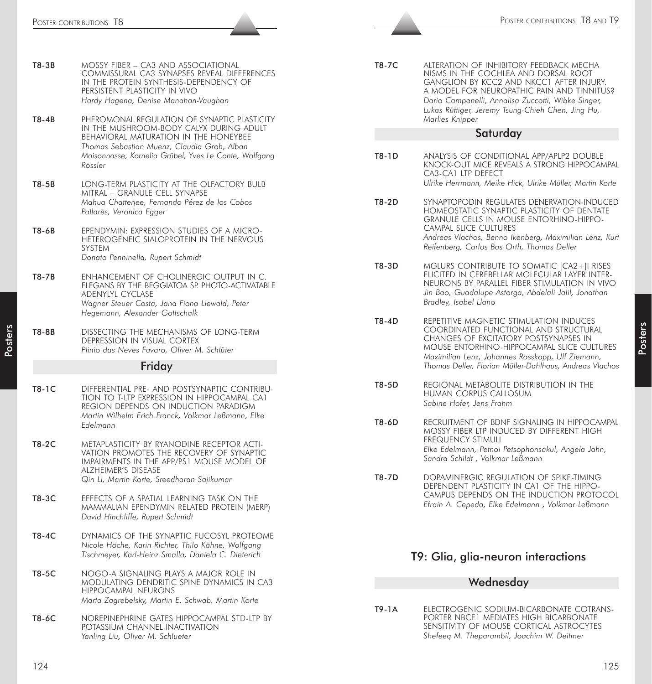| T8-3B | mossy fiber – ca3 and associational<br>COMMISSURAL CA3 SYNAPSES REVEAL DIFFERENCES<br>IN THE PROTEIN SYNTHESIS-DEPENDENCY OF<br>PERSISTENT PLASTICITY IN VIVO<br>Hardy Hagena, Denise Manahan-Vaughan                                                      |
|-------|------------------------------------------------------------------------------------------------------------------------------------------------------------------------------------------------------------------------------------------------------------|
| T8-4B | PHEROMONAL REGULATION OF SYNAPTIC PLASTICITY<br>IN THE MUSHROOM-BODY CALYX DURING ADULT<br><b>BEHAVIORAL MATURATION IN THE HONEYBEE</b><br>Thomas Sebastian Muenz, Claudia Groh, Alban<br>Maisonnasse, Kornelia Grübel, Yves Le Conte, Wolfgang<br>Rössler |
| T8-5B | LONG-TERM PLASTICITY AT THE OLFACTORY BULB<br>MITRAL - GRANULE CELL SYNAPSE<br>Mahua Chatterjee, Fernando Pérez de los Cobos<br>Pallarés, Veronica Egger                                                                                                   |
| T8-6B | EPENDYMIN: EXPRESSION STUDIES OF A MICRO-<br>HETEROGENEIC SIALOPROTEIN IN THE NERVOUS<br>SYSTEM<br>Donato Penninella, Rupert Schmidt                                                                                                                       |
| T8-7B | ENHANCEMENT OF CHOLINERGIC OUTPUT IN C.<br>ELEGANS BY THE BEGGIATOA SP. PHOTO-ACTIVATABLE<br>ADENYLYL CYCLASE<br>Wagner Steuer Costa, Jana Fiona Liewald, Peter<br>Hegemann, Alexander Gottschalk                                                          |
| T8-8B | DISSECTING THE MECHANISMS OF LONG-TERM<br>DEPRESSION IN VISUAL CORTEX<br>Plinio das Neves Favaro, Oliver M. Schlüter                                                                                                                                       |
|       | Friday                                                                                                                                                                                                                                                     |
| T8-1C | DIFFERENTIAL PRE- AND POSTSYNAPTIC CONTRIBU-<br>tion to t-ltp expression in hippocampal ca1<br>REGION DEPENDS ON INDUCTION PARADIGM<br>Martin Wilhelm Erich Franck, Volkmar Leßmann, Elke<br>Edelmann                                                      |
| T8-2C | METAPLASTICITY BY RYANODINE RECEPTOR ACTI-<br>VATION PROMOTES THE RECOVERY OF SYNAPTIC<br>IMPAIRMENTS IN THE APP/PS1 MOUSE MODEL OF<br><b>ALZHEIMER'S DISEASE</b><br>Qin Li, Martin Korte, Sreedharan Sajikumar                                            |
| T8-3C | EFFECTS OF A SPATIAL LEARNING TASK ON THE<br>MAMMALIAN EPENDYMIN RELATED PROTEIN (MERP)<br>David Hinchliffe, Rupert Schmidt                                                                                                                                |
| T8-4C | DYNAMICS OF THE SYNAPTIC FUCOSYL PROTEOME<br>Nicole Höche, Karin Richter, Thilo Kähne, Wolfgang<br>Tischmeyer, Karl-Heinz Smalla, Daniela C. Dieterich                                                                                                     |
| T8-5C | nogo-a signaling plays a major role in<br>MODULATING DENDRITIC SPINE DYNAMICS IN CA3<br>hippocampal neurons                                                                                                                                                |

T8-6C NOREPINEPHRINE GATES HIPPOCAMPAL STD-LTP BY POTASSIUM CHANNEL INACTIVATION *Yanling Liu, Oliver M. Schlueter*

*Marta Zagrebelsky, Martin E. Schwab, Martin Korte*

T8-7C ALTERATION OF INHIBITORY FEEDBACK MECHA NISMS IN THE COCHLEA AND DORSAL ROOT GANGLION BY KCC2 AND NKCC1 AFTER INJURY. A MODEL FOR NEUROPATHIC PAIN AND TINNITUS? *Dario Campanelli, Annalisa Zuccotti, Wibke Singer, Lukas Rüttiger, Jeremy Tsung-Chieh Chen, Jing Hu, Marlies Knipper*

#### Saturday

- T8-1D ANALYSIS OF CONDITIONAL APP/APLP2 DOUBLE KNOCK-OUT MICE REVEALS A STRONG HIPPOCAMPAL CA3-CA1 LTP DEFECT *Ulrike Herrmann, Meike Hick, Ulrike Müller, Martin Korte*
- T8-2D SYNAPTOPODIN REGULATES DENERVATION-INDUCED HOMEOSTATIC SYNAPTIC PLASTICITY OF DENTATE GRANULE CELLS IN MOUSE ENTORHINO-HIPPO-CAMPAL SLICE CULTURES *Andreas Vlachos, Benno Ikenberg, Maximilian Lenz, Kurt Reifenberg, Carlos Bas Orth, Thomas Deller*
- T8-3D MGLURS CONTRIBUTE TO SOMATIC [CA2+]I RISES ELICITED IN CEREBELLAR MOLECULAR LAYER INTER-NEURONS BY PARALLEL FIBER STIMULATION IN VIVO *Jin Bao, Guadalupe Astorga, Abdelali Jalil, Jonathan Bradley, Isabel Llano*
- T8-4D REPETITIVE MAGNETIC STIMULATION INDUCES COORDINATED FUNCTIONAL AND STRUCTURAL CHANGES OF EXCITATORY POSTSYNAPSES IN MOUSE ENTORHINO-HIPPOCAMPAL SLICE CULTURES *Maximilian Lenz, Johannes Rosskopp, Ulf Ziemann, Thomas Deller, Florian Müller-Dahlhaus, Andreas Vlachos*
- T8-5D REGIONAL METABOLITE DISTRIBUTION IN THE HUMAN CORPUS CALLOSUM *Sabine Hofer, Jens Frahm*
- T8-6D RECRUITMENT OF BDNF SIGNALING IN HIPPOCAMPAL MOSSY FIBER LTP INDUCED BY DIFFERENT HIGH FREQUENCY STIMULI *Elke Edelmann, Petnoi Petsophonsakul, Angela Jahn, Sandra Schildt , Volkmar Leßmann*
- T8-7D DOPAMINERGIC REGULATION OF SPIKE-TIMING DEPENDENT PLASTICITY IN CA1 OF THE HIPPO-CAMPUS DEPENDS ON THE INDUCTION PROTOCOL *Efrain A. Cepeda, Elke Edelmann , Volkmar Leßmann*

# T9: Glia, glia-neuron interactions

### **Wednesdav**

T9-1A ELECTROGENIC SODIUM-BICARBONATE COTRANS-PORTER NBCE1 MEDIATES HIGH BICARBONATE SENSITIVITY OF MOUSE CORTICAL ASTROCYTES *Shefeeq M. Theparambil, Joachim W. Deitmer*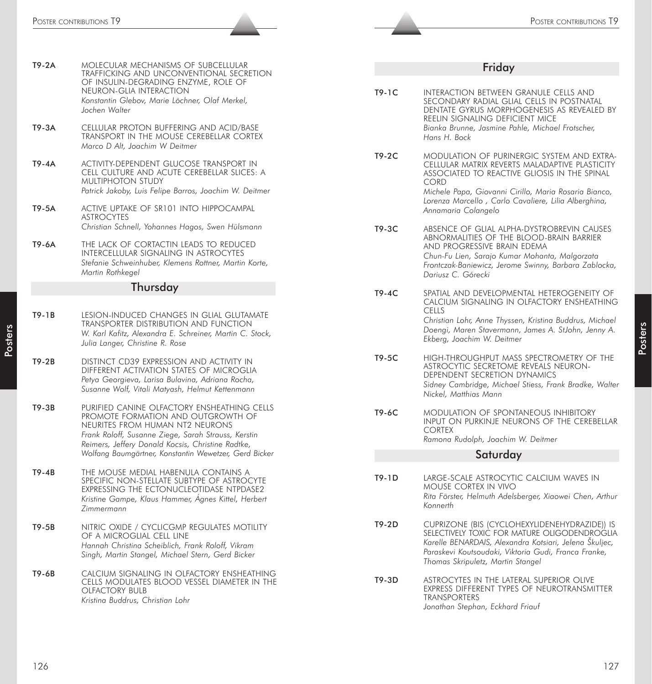|         | Poster contributions T9                                                                                                                                                                     |         | POSTER CONTRIBUTIONS 19                                                                                                                                                                                                                              |
|---------|---------------------------------------------------------------------------------------------------------------------------------------------------------------------------------------------|---------|------------------------------------------------------------------------------------------------------------------------------------------------------------------------------------------------------------------------------------------------------|
|         |                                                                                                                                                                                             |         |                                                                                                                                                                                                                                                      |
| T9-2A   | MOLECULAR MECHANISMS OF SUBCELLULAR<br>TRAFFICKING AND UNCONVENTIONAL SECRETION                                                                                                             |         | Friday                                                                                                                                                                                                                                               |
|         | OF INSULIN-DEGRADING ENZYME, ROLE OF<br>NEURON-GLIA INTERACTION<br>Konstantin Glebov, Marie Löchner, Olaf Merkel,<br>Jochen Walter                                                          | $T9-1C$ | INTERACTION BETWEEN GRANULE CELLS AND<br>SECONDARY RADIAL GLIAL CELLS IN POSTNATAL<br>DENTATE GYRUS MORPHOGENESIS AS REVEALED BY                                                                                                                     |
| T9-3A   | CELLULAR PROTON BUFFERING AND ACID/BASE<br>TRANSPORT IN THE MOUSE CEREBELLAR CORTEX<br>Marco D Alt, Joachim W Deitmer                                                                       |         | REELIN SIGNALING DEFICIENT MICE<br>Bianka Brunne, Jasmine Pahle, Michael Frotscher,<br>Hans H. Bock                                                                                                                                                  |
| T9-4A   | ACTIVITY-DEPENDENT GLUCOSE TRANSPORT IN<br>CELL CULTURE AND ACUTE CEREBELLAR SLICES: A<br><b>MULTIPHOTON STUDY</b>                                                                          | T9-2C   | MODULATION OF PURINERGIC SYSTEM AND EXTRA-<br>CELLULAR MATRIX REVERTS MALADAPTIVE PLASTICITY<br>ASSOCIATED TO REACTIVE GLIOSIS IN THE SPINAL<br><b>CORD</b>                                                                                          |
| $T9-5A$ | Patrick Jakoby, Luis Felipe Barros, Joachim W. Deitmer<br>ACTIVE UPTAKE OF SR101 INTO HIPPOCAMPAL<br><b>ASTROCYTES</b>                                                                      |         | Michele Papa, Giovanni Cirillo, Maria Rosaria Bianco,<br>Lorenza Marcello, Carlo Cavaliere, Lilia Alberghina,<br>Annamaria Colangelo                                                                                                                 |
|         | Christian Schnell, Yohannes Hagos, Swen Hülsmann                                                                                                                                            | T9-3C   | ABSENCE OF GLIAL ALPHA-DYSTROBREVIN CAUSES                                                                                                                                                                                                           |
| T9-6A   | THE LACK OF CORTACTIN LEADS TO REDUCED<br>INTERCELLULAR SIGNALING IN ASTROCYTES<br>Stefanie Schweinhuber, Klemens Rottner, Martin Korte,<br>Martin Rothkegel                                |         | ABNORMALITIES OF THE BLOOD-BRAIN BARRIER<br>AND PROGRESSIVE BRAIN EDEMA<br>Chun-Fu Lien, Sarajo Kumar Mohanta, Malgorzata<br>Frontczak-Baniewicz, Jerome Swinny, Barbara Zablocka,<br>Dariusz C. Górecki                                             |
|         | Thursday                                                                                                                                                                                    |         |                                                                                                                                                                                                                                                      |
| $T9-1B$ | LESION-INDUCED CHANGES IN GLIAL GLUTAMATE                                                                                                                                                   | $T9-4C$ | SPATIAL AND DEVELOPMENTAL HETEROGENEITY OF<br>CALCIUM SIGNALING IN OLFACTORY ENSHEATHING<br><b>CELLS</b>                                                                                                                                             |
|         | TRANSPORTER DISTRIBUTION AND FUNCTION<br>W. Karl Kafitz, Alexandra E. Schreiner, Martin C. Stock,<br>Julia Langer, Christine R. Rose                                                        |         | Christian Lohr, Anne Thyssen, Kristina Buddrus, Michael<br>Doengi, Maren Stavermann, James A. StJohn, Jenny A.<br>Ekberg, Joachim W. Deitmer                                                                                                         |
| $T9-2B$ | DISTINCT CD39 EXPRESSION AND ACTIVITY IN<br>DIFFERENT ACTIVATION STATES OF MICROGLIA<br>Petya Georgieva, Larisa Bulavina, Adriana Rocha,<br>Susanne Wolf, Vitali Matyash, Helmut Kettenmann | T9-5C   | HIGH-THROUGHPUT MASS SPECTROMETRY OF THE<br>ASTROCYTIC SECRETOME REVEALS NEURON-<br>DEPENDENT SECRETION DYNAMICS<br>Sidney Cambridge, Michael Stiess, Frank Bradke, Walter<br>Nickel, Matthias Mann                                                  |
| $T9-3B$ | PURIFIED CANINE OLFACTORY ENSHEATHING CELLS<br>PROMOTE FORMATION AND OUTGROWTH OF<br>NEURITES FROM HUMAN NT2 NEURONS<br>Frank Roloff, Susanne Ziege, Sarah Strauss, Kerstin                 | T9-6C   | MODULATION OF SPONTANEOUS INHIBITORY<br>INPUT ON PURKINJE NEURONS OF THE CEREBELLAR<br><b>CORTEX</b><br>Ramona Rudolph, Joachim W. Deitmer                                                                                                           |
|         | Reimers, Jeffery Donald Kocsis, Christine Radtke,<br>Wolfang Baumgärtner, Konstantin Wewetzer, Gerd Bicker                                                                                  |         | Saturday                                                                                                                                                                                                                                             |
| $T9-4B$ | THE MOUSE MEDIAL HABENULA CONTAINS A                                                                                                                                                        |         |                                                                                                                                                                                                                                                      |
|         | SPECIFIC NON-STELLATE SUBTYPE OF ASTROCYTE<br>EXPRESSING THE ECTONUCLEOTIDASE NTPDASE2<br>Kristine Gampe, Klaus Hammer, Ágnes Kittel, Herbert<br>Zimmermann                                 | T9-1D   | LARGE-SCALE ASTROCYTIC CALCIUM WAVES IN<br>MOUSE CORTEX IN VIVO<br>Rita Förster, Helmuth Adelsberger, Xiaowei Chen, Arthur<br>Konnerth                                                                                                               |
| $T9-5B$ | NITRIC OXIDE / CYCLICGMP REGULATES MOTILITY<br>OF A MICROGLIAL CELL LINE<br>Hannah Christina Scheiblich, Frank Roloff, Vikram<br>Singh, Martin Stangel, Michael Stern, Gerd Bicker          | T9-2D   | CUPRIZONE (BIS (CYCLOHEXYLIDENEHYDRAZIDE)) IS<br>SELECTIVELY TOXIC FOR MATURE OLIGODENDROGLIA<br>Karelle BENARDAIS, Alexandra Kotsiari, Jelena Škuljec,<br>Paraskevi Koutsoudaki, Viktoria Gudi, Franca Franke,<br>Thomas Skripuletz, Martin Stangel |
| T9-6B   | CALCIUM SIGNALING IN OLFACTORY ENSHEATHING<br>CELLS MODULATES BLOOD VESSEL DIAMETER IN THE<br>OLFACTORY BULB<br>Kristina Buddrus, Christian Lohr                                            | T9-3D   | ASTROCYTES IN THE LATERAL SUPERIOR OLIVE<br>EXPRESS DIFFERENT TYPES OF NEUROTRANSMITTER<br><b>TRANSPORTERS</b>                                                                                                                                       |
|         |                                                                                                                                                                                             |         | Jonathan Stephan, Eckhard Friauf                                                                                                                                                                                                                     |
| 126     |                                                                                                                                                                                             |         | 127                                                                                                                                                                                                                                                  |

# Friday

| T9-1C    | INTERACTION BETWEEN GRANULE CELLS AND<br>SECONDARY RADIAL GLIAL CELLS IN POSTNATAL<br>DENTATE GYRUS MORPHOGENESIS AS REVEALED BY<br>REELIN SIGNALING DEFICIENT MICE<br>Bianka Brunne, Jasmine Pahle, Michael Frotscher,<br>Hans H. Bock                                                             |  |  |
|----------|-----------------------------------------------------------------------------------------------------------------------------------------------------------------------------------------------------------------------------------------------------------------------------------------------------|--|--|
| $T9-2C$  | MODULATION OF PURINERGIC SYSTEM AND EXTRA-<br>CELLULAR MATRIX REVERTS MALADAPTIVE PLASTICITY<br>ASSOCIATED TO REACTIVE GLIOSIS IN THE SPINAL<br><b>CORD</b><br>Michele Papa, Giovanni Cirillo, Maria Rosaria Bianco,<br>Lorenza Marcello, Carlo Cavaliere, Lilia Alberghina,<br>Annamaria Colangelo |  |  |
| T9-3C    | ABSENCE OF GLIAL ALPHA-DYSTROBREVIN CAUSES<br>ABNORMALITIES OF THE BLOOD-BRAIN BARRIER<br>AND PROGRESSIVE BRAIN EDEMA<br>Chun-Fu Lien, Sarajo Kumar Mohanta, Malgorzata<br>Frontczak-Baniewicz, Jerome Swinny, Barbara Zablocka,<br>Dariusz C. Górecki                                              |  |  |
| T9-4C    | SPATIAL AND DEVELOPMENTAL HETEROGENEITY OF<br>CALCIUM SIGNALING IN OLFACTORY ENSHEATHING<br>CELLS<br>Christian Lohr, Anne Thyssen, Kristina Buddrus, Michael<br>Doengi, Maren Stavermann, James A. StJohn, Jenny A.<br>Ekberg, Joachim W. Deitmer                                                   |  |  |
| $T9-5C$  | HIGH-THROUGHPUT MASS SPECTROMETRY OF THE<br>ASTROCYTIC SECRETOME REVEALS NEURON-<br>DEPENDENT SECRETION DYNAMICS<br>Sidney Cambridge, Michael Stiess, Frank Bradke, Walter<br>Nickel, Matthias Mann                                                                                                 |  |  |
| T9-6C    | <b>MODULATION OF SPONTANEOUS INHIBITORY</b><br>INPUT ON PURKINJE NEURONS OF THE CEREBELLAR<br><b>CORTEX</b><br>Ramona Rudolph, Joachim W. Deitmer                                                                                                                                                   |  |  |
| Saturday |                                                                                                                                                                                                                                                                                                     |  |  |
| T9-1D    | LARGE-SCALE ASTROCYTIC CALCIUM WAVES IN<br><b>MOUSE CORTEX IN VIVO</b><br>Rita Förster, Helmuth Adelsberger, Xiaowei Chen, Arthur<br>Konnerth                                                                                                                                                       |  |  |
| T9-2D    | CUPRIZONE (BIS (CYCLOHEXYLIDENEHYDRAZIDE)) IS<br>SELECTIVELY TOXIC FOR MATURE OLIGODENDROGLIA<br>Karelle BENARDAIS, Alexandra Kotsiari, Jelena Škuljec,<br>Paraskevi Koutsoudaki, Viktoria Gudi, Franca Franke,<br>Thomas Skripuletz, Martin Stangel                                                |  |  |
| T9-3D    | ASTROCYTES IN THE LATERAL SUPERIOR OLIVE<br>EXPRESS DIFFERENT TYPES OF NEUROTRANSMITTER<br><b>TRANSPORTERS</b>                                                                                                                                                                                      |  |  |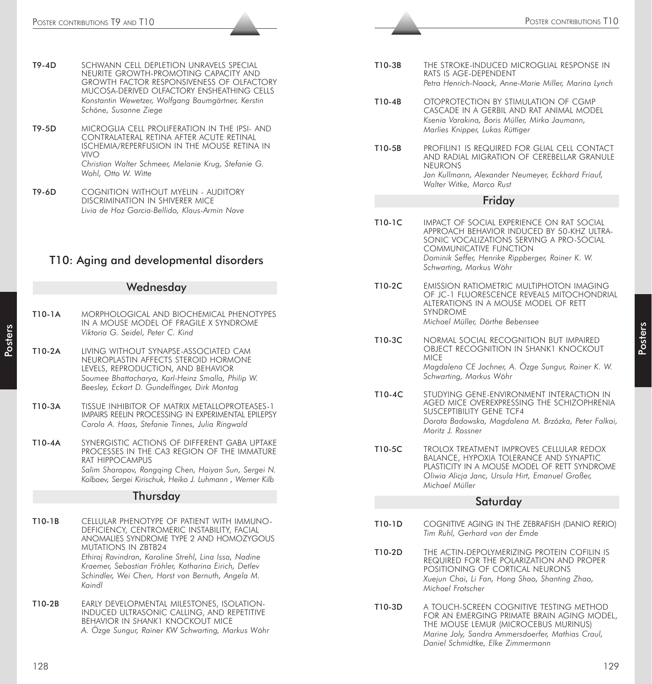- T9-4D SCHWANN CELL DEPLETION UNRAVELS SPECIAL NEURITE GROWTH-PROMOTING CAPACITY AND GROWTH FACTOR RESPONSIVENESS OF OLFACTORY MUCOSA-DERIVED OLFACTORY ENSHEATHING CELLS *Konstantin Wewetzer, Wolfgang Baumgärtner, Kerstin Schöne, Susanne Ziege*
- T9-5D MICROGLIA CELL PROLIFERATION IN THE IPSI- AND CONTRALATERAL RETINA AFTER ACUTE RETINAL ISCHEMIA/REPERFUSION IN THE MOUSE RETINA IN VIVO *Christian Walter Schmeer, Melanie Krug, Stefanie G. Wohl, Otto W. Witte*
- T9-6D COGNITION WITHOUT MYELIN AUDITORY DISCRIMINATION IN SHIVERER MICE *Livia de Hoz Garcia-Bellido, Klaus-Armin Nave*

# T10: Aging and developmental disorders

# **Wednesday**

- T10-1A MORPHOLOGICAL AND BIOCHEMICAL PHENOTYPES IN A MOUSE MODEL OF FRAGILE X SYNDROME *Viktoria G. Seidel, Peter C. Kind*
- T10-2A LIVING WITHOUT SYNAPSE-ASSOCIATED CAM NEUROPLASTIN AFFECTS STEROID HORMONE LEVELS, REPRODUCTION, AND BEHAVIOR *Soumee Bhattacharya, Karl-Heinz Smalla, Philip W. Beesley, Eckart D. Gundelfinger, Dirk Montag*
- T10-3A TISSUE INHIBITOR OF MATRIX METALLOPROTEASES-1 IMPAIRS REELIN PROCESSING IN EXPERIMENTAL EPILEPSY *Carola A. Haas, Stefanie Tinnes, Julia Ringwald*
- T10-4A SYNERGISTIC ACTIONS OF DIFFERENT GABA UPTAKE PROCESSES IN THE CA3 REGION OF THE IMMATURE RAT HIPPOCAMPUS *Salim Sharopov, Rongqing Chen, Haiyan Sun, Sergei N. Kolbaev, Sergei Kirischuk, Heiko J. Luhmann , Werner Kilb*

#### Thursday

- 128 129 Poster Contribution Contribution in the Contribution Contribution Contribution in the Contribution of the Contribution Contribution Contribution Contribution Contribution in the Contribution Contribution in the C T10-1B CELLULAR PHENOTYPE OF PATIENT WITH IMMUNO-DEFICIENCY, CENTROMERIC INSTABILITY, FACIAL ANOMALIES SYNDROME TYPE 2 AND HOMOZYGOUS MUTATIONS IN ZBTB24 *Ethiraj Ravindran, Karoline Strehl, Lina Issa, Nadine Kraemer, Sebastian Fröhler, Katharina Eirich, Detlev Schindler, Wei Chen, Horst von Bernuth, Angela M. Kaindl*
- T10-2B EARLY DEVELOPMENTAL MILESTONES, ISOLATION-INDUCED ULTRASONIC CALLING, AND REPETITIVE **BEHAVIOR IN SHANK1 KNOCKOUT MICE** *A. Özge Sungur, Rainer KW Schwarting, Markus Wöhr*
- T10-3B THE STROKE-INDUCED MICROGLIAL RESPONSE IN RATS IS AGE-DEPENDENT *Petra Henrich-Noack, Anne-Marie Miller, Marina Lynch*
- T10-4B OTOPROTECTION BY STIMULATION OF CGMP CASCADE IN A GERBIL AND RAT ANIMAL MODEL *Ksenia Varakina, Boris Müller, Mirko Jaumann, Marlies Knipper, Lukas Rüttiger*
- T10-5B PROFILIN1 IS REQUIRED FOR GLIAL CELL CONTACT AND RADIAL MIGRATION OF CEREBELLAR GRANULE NEURONS *Jan Kullmann, Alexander Neumeyer, Eckhard Friauf, Walter Witke, Marco Rust*

### Friday

- T10-1C IMPACT OF SOCIAL EXPERIENCE ON RAT SOCIAL APPROACH BEHAVIOR INDUCED BY 50-KHZ ULTRA-SONIC VOCALIZATIONS SERVING A PRO-SOCIAL COMMUNICATIVE FUNCTION *Dominik Seffer, Henrike Rippberger, Rainer K. W. Schwarting, Markus Wöhr*
- T10-2C EMISSION RATIOMETRIC MULTIPHOTON IMAGING OF JC-1 FLUORESCENCE REVEALS MITOCHONDRIAL ALTERATIONS IN A MOUSE MODEL OF RETT SYNDROME *Michael Müller, Dörthe Bebensee*
- T10-3C NORMAL SOCIAL RECOGNITION BUT IMPAIRED OBJECT RECOGNITION IN SHANK1 KNOCKOUT **MICE** *Magdalena CE Jochner, A. Özge Sungur, Rainer K. W. Schwarting, Markus Wöhr*
- T10-4C STUDYING GENE-ENVIRONMENT INTERACTION IN AGED MICE OVEREXPRESSING THE SCHIZOPHRENIA SUSCEPTIBILITY GENE TCF4 *Dorota Badowska, Magdalena M. Brzózka, Peter Falkai, Moritz J. Rossner*
- T10-5C TROLOX TREATMENT IMPROVES CELLULAR REDOX BALANCE, HYPOXIA TOLERANCE AND SYNAPTIC PLASTICITY IN A MOUSE MODEL OF RETT SYNDROME *Oliwia Alicja Janc, Ursula Hirt, Emanuel Großer, Michael Müller*

### Saturday

- T10-1D COGNITIVE AGING IN THE ZEBRAFISH (DANIO RERIO) *Tim Ruhl, Gerhard von der Emde*
- T10-2D THE ACTIN-DEPOLYMERIZING PROTEIN COFILIN IS REQUIRED FOR THE POLARIZATION AND PROPER POSITIONING OF CORTICAL NEURONS *Xuejun Chai, Li Fan, Hong Shao, Shanting Zhao, Michael Frotscher*
- T10-3D A TOUCH-SCREEN COGNITIVE TESTING METHOD FOR AN EMERGING PRIMATE BRAIN AGING MODEL, THE MOUSE LEMUR (MICROCEBUS MURINUS) *Marine Joly, Sandra Ammersdoerfer, Mathias Craul, Daniel Schmidtke, Elke Zimmermann*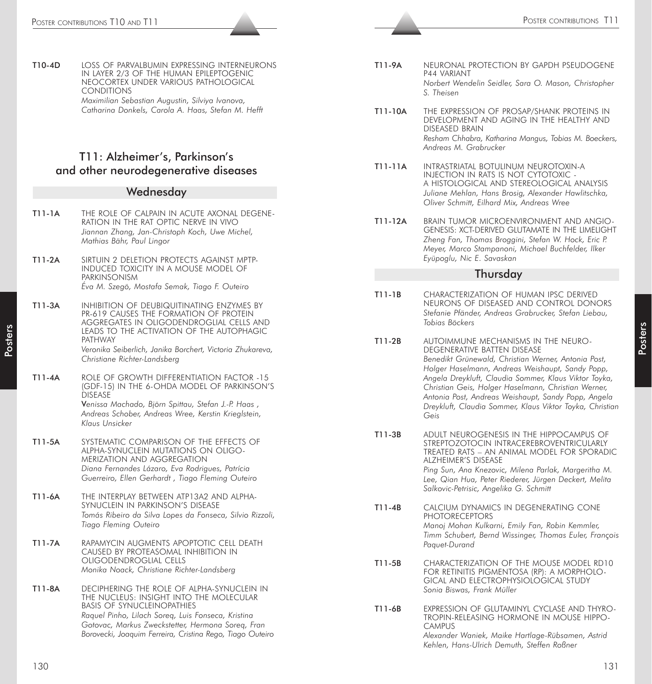T10-4D LOSS OF PARVALBUMIN EXPRESSING INTERNEURONS IN LAYER 2/3 OF THE HUMAN EPILEPTOGENIC NEOCORTEX UNDER VARIOUS PATHOLOGICAL CONDITIONS *Maximilian Sebastian Augustin, Silviya Ivanova, Catharina Donkels, Carola A. Haas, Stefan M. Hefft*

# T11: Alzheimer's, Parkinson's and other neurodegenerative diseases

#### **Wednesday**

- T11-1A THE ROLE OF CALPAIN IN ACUTE AXONAL DEGENE-RATION IN THE RAT OPTIC NERVE IN VIVO *Jiannan Zhang, Jan-Christoph Koch, Uwe Michel, Mathias Bähr, Paul Lingor*
- T11-2A SIRTUIN 2 DELETION PROTECTS AGAINST MPTP-INDUCED TOXICITY IN A MOUSE MODEL OF **PARKINSONISM** *Éva M. Szegö, Mostafa Semak, Tiago F. Outeiro*
- T11-3A INHIBITION OF DEUBIQUITINATING ENZYMES BY PR-619 CAUSES THE FORMATION OF PROTEIN AGGREGATES IN OLIGODENDROGLIAL CELLS AND LEADS TO THE ACTIVATION OF THE AUTOPHAGIC PATHWAY

*Veronika Seiberlich, Janika Borchert, Victoria Zhukareva, Christiane Richter-Landsberg*

T11-4A ROLE OF GROWTH DIFFERENTIATION FACTOR -15 (GDF-15) IN THE 6-OHDA MODEL OF PARKINSON'S DISEASE V*enissa Machado, Björn Spittau, Stefan J.-P. Haas ,*

*Andreas Schober, Andreas Wree, Kerstin Krieglstein, Klaus Unsicker*

- T11-5A SYSTEMATIC COMPARISON OF THE EFFECTS OF ALPHA-SYNUCLEIN MUTATIONS ON OLIGO-MERIZATION AND AGGREGATION *Diana Fernandes Lázaro, Eva Rodrigues, Patrícia Guerreiro, Ellen Gerhardt , Tiago Fleming Outeiro*
- T11-6A THE INTERPLAY BETWEEN ATP13A2 AND ALPHA-SYNUCLEIN IN PARKINSON'S DISEASE *Tomás Ribeiro da Silva Lopes da Fonseca, Silvio Rizzoli, Tiago Fleming Outeiro*
- T11-7A RAPAMYCIN AUGMENTS APOPTOTIC CELL DEATH CAUSED BY PROTEASOMAL INHIBITION IN OLIGODENDROGLIAL CELLS *Monika Noack, Christiane Richter-Landsberg*
- T11-8A DECIPHERING THE ROLE OF ALPHA-SYNUCLEIN IN THE NUCLEUS: INSIGHT INTO THE MOLECULAR BASIS OF SYNUCLEINOPATHIES *Raquel Pinho, Lilach Soreq, Luis Fonseca, Kristina Gotovac, Markus Zweckstetter, Hermona Soreq, Fran Borovecki, Joaquim Ferreira, Cristina Rego, Tiago Outeiro*
- T11-9A NEURONAL PROTECTION BY GAPDH PSEUDOGENE P44 VARIANT *Norbert Wendelin Seidler, Sara O. Mason, Christopher S. Theisen*
- T11-10A THE EXPRESSION OF PROSAP/SHANK PROTEINS IN DEVELOPMENT AND AGING IN THE HEALTHY AND DISEASED BRAIN *Resham Chhabra, Katharina Mangus, Tobias M. Boeckers, Andreas M. Grabrucker*
- T11-11A INTRASTRIATAL BOTULINUM NEUROTOXIN-A INJECTION IN RATS IS NOT CYTOTOXIC - A HISTOLOGICAL AND STEREOLOGICAL ANALYSIS *Juliane Mehlan, Hans Brosig, Alexander Hawlitschka, Oliver Schmitt, Eilhard Mix, Andreas Wree*
- T11-12A BRAIN TUMOR MICROENVIRONMENT AND ANGIO-GENESIS: XCT-DERIVED GLUTAMATE IN THE LIMELIGHT *Zheng Fan, Thomas Broggini, Stefan W. Hock, Eric P. Meyer, Marco Stampanoni, Michael Buchfelder, Ilker Eyüpoglu, Nic E. Savaskan*

#### **Thursday**

- T11-1B CHARACTERIZATION OF HUMAN IPSC DERIVED NEURONS OF DISEASED AND CONTROL DONORS *Stefanie Pfänder, Andreas Grabrucker, Stefan Liebau, Tobias Böckers*
- The state of the interest of the interest of the interest of the interest of the interest of the interest of the interest of the interest of the interest of the interest of the interest of the interest of the interest of T11-2B AUTOIMMUNE MECHANISMS IN THE NEURO-DEGENERATIVE BATTEN DISEASE *Benedikt Grünewald, Christian Werner, Antonia Post, Holger Haselmann, Andreas Weishaupt, Sandy Popp, Angela Dreykluft, Claudia Sommer, Klaus Viktor Toyka, Christian Geis, Holger Haselmann, Christian Werner, Antonia Post, Andreas Weishaupt, Sandy Popp, Angela Dreykluft, Claudia Sommer, Klaus Viktor Toyka, Christian Geis*
	- T11-3B ADULT NEUROGENESIS IN THE HIPPOCAMPUS OF STREPTOZOTOCIN INTRACEREBROVENTRICULARLY TREATED RATS – AN ANIMAL MODEL FOR SPORADIC ALZHEIMER'S DISEASE *Ping Sun, Ana Knezovic, Milena Parlak, Margeritha M. Lee, Qian Hua, Peter Riederer, Jürgen Deckert, Melita Salkovic-Petrisic, Angelika G. Schmitt*
	- T11-4B CALCIUM DYNAMICS IN DEGENERATING CONE **PHOTORECEPTORS** *Manoj Mohan Kulkarni, Emily Fan, Robin Kemmler, Timm Schubert, Bernd Wissinger, Thomas Euler, François Paquet-Durand*
	- T11-5B CHARACTERIZATION OF THE MOUSE MODEL RD10 FOR RETINITIS PIGMENTOSA (RP): A MORPHOLO-GICAL AND ELECTROPHYSIOLOGICAL STUDY *Sonia Biswas, Frank Müller*
	- T11-6B EXPRESSION OF GLUTAMINYL CYCLASE AND THYRO-TROPIN-RELEASING HORMONE IN MOUSE HIPPO-CAMPUS *Alexander Waniek, Maike Hartlage-Rübsamen, Astrid Kehlen, Hans-Ulrich Demuth, Steffen Roßner*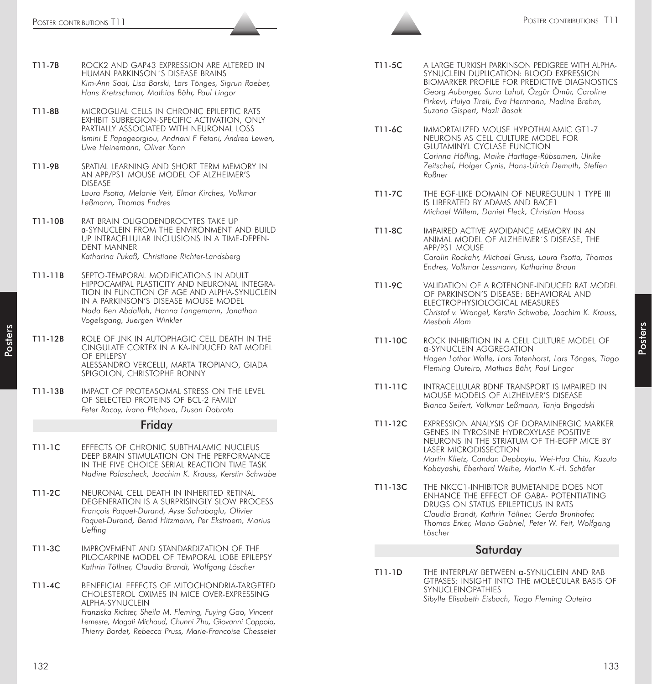- T11-7B ROCK2 AND GAP43 EXPRESSION ARE ALTERED IN HUMAN PARKINSON´S DISEASE BRAINS *Kim-Ann Saal, Lisa Barski, Lars Tönges, Sigrun Roeber, Hans Kretzschmar, Mathias Bähr, Paul Lingor*
- T11-8B MICROGLIAL CELLS IN CHRONIC EPILEPTIC RATS EXHIBIT SUBREGION-SPECIFIC ACTIVATION, ONLY PARTIALLY ASSOCIATED WITH NEURONAL LOSS *Ismini E Papageorgiou, Andriani F Fetani, Andrea Lewen, Uwe Heinemann, Oliver Kann*
- T11-9B SPATIAL LEARNING AND SHORT TERM MEMORY IN AN APP/PS1 MOUSE MODEL OF ALZHEIMER'S DISEASE *Laura Psotta, Melanie Veit, Elmar Kirches, Volkmar Leßmann, Thomas Endres*
- T11-10B RAT BRAIN OLIGODENDROCYTES TAKE UP α-SYNUCLEIN FROM THE ENVIRONMENT AND BUILD UP INTRACELLULAR INCLUSIONS IN A TIME-DEPEN-DENT MANNER *Katharina Pukaß, Christiane Richter-Landsberg*
- T11-11B SEPTO-TEMPORAL MODIFICATIONS IN ADULT HIPPOCAMPAL PLASTICITY AND NEURONAL INTEGRA-TION IN FUNCTION OF AGE AND ALPHA-SYNUCLEIN IN A PARKINSON'S DISEASE MOUSE MODEL *Nada Ben Abdallah, Hanna Langemann, Jonathan Vogelsgang, Juergen Winkler*
- T11-12B ROLE OF JNK IN AUTOPHAGIC CELL DEATH IN THE CINGULATE CORTEX IN A KA-INDUCED RAT MODEL OF EPILEPSY ALESSANDRO VERCELLI, MARTA TROPIANO, GIADA SPIGOLON, CHRISTOPHE BONNY
- T11-13B IMPACT OF PROTEASOMAL STRESS ON THE LEVEL OF SELECTED PROTEINS OF BCL-2 FAMILY *Peter Racay, Ivana Pilchova, Dusan Dobrota*

#### Friday

- T11-1C EFFECTS OF CHRONIC SUBTHALAMIC NUCLEUS DEEP BRAIN STIMULATION ON THE PERFORMANCE IN THE FIVE CHOICE SERIAL REACTION TIME TASK *Nadine Polascheck, Joachim K. Krauss, Kerstin Schwabe*
- T11-2C NEURONAL CELL DEATH IN INHERITED RETINAL DEGENERATION IS A SURPRISINGLY SLOW PROCESS *François Paquet-Durand, Ayse Sahaboglu, Olivier Paquet-Durand, Bernd Hitzmann, Per Ekstroem, Marius Ueffing*
- T11-3C IMPROVEMENT AND STANDARDIZATION OF THE PILOCARPINE MODEL OF TEMPORAL LOBE EPILEPSY *Kathrin Töllner, Claudia Brandt, Wolfgang Löscher*
- T11-4C BENEFICIAL EFFECTS OF MITOCHONDRIA-TARGETED CHOLESTEROL OXIMES IN MICE OVER-EXPRESSING ALPHA-SYNUCLEIN *Franziska Richter, Sheila M. Fleming, Fuying Gao, Vincent Lemesre, Magali Michaud, Chunni Zhu, Giovanni Coppola, Thierry Bordet, Rebecca Pruss, Marie-Francoise Chesselet*
- T11-5C A LARGE TURKISH PARKINSON PEDIGREE WITH ALPHA-SYNUCLEIN DUPLICATION: BLOOD EXPRESSION BIOMARKER PROFILE FOR PREDICTIVE DIAGNOSTICS *Georg Auburger, Suna Lahut, Özgür Ömür, Caroline Pirkevi, Hulya Tireli, Eva Herrmann, Nadine Brehm, Suzana Gispert, Nazli Basak*
- T11-6C IMMORTALIZED MOUSE HYPOTHALAMIC GT1-7 NEURONS AS CELL CULTURE MODEL FOR GLUTAMINYL CYCLASE FUNCTION *Corinna Höfling, Maike Hartlage-Rübsamen, Ulrike Zeitschel, Holger Cynis, Hans-Ulrich Demuth, Steffen Roßner*
- T11-7C THE EGF-LIKE DOMAIN OF NEUREGULIN 1 TYPE III IS LIBERATED BY ADAMS AND BACE1 *Michael Willem, Daniel Fleck, Christian Haass*
- T11-8C IMPAIRED ACTIVE AVOIDANCE MEMORY IN AN ANIMAL MODEL OF ALZHEIMER´S DISEASE, THE APP/PS1 MOUSE *Carolin Rockahr, Michael Gruss, Laura Psotta, Thomas Endres, Volkmar Lessmann, Katharina Braun*
- T11-9C VALIDATION OF A ROTENONE-INDUCED RAT MODEL OF PARKINSON'S DISEASE: BEHAVIORAL AND ELECTROPHYSIOLOGICAL MEASURES *Christof v. Wrangel, Kerstin Schwabe, Joachim K. Krauss, Mesbah Alam*
- T11-10C ROCK INHIBITION IN A CELL CULTURE MODEL OF α-SYNUCLEIN AGGREGATION *Hagen Lothar Walle, Lars Tatenhorst, Lars Tönges, Tiago Fleming Outeiro, Mathias Bähr, Paul Lingor*
- T11-11C INTRACELLULAR BDNF TRANSPORT IS IMPAIRED IN MOUSE MODELS OF ALZHEIMER'S DISEASE *Bianca Seifert, Volkmar Leßmann, Tanja Brigadski*
- T11-12C EXPRESSION ANALYSIS OF DOPAMINERGIC MARKER GENES IN TYROSINE HYDROXYLASE POSITIVE NEURONS IN THE STRIATUM OF TH-EGFP MICE BY LASER MICRODISSECTION *Martin Klietz, Candan Depboylu, Wei-Hua Chiu, Kazuto Kobayashi, Eberhard Weihe, Martin K.-H. Schäfer*
- 273 Poster contribute Contribution in the Contribution of the Contribution of the Contribution of the Contribution of the Contribution of the Contribution of the Contribution of the Contribution of the Contribution of the T11-13C THE NKCC1-INHIBITOR BUMETANIDE DOES NOT ENHANCE THE EFFECT OF GABA- POTENTIATING DRUGS ON STATUS EPILEPTICUS IN RATS *Claudia Brandt, Kathrin Töllner, Gerda Brunhofer, Thomas Erker, Mario Gabriel, Peter W. Feit, Wolfgang Löscher*

#### **Saturdav**

T11-1D THE INTERPLAY BETWEEN α-SYNUCLEIN AND RAB GTPASES: INSIGHT INTO THE MOLECULAR BASIS OF SYNUCLEINOPATHIES *Sibylle Elisabeth Eisbach, Tiago Fleming Outeiro*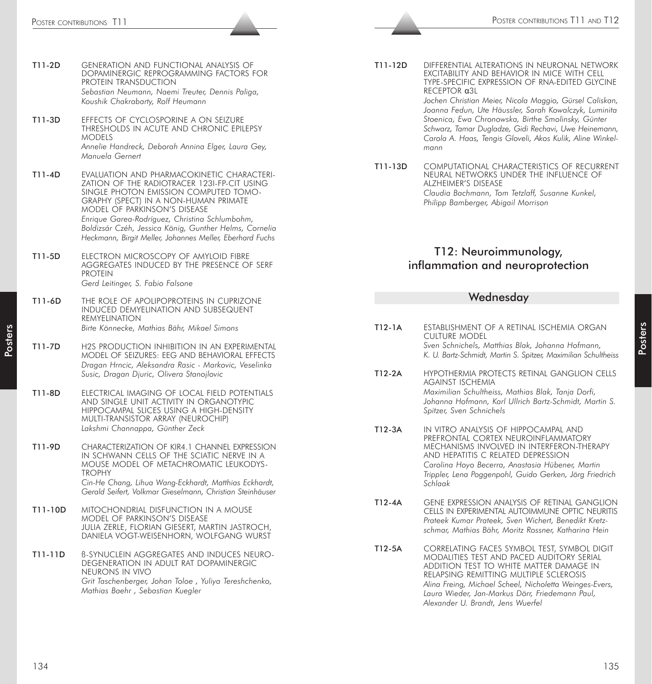- T11-2D GENERATION AND FUNCTIONAL ANALYSIS OF DOPAMINERGIC REPROGRAMMING FACTORS FOR PROTEIN TRANSDUCTION *Sebastian Neumann, Naemi Treuter, Dennis Paliga, Koushik Chakrabarty, Rolf Heumann*
- T11-3D EFFECTS OF CYCLOSPORINE A ON SEIZURE THRESHOLDS IN ACUTE AND CHRONIC EPILEPSY MODELS *Annelie Handreck, Deborah Annina Elger, Laura Gey, Manuela Gernert*
- T11-4D EVALUATION AND PHARMACOKINETIC CHARACTERI-ZATION OF THE RADIOTRACER 123I-FP-CIT USING SINGLE PHOTON EMISSION COMPUTED TOMO-GRAPHY (SPECT) IN A NON-HUMAN PRIMATE MODEL OF PARKINSON'S DISEASE *Enrique Garea-Rodríguez, Christina Schlumbohm, Boldizsár Czéh, Jessica König, Gunther Helms, Cornelia Heckmann, Birgit Meller, Johannes Meller, Eberhard Fuchs*
- T11-5D ELECTRON MICROSCOPY OF AMYLOID FIBRE AGGREGATES INDUCED BY THE PRESENCE OF SERF PROTEIN *Gerd Leitinger, S. Fabio Falsone*
- T11-6D THE ROLE OF APOLIPOPROTEINS IN CUPRIZONE INDUCED DEMYELINATION AND SUBSEQUENT REMYELINATION *Birte Könnecke, Mathias Bähr, Mikael Simons*
- T11-7D H2S PRODUCTION INHIBITION IN AN EXPERIMENTAL MODEL OF SEIZURES: EEG AND BEHAVIORAL EFFECTS *Dragan Hrncic, Aleksandra Rasic - Markovic, Veselinka Susic, Dragan Djuric, Olivera Stanojlovic*
- T11-8D ELECTRICAL IMAGING OF LOCAL FIELD POTENTIALS AND SINGLE UNIT ACTIVITY IN ORGANOTYPIC HIPPOCAMPAL SLICES USING A HIGH-DENSITY MULTI-TRANSISTOR ARRAY (NEUROCHIP) *Lakshmi Channappa, Günther Zeck*
- T11-9D CHARACTERIZATION OF KIR4.1 CHANNEL EXPRESSION IN SCHWANN CELLS OF THE SCIATIC NERVE IN A MOUSE MODEL OF METACHROMATIC LEUKODYS-TROPHY *Cin-He Chang, Lihua Wang-Eckhardt, Matthias Eckhardt, Gerald Seifert, Volkmar Gieselmann, Christian Steinhäuser*
- T11-10D MITOCHONDRIAL DISFUNCTION IN A MOUSE MODEL OF PARKINSON'S DISEASE JULIA ZERLE, FLORIAN GIESERT, MARTIN JASTROCH, DANIELA VOGT-WEISENHORN, WOLFGANG WURST
- T11-11D ß-SYNUCLEIN AGGREGATES AND INDUCES NEURO-DEGENERATION IN ADULT RAT DOPAMINERGIC NEURONS IN VIVO *Grit Taschenberger, Johan Toloe , Yuliya Tereshchenko, Mathias Baehr , Sebastian Kuegler*

T11-12D DIFFERENTIAL ALTERATIONS IN NEURONAL NETWORK EXCITABILITY AND BEHAVIOR IN MICE WITH CELL TYPE-SPECIFIC EXPRESSION OF RNA-EDITED GLYCINE RECEPTOR α3L

*Jochen Christian Meier, Nicola Maggio, Gürsel Caliskan, Joanna Fedun, Ute Häussler, Sarah Kowalczyk, Luminita Stoenica, Ewa Chronowska, Birthe Smolinsky, Günter Schwarz, Tamar Dugladze, Gidi Rechavi, Uwe Heinemann, Carola A. Haas, Tengis Gloveli, Akos Kulik, Aline Winkelmann*

T11-13D COMPUTATIONAL CHARACTERISTICS OF RECURRENT NEURAL NETWORKS UNDER THE INFLUENCE OF ALZHEIMER'S DISEASE *Claudia Bachmann, Tom Tetzlaff, Susanne Kunkel, Philipp Bamberger, Abigail Morrison*

# T12: Neuroimmunology, inflammation and neuroprotection

#### **Wednesdav**

T12-1A ESTABLISHMENT OF A RETINAL ISCHEMIA ORGAN CULTURE MODEL *Sven Schnichels, Matthias Blak, Johanna Hofmann, K. U. Bartz-Schmidt, Martin S. Spitzer, Maximilian Schultheiss* T12-2A HYPOTHERMIA PROTECTS RETINAL GANGLION CELLS AGAINST ISCHEMIA *Maximilian Schultheiss, Mathias Blak, Tanja Dorfi, Johanna Hofmann, Karl Ullrich Bartz-Schmidt, Martin S. Spitzer, Sven Schnichels* T12-3A IN VITRO ANALYSIS OF HIPPOCAMPAL AND PREFRONTAL CORTEX NEUROINFLAMMATORY MECHANISMS INVOLVED IN INTERFERON-THERAPY AND HEPATITIS C RELATED DEPRESSION *Carolina Hoyo Becerra, Anastasia Hübener, Martin Trippler, Lena Poggenpohl, Guido Gerken, Jörg Friedrich Schlaak* T12-4A GENE EXPRESSION ANALYSIS OF RETINAL GANGLION CELLS IN EXPERIMENTAL AUTOIMMUNE OPTIC NEURITIS *Prateek Kumar Prateek, Sven Wichert, Benedikt Kretzschmar, Mathias Bähr, Moritz Rossner, Katharina Hein* T12-5A CORRELATING FACES SYMBOL TEST, SYMBOL DIGIT MODALITIES TEST AND PACED AUDITORY SERIAL ADDITION TEST TO WHITE MATTER DAMAGE IN RELAPSING REMITTING MULTIPLE SCLEROSIS *Alina Freing, Michael Scheel, Nicholetta Weinges-Evers, Laura Wieder, Jan-Markus Dörr, Friedemann Paul, Alexander U. Brandt, Jens Wuerfel*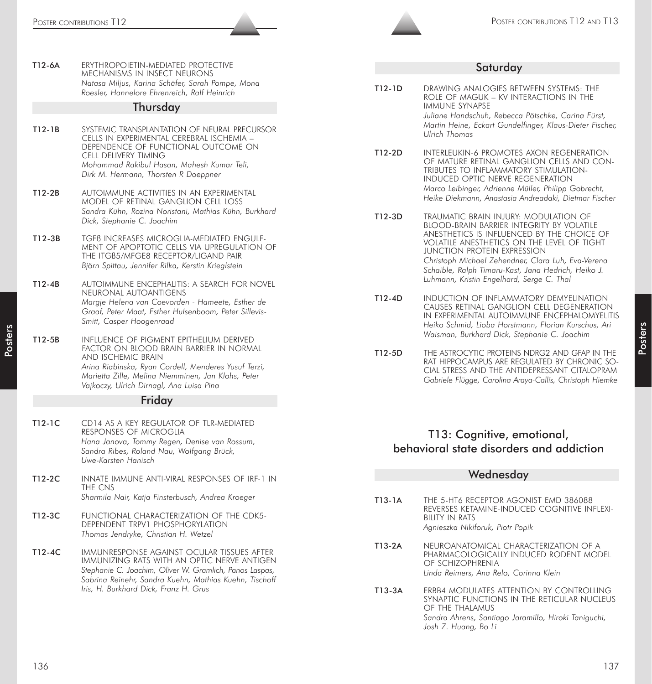T12-6A ERYTHROPOIETIN-MEDIATED PROTECTIVE MECHANISMS IN INSECT NEURONS *Natasa Miljus, Karina Schäfer, Sarah Pompe, Mona Roesler, Hannelore Ehrenreich, Ralf Heinrich*

#### Thursday

- T12-1B SYSTEMIC TRANSPLANTATION OF NEURAL PRECURSOR CELLS IN EXPERIMENTAL CEREBRAL ISCHEMIA – DEPENDENCE OF FUNCTIONAL OUTCOME ON CELL DELIVERY TIMING *Mohammad Rakibul Hasan, Mahesh Kumar Teli, Dirk M. Hermann, Thorsten R Doeppner*
- T12-2B AUTOIMMUNE ACTIVITIES IN AN EXPERIMENTAL MODEL OF RETINAL GANGLION CELL LOSS *Sandra Kühn, Rozina Noristani, Mathias Kühn, Burkhard Dick, Stephanie C. Joachim*
- T12-3B TGFß INCREASES MICROGLIA-MEDIATED ENGULF-MENT OF APOPTOTIC CELLS VIA UPREGULATION OF THE ITGß5/MFGE8 RECEPTOR/LIGAND PAIR *Björn Spittau, Jennifer Rilka, Kerstin Krieglstein*
- T12-4B AUTOIMMUNE ENCEPHALITIS: A SEARCH FOR NOVEL NEURONAL AUTOANTIGENS *Margje Helena van Coevorden - Hameete, Esther de Graaf, Peter Maat, Esther Hulsenboom, Peter Sillevis-Smitt, Casper Hoogenraad*
- T12-5B INFLUENCE OF PIGMENT EPITHELIUM DERIVED FACTOR ON BLOOD BRAIN BARRIER IN NORMAL AND ISCHEMIC BRAIN *Arina Riabinska, Ryan Cordell, Menderes Yusuf Terzi, Marietta Zille, Melina Niemminen, Jan Klohs, Peter Vajkoczy, Ulrich Dirnagl, Ana Luisa Pina*

# Friday

- T12-1C CD14 AS A KEY REGULATOR OF TLR-MEDIATED RESPONSES OF MICROGLIA *Hana Janova, Tommy Regen, Denise van Rossum, Sandra Ribes, Roland Nau, Wolfgang Brück, Uwe-Karsten Hanisch*
- T12-2C INNATE IMMUNE ANTI-VIRAL RESPONSES OF IRF-1 IN THE CNS *Sharmila Nair, Katja Finsterbusch, Andrea Kroeger*
- T12-3C FUNCTIONAL CHARACTERIZATION OF THE CDK5- DEPENDENT TRPV1 PHOSPHORYLATION *Thomas Jendryke, Christian H. Wetzel*
- T12-4C IMMUNRESPONSE AGAINST OCULAR TISSUES AFTER IMMUNIZING RATS WITH AN OPTIC NERVE ANTIGEN *Stephanie C. Joachim, Oliver W. Gramlich, Panos Laspas, Sabrina Reinehr, Sandra Kuehn, Mathias Kuehn, Tischoff Iris, H. Burkhard Dick, Franz H. Grus*

#### Saturday

T12-1D DRAWING ANALOGIES BETWEEN SYSTEMS: THE ROLE OF MAGUK – KV INTERACTIONS IN THE IMMUNE SYNAPSE *Juliane Handschuh, Rebecca Pötschke, Carina Fürst,*

*Martin Heine, Eckart Gundelfinger, Klaus-Dieter Fischer, Ulrich Thomas*

- T12-2D INTERLEUKIN-6 PROMOTES AXON REGENERATION OF MATURE RETINAL GANGLION CELLS AND CON-TRIBUTES TO INFLAMMATORY STIMULATION-INDUCED OPTIC NERVE REGENERATION *Marco Leibinger, Adrienne Müller, Philipp Gobrecht, Heike Diekmann, Anastasia Andreadaki, Dietmar Fischer*
- T12-3D TRAUMATIC BRAIN INJURY: MODULATION OF BLOOD-BRAIN BARRIER INTEGRITY BY VOLATILE ANESTHETICS IS INFLUENCED BY THE CHOICE OF VOLATILE ANESTHETICS ON THE LEVEL OF TIGHT JUNCTION PROTEIN EXPRESSION *Christoph Michael Zehendner, Clara Luh, Eva-Verena Schaible, Ralph Timaru-Kast, Jana Hedrich, Heiko J. Luhmann, Kristin Engelhard, Serge C. Thal*
- T12-4D INDUCTION OF INFLAMMATORY DEMYELINATION CAUSES RETINAL GANGLION CELL DEGENERATION IN EXPERIMENTAL AUTOIMMUNE ENCEPHALOMYELITIS *Heiko Schmid, Lioba Horstmann, Florian Kurschus, Ari Waisman, Burkhard Dick, Stephanie C. Joachim*
- T12-5D THE ASTROCYTIC PROTEINS NDRG2 AND GFAP IN THE RAT HIPPOCAMPUS ARE REGULATED BY CHRONIC SO-CIAL STRESS AND THE ANTIDEPRESSANT CITALOPRAM *Gabriele Flügge, Carolina Araya-Callís, Christoph Hiemke*

# T13: Cognitive, emotional, behavioral state disorders and addiction

#### **Wednesdav**

- T13-1A THE 5-HT6 RECEPTOR AGONIST EMD 386088 REVERSES KETAMINE-INDUCED COGNITIVE INFLEXI-BILITY IN RATS *Agnieszka Nikiforuk, Piotr Popik*
- T13-2A NEUROANATOMICAL CHARACTERIZATION OF A PHARMACOLOGICALLY INDUCED RODENT MODEL OF SCHIZOPHRENIA *Linda Reimers, Ana Relo, Corinna Klein*
- T13-3A ERBB4 MODULATES ATTENTION BY CONTROLLING SYNAPTIC FUNCTIONS IN THE RETICULAR NUCLEUS OF THE THALAMUS *Sandra Ahrens, Santiago Jaramillo, Hiroki Taniguchi, Josh Z. Huang, Bo Li*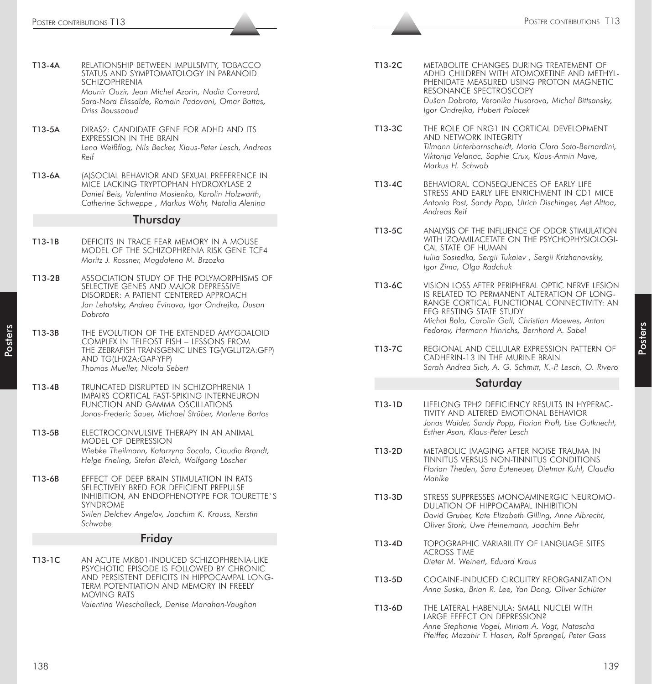|        | POSTER CONTRIBUTIONS T13                                                                                                                                                                                                          |        | POSTER CONTRIBUTIONS T13                                                                                                                                                                                                                            |
|--------|-----------------------------------------------------------------------------------------------------------------------------------------------------------------------------------------------------------------------------------|--------|-----------------------------------------------------------------------------------------------------------------------------------------------------------------------------------------------------------------------------------------------------|
|        |                                                                                                                                                                                                                                   |        |                                                                                                                                                                                                                                                     |
| T13-4A | RELATIONSHIP BETWEEN IMPULSIVITY, TOBACCO<br>STATUS AND SYMPTOMATOLOGY IN PARANOID<br>SCHIZOPHRENIA<br>Mounir Ouzir, Jean Michel Azorin, Nadia Correard,<br>Sara-Nora Elissalde, Romain Padovani, Omar Battas,<br>Driss Boussaoud | T13-2C | METABOLITE CHANGES DURING TREATEMENT OF<br>ADHD CHILDREN WITH ATOMOXETINE AND METHYL<br>PHENIDATE MEASURED USING PROTON MAGNETIC<br>RESONANCE SPECTROSCOPY<br>Dušan Dobrota, Veronika Husarova, Michal Bittsansky,<br>Igor Ondrejka, Hubert Polacek |
| T13-5A | DIRAS2: CANDIDATE GENE FOR ADHD AND ITS<br>EXPRESSION IN THE BRAIN<br>Lena Weißflog, Nils Becker, Klaus-Peter Lesch, Andreas<br>Reif                                                                                              | T13-3C | THE ROLE OF NRG1 IN CORTICAL DEVELOPMENT<br>AND NETWORK INTEGRITY<br>Tilmann Unterbarnscheidt, Maria Clara Soto-Bernardini,<br>Viktorija Velanac, Sophie Crux, Klaus-Armin Nave,<br>Markus H. Schwab                                                |
| T13-6A | (A) SOCIAL BEHAVIOR AND SEXUAL PREFERENCE IN<br>MICE LACKING TRYPTOPHAN HYDROXYLASE 2<br>Daniel Beis, Valentina Mosienko, Karolin Holzwarth,<br>Catherine Schweppe, Markus Wöhr, Natalia Alenina                                  | T13-4C | BEHAVIORAL CONSEQUENCES OF EARLY LIFE<br>STRESS AND EARLY LIFE ENRICHMENT IN CD1 MICE<br>Antonia Post, Sandy Popp, Ulrich Dischinger, Aet Alttoa,<br>Andreas Reif                                                                                   |
|        | Thursday                                                                                                                                                                                                                          |        |                                                                                                                                                                                                                                                     |
| T13-1B | DEFICITS IN TRACE FEAR MEMORY IN A MOUSE<br>MODEL OF THE SCHIZOPHRENIA RISK GENE TCF4<br>Moritz J. Rossner, Magdalena M. Brzozka                                                                                                  | T13-5C | ANALYSIS OF THE INFLUENCE OF ODOR STIMULATION<br>WITH IZOAMILACETATE ON THE PSYCHOPHYSIOLOGI-<br>CAL STATE OF HUMAN<br>Iuliia Sosiedka, Sergii Tukaiev, Sergii Krizhanovskiy,<br>Igor Zima, Olga Radchuk                                            |
| T13-2B | ASSOCIATION STUDY OF THE POLYMORPHISMS OF<br>SELECTIVE GENES AND MAJOR DEPRESSIVE<br>DISORDER: A PATIENT CENTERED APPROACH<br>Jan Lehotsky, Andrea Evinova, Igor Ondrejka, Dusan<br>Dobrota                                       | T13-6C | VISION LOSS AFTER PERIPHERAL OPTIC NERVE LESION<br>IS RELATED TO PERMANENT ALTERATION OF LONG-<br>RANGE CORTICAL FUNCTIONAL CONNECTIVITY: AN<br>EEG RESTING STATE STUDY<br>Michal Bola, Carolin Gall, Christian Moewes, Anton                       |
| T13-3B | THE EVOLUTION OF THE EXTENDED AMYGDALOID<br>COMPLEX IN TELEOST FISH - LESSONS FROM<br>THE ZEBRAFISH TRANSGENIC LINES TG/VGLUT2A:GFP)<br>AND TG(LHX2A:GAP-YFP)<br>Thomas Mueller, Nicola Sebert                                    | T13-7C | Fedorov, Hermann Hinrichs, Bernhard A. Sabel<br>REGIONAL AND CELLULAR EXPRESSION PATTERN OF<br>CADHERIN-13 IN THE MURINE BRAIN<br>Sarah Andrea Sich, A. G. Schmitt, K.-P. Lesch, O. Rivero                                                          |
| T13-4B | TRUNCATED DISRUPTED IN SCHIZOPHRENIA 1                                                                                                                                                                                            |        | Saturday                                                                                                                                                                                                                                            |
| T13-5B | IMPAIRS CORTICAL FAST-SPIKING INTERNEURON<br>FUNCTION AND GAMMA OSCILLATIONS<br>Jonas-Frederic Sauer, Michael Strüber, Marlene Bartos<br>ELECTROCONVULSIVE THERAPY IN AN ANIMAL                                                   | T13-1D | LIFELONG TPH2 DEFICIENCY RESULTS IN HYPERAC-<br>TIVITY AND ALTERED EMOTIONAL BEHAVIOR<br>Jonas Waider, Sandy Popp, Florian Proft, Lise Gutknecht,<br>Esther Asan, Klaus-Peter Lesch                                                                 |
| T13-6B | <b>MODEL OF DEPRESSION</b><br>Wiebke Theilmann, Katarzyna Socala, Claudia Brandt,<br>Helge Frieling, Stefan Bleich, Wolfgang Löscher<br>EFFECT OF DEEP BRAIN STIMULATION IN RATS                                                  | T13-2D | METABOLIC IMAGING AFTER NOISE TRAUMA IN<br>TINNITUS VERSUS NON-TINNITUS CONDITIONS<br>Florian Theden, Sara Euteneuer, Dietmar Kuhl, Claudia<br>Mahlke                                                                                               |
|        | SELECTIVELY BRED FOR DEFICIENT PREPULSE<br>INHIBITION, AN ENDOPHENOTYPE FOR TOURETTE'S<br><b>SYNDROME</b><br>Svilen Delchev Angelov, Joachim K. Krauss, Kerstin<br>Schwabe                                                        | T13-3D | STRESS SUPPRESSES MONOAMINERGIC NEUROMO-<br>DULATION OF HIPPOCAMPAL INHIBITION<br>David Gruber, Kate Elizabeth Gilling, Anne Albrecht,<br>Oliver Stork, Uwe Heinemann, Joachim Behr                                                                 |
|        | Friday                                                                                                                                                                                                                            | T13-4D | TOPOGRAPHIC VARIABILITY OF LANGUAGE SITES                                                                                                                                                                                                           |
| T13-1C | AN ACUTE MK801-INDUCED SCHIZOPHRENIA-LIKE<br>PSYCHOTIC EPISODE IS FOLLOWED BY CHRONIC<br>AND PERSISTENT DEFICITS IN HIPPOCAMPAL LONG-<br>TERM POTENTIATION AND MEMORY IN FREELY<br><b>MOVING RATS</b>                             |        | <b>ACROSS TIME</b><br>Dieter M. Weinert, Eduard Kraus                                                                                                                                                                                               |
|        |                                                                                                                                                                                                                                   | T13-5D | COCAINE-INDUCED CIRCUITRY REORGANIZATION<br>Anna Suska, Brian R. Lee, Yan Dong, Oliver Schlüter                                                                                                                                                     |
|        | Valentina Wiescholleck, Denise Manahan-Vaughan                                                                                                                                                                                    | T13-6D | THE LATERAL HABENULA: SMALL NUCLEI WITH<br>LARGE EFFECT ON DEPRESSION?<br>Anne Stephanie Vogel, Miriam A. Vogt, Natascha<br>Pfeiffer, Mazahir T. Hasan, Rolf Sprengel, Peter Gass                                                                   |
| 138    |                                                                                                                                                                                                                                   |        | 139                                                                                                                                                                                                                                                 |

- T13-5A DIRAS2: CANDIDATE GENE FOR ADHD AND ITS EXPRESSION IN THE BRAIN *Lena Weißflog, Nils Becker, Klaus-Peter Lesch, Andreas Reif*
- T13-6A (A)SOCIAL BEHAVIOR AND SEXUAL PREFERENCE IN MICE LACKING TRYPTOPHAN HYDROXYLASE 2 *Daniel Beis, Valentina Mosienko, Karolin Holzwarth, Catherine Schweppe , Markus Wöhr, Natalia Alenina*

#### Thursday

- T13-1B DEFICITS IN TRACE FEAR MEMORY IN A MOUSE MODEL OF THE SCHIZOPHRENIA RISK GENE TCF4 *Moritz J. Rossner, Magdalena M. Brzozka*
- T13-2B ASSOCIATION STUDY OF THE POLYMORPHISMS OF SELECTIVE GENES AND MAJOR DEPRESSIVE DISORDER: A PATIENT CENTERED APPROACH *Jan Lehotsky, Andrea Evinova, Igor Ondrejka, Dusan Dobrota*
- T13-3B THE EVOLUTION OF THE EXTENDED AMYGDALOID COMPLEX IN TELEOST FISH – LESSONS FROM THE ZEBRAFISH TRANSGENIC LINES TG(VGLUT2A:GFP) AND TG(LHX2A:GAP-YFP) *Thomas Mueller, Nicola Sebert*
- T13-4B TRUNCATED DISRUPTED IN SCHIZOPHRENIA 1 IMPAIRS CORTICAL FAST-SPIKING INTERNEURON FUNCTION AND GAMMA OSCILLATIONS *Jonas-Frederic Sauer, Michael Strüber, Marlene Bartos*
- T13-5B ELECTROCONVULSIVE THERAPY IN AN ANIMAL MODEL OF DEPRESSION *Wiebke Theilmann, Katarzyna Socala, Claudia Brandt, Helge Frieling, Stefan Bleich, Wolfgang Löscher*
- T13-6B EFFECT OF DEEP BRAIN STIMULATION IN RATS SELECTIVELY BRED FOR DEFICIENT PREPULSE INHIBITION, AN ENDOPHENOTYPE FOR TOURETTE`S SYNDROME *Svilen Delchev Angelov, Joachim K. Krauss, Kerstin Schwabe*

#### Friday

- T13-2C METABOLITE CHANGES DURING TREATEMENT OF ADHD CHILDREN WITH ATOMOXETINE AND METHYL-PHENIDATE MEASURED USING PROTON MAGNETIC RESONANCE SPECTROSCOPY *Dušan Dobrota, Veronika Husarova, Michal Bittsansky, Igor Ondrejka, Hubert Polacek*
- T13-3C THE ROLE OF NRG1 IN CORTICAL DEVELOPMENT AND NETWORK INTEGRITY *Tilmann Unterbarnscheidt, Maria Clara Soto-Bernardini, Viktorija Velanac, Sophie Crux, Klaus-Armin Nave, Markus H. Schwab*
- T13-4C BEHAVIORAL CONSEQUENCES OF EARLY LIFE STRESS AND EARLY LIFE ENRICHMENT IN CD1 MICE *Antonia Post, Sandy Popp, Ulrich Dischinger, Aet Alttoa, Andreas Reif*
- T13-5C ANALYSIS OF THE INFLUENCE OF ODOR STIMULATION WITH IZOAMILACETATE ON THE PSYCHOPHYSIOLOGI-CAL STATE OF HUMAN *Iuliia Sosiedka, Sergii Tukaiev , Sergii Krizhanovskiy, Igor Zima, Olga Radchuk*
- T13-6C VISION LOSS AFTER PERIPHERAL OPTIC NERVE LESION IS RELATED TO PERMANENT ALTERATION OF LONG-RANGE CORTICAL FUNCTIONAL CONNECTIVITY: AN EEG RESTING STATE STUDY *Michal Bola, Carolin Gall, Christian Moewes, Anton Fedorov, Hermann Hinrichs, Bernhard A. Sabel*
- T13-7C REGIONAL AND CELLULAR EXPRESSION PATTERN OF CADHERIN-13 IN THE MURINE BRAIN *Sarah Andrea Sich, A. G. Schmitt, K.-P. Lesch, O. Rivero*

#### **Saturday**

- T13-1D LIFELONG TPH2 DEFICIENCY RESULTS IN HYPERAC-TIVITY AND ALTERED EMOTIONAL BEHAVIOR *Jonas Waider, Sandy Popp, Florian Proft, Lise Gutknecht, Esther Asan, Klaus-Peter Lesch*
- T13-2D METABOLIC IMAGING AFTER NOISE TRAUMA IN TINNITUS VERSUS NON-TINNITUS CONDITIONS *Florian Theden, Sara Euteneuer, Dietmar Kuhl, Claudia Mahlke*
- T13-3D STRESS SUPPRESSES MONOAMINERGIC NEUROMO-DULATION OF HIPPOCAMPAL INHIBITION *David Gruber, Kate Elizabeth Gilling, Anne Albrecht, Oliver Stork, Uwe Heinemann, Joachim Behr*
- T13-4D TOPOGRAPHIC VARIABILITY OF LANGUAGE SITES ACROSS TIME *Dieter M. Weinert, Eduard Kraus*
- T13-5D COCAINE-INDUCED CIRCUITRY REORGANIZATION *Anna Suska, Brian R. Lee, Yan Dong, Oliver Schlüter*
- T13-6D THE LATERAL HABENULA: SMALL NUCLEI WITH LARGE EFFECT ON DEPRESSION? *Anne Stephanie Vogel, Miriam A. Vogt, Natascha Pfeiffer, Mazahir T. Hasan, Rolf Sprengel, Peter Gass*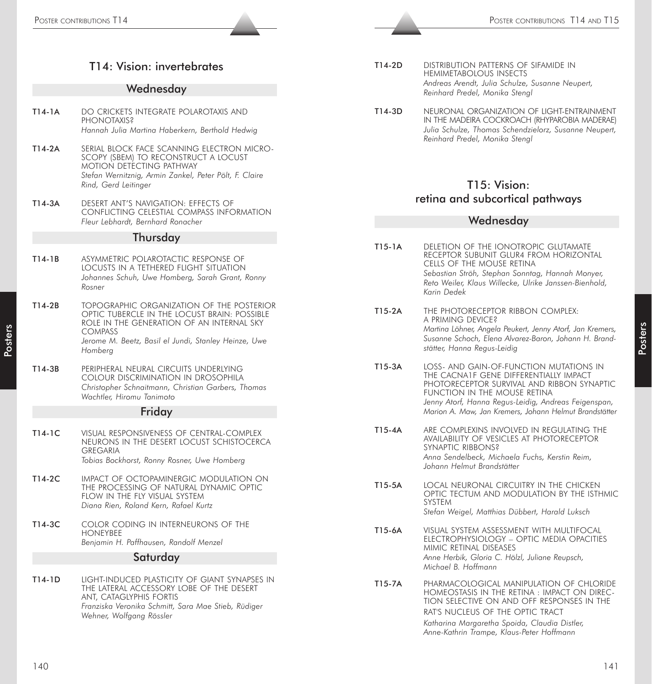- T14-2D DISTRIBUTION PATTERNS OF SIFAMIDE IN HEMIMETABOLOUS INSECTS *Andreas Arendt, Julia Schulze, Susanne Neupert, Reinhard Predel, Monika Stengl*
	- T14-3D NEURONAL ORGANIZATION OF LIGHT-ENTRAINMENT IN THE MADEIRA COCKROACH (RHYPAROBIA MADERAE) *Julia Schulze, Thomas Schendzielorz, Susanne Neupert, Reinhard Predel, Monika Stengl*

# T15: Vision: retina and subcortical pathways

#### Wednesday

- The state state  $\frac{1}{2}$  Poster contributions The state of the state of the state of the state of the state of the state of the state of the state of the state of the state of the state of the state of the state of the s T15-1A DELETION OF THE IONOTROPIC GLUTAMATE RECEPTOR SUBUNIT GLUR4 FROM HORIZONTAL CELLS OF THE MOUSE RETINA *Sebastian Ströh, Stephan Sonntag, Hannah Monyer, Reto Weiler, Klaus Willecke, Ulrike Janssen-Bienhold, Karin Dedek*
	- T15-2A THE PHOTORECEPTOR RIBBON COMPLEX: A PRIMING DEVICE? *Martina Löhner, Angela Peukert, Jenny Atorf, Jan Kremers, Susanne Schoch, Elena Alvarez-Baron, Johann H. Brandstätter, Hanna Regus-Leidig*
	- T15-3A LOSS- AND GAIN-OF-FUNCTION MUTATIONS IN THE CACNA1F GENE DIFFERENTIALLY IMPACT PHOTORECEPTOR SURVIVAL AND RIBBON SYNAPTIC FUNCTION IN THE MOUSE RETINA *Jenny Atorf, Hanna Regus-Leidig, Andreas Feigenspan, Marion A. Maw, Jan Kremers, Johann Helmut Brandstätter*
	- T15-4A ARE COMPLEXINS INVOLVED IN REGULATING THE AVAILABILITY OF VESICLES AT PHOTORECEPTOR SYNAPTIC RIBBONS? *Anna Sendelbeck, Michaela Fuchs, Kerstin Reim, Johann Helmut Brandstätter*
	- T15-5A LOCAL NEURONAL CIRCUITRY IN THE CHICKEN OPTIC TECTUM AND MODULATION BY THE ISTHMIC SYSTEM *Stefan Weigel, Matthias Dübbert, Harald Luksch*
	- T15-6A VISUAL SYSTEM ASSESSMENT WITH MULTIFOCAL ELECTROPHYSIOLOGY – OPTIC MEDIA OPACITIES MIMIC RETINAL DISEASES *Anne Herbik, Gloria C. Hölzl, Juliane Reupsch, Michael B. Hoffmann*
	- T15-7A PHARMACOLOGICAL MANIPULATION OF CHLORIDE HOMEOSTASIS IN THE RETINA : IMPACT ON DIREC-TION SELECTIVE ON AND OFF RESPONSES IN THE RAT'S NUCLEUS OF THE OPTIC TRACT *Katharina Margaretha Spoida, Claudia Distler, Anne-Kathrin Trampe, Klaus-Peter Hoffmann*

**Posters** 

# T14: Vision: invertebrates

#### **Wednesdav**

- T14-1A DO CRICKETS INTEGRATE POLAROTAXIS AND PHONOTAXIS<sub>2</sub> *Hannah Julia Martina Haberkern, Berthold Hedwig*
- T14-2A SERIAL BLOCK FACE SCANNING ELECTRON MICRO-SCOPY (SBEM) TO RECONSTRUCT A LOCUST MOTION DETECTING PATHWAY *Stefan Wernitznig, Armin Zankel, Peter Pölt, F. Claire Rind, Gerd Leitinger*
- T14-3A DESERT ANT'S NAVIGATION: EFFECTS OF CONFLICTING CELESTIAL COMPASS INFORMATION *Fleur Lebhardt, Bernhard Ronacher*

#### **Thursday**

- T14-1B ASYMMETRIC POLAROTACTIC RESPONSE OF LOCUSTS IN A TETHERED FLIGHT SITUATION *Johannes Schuh, Uwe Homberg, Sarah Grant, Ronny Rosner*
- T14-2B TOPOGRAPHIC ORGANIZATION OF THE POSTERIOR OPTIC TUBERCLE IN THE LOCUST BRAIN: POSSIBLE ROLE IN THE GENERATION OF AN INTERNAL SKY **COMPASS** *Jerome M. Beetz, Basil el Jundi, Stanley Heinze, Uwe*

*Homberg*

T14-3B PERIPHERAL NEURAL CIRCUITS UNDERLYING COLOUR DISCRIMINATION IN DROSOPHILA *Christopher Schnaitmann, Christian Garbers, Thomas Wachtler, Hiromu Tanimoto*

#### **Friday**

- T14-1C VISUAL RESPONSIVENESS OF CENTRAL-COMPLEX NEURONS IN THE DESERT LOCUST SCHISTOCERCA GREGARIA *Tobias Bockhorst, Ronny Rosner, Uwe Homberg*
- T14-2C IMPACT OF OCTOPAMINERGIC MODULATION ON THE PROCESSING OF NATURAL DYNAMIC OPTIC FLOW IN THE FIY VISUAL SYSTEM *Diana Rien, Roland Kern, Rafael Kurtz*
- T14-3C COLOR CODING IN INTERNEURONS OF THE HONEYBEE *Benjamin H. Paffhausen, Randolf Menzel*

#### **Saturday**

T14-1D LIGHT-INDUCED PLASTICITY OF GIANT SYNAPSES IN THE LATERAL ACCESSORY LOBE OF THE DESERT ANT, CATAGLYPHIS FORTIS *Franziska Veronika Schmitt, Sara Mae Stieb, Rüdiger Wehner, Wolfgang Rössler*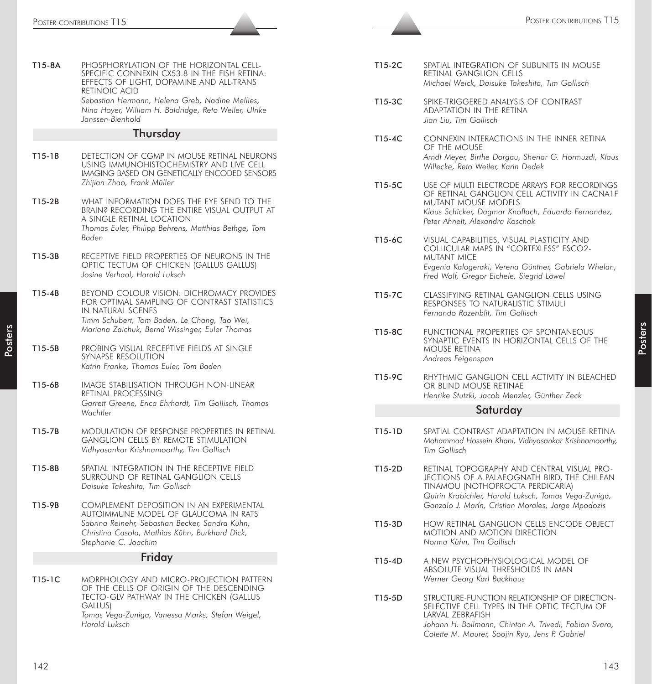| T15-8A   | PHOSPHORYLATION OF THE HORIZONTAL CELL-<br>SPECIFIC CONNEXIN CX53.8 IN THE FISH RETINA:<br>EFFECTS OF LIGHT, DOPAMINE AND ALL-TRANS<br>RETINOIC ACID<br>Sebastian Hermann, Helena Greb, Nadine Mellies,<br>Nina Hoyer, William H. Baldridge, Reto Weiler, Ulrike<br>Janssen-Bienhold |
|----------|--------------------------------------------------------------------------------------------------------------------------------------------------------------------------------------------------------------------------------------------------------------------------------------|
|          | Thursday                                                                                                                                                                                                                                                                             |
| $T15-1B$ | DETECTION OF CGMP IN MOUSE RETINAL NEURONS<br>USING IMMUNOHISTOCHEMISTRY AND LIVE CELL<br>IMAGING BASED ON GENETICALLY ENCODED SENSORS<br>Zhijian Zhao, Frank Müller                                                                                                                 |
| T15-2B   | WHAT INFORMATION DOES THE EYE SEND TO THE<br>BRAIN? RECORDING THE ENTIRE VISUAL OUTPUT AT<br>a single retinal location<br>Thomas Euler, Philipp Behrens, Matthias Bethge, Tom<br>Baden                                                                                               |
| T15-3B   | RECEPTIVE FIELD PROPERTIES OF NEURONS IN THE<br>OPTIC TECTUM OF CHICKEN (GALLUS GALLUS)<br>Josine Verhaal, Harald Luksch                                                                                                                                                             |
| $T15-4B$ | BEYOND COLOUR VISION: DICHROMACY PROVIDES<br>FOR OPTIMAL SAMPLING OF CONTRAST STATISTICS<br>IN NATURAL SCENES<br>Timm Schubert, Tom Baden, Le Chang, Tao Wei,<br>Mariana Zaichuk, Bernd Wissinger, Euler Thomas                                                                      |
| T15-5B   | PROBING VISUAL RECEPTIVE FIELDS AT SINGLE<br>SYNAPSE RESOLUTION<br>Katrin Franke, Thomas Euler, Tom Baden                                                                                                                                                                            |
| T15-6B   | IMAGE STABILISATION THROUGH NON-LINEAR<br>RETINAL PROCESSING<br>Garrett Greene, Erica Ehrhardt, Tim Gollisch, Thomas<br>Wachtler                                                                                                                                                     |
| T15-7B   | MODULATION OF RESPONSE PROPERTIES IN RETINAL<br><b>GANGLION CELLS BY REMOTE STIMULATION</b><br>Vidhyasankar Krishnamoorthy, Tim Gollisch                                                                                                                                             |
| T15-8B   | SPATIAL INTEGRATION IN THE RECEPTIVE FIELD<br>Surround of retinal Ganglion cells<br>Daisuke Takeshita, Tim Gollisch                                                                                                                                                                  |
| T15-9B   | COMPLEMENT DEPOSITION IN AN EXPERIMENTAL<br>AUTOIMMUNE MODEL OF GLAUCOMA IN RATS<br>Sabrina Reinehr, Sebastian Becker, Sandra Kühn,<br>Christina Casola, Mathias Kühn, Burkhard Dick,<br>Stephanie C. Joachim                                                                        |
|          | Friday                                                                                                                                                                                                                                                                               |
| T15-1C   | MORPHOLOGY AND MICRO-PROJECTION PATTERN<br>OF THE CELLS OF ORIGIN OF THE DESCENDING<br>TECTO-GLV PATHWAY IN THE CHICKEN (GALLUS<br>GALLUS)<br>Tomas Vega-Zuniga, Vanessa Marks, Stefan Weigel,<br>Harald Luksch                                                                      |

| T15-2C | SPATIAL INTEGRATION OF SUBUNITS IN MOUSE       |  |  |
|--------|------------------------------------------------|--|--|
|        | RETINAL GANGLION CELLS                         |  |  |
|        | Michael Weick, Daisuke Takeshita, Tim Gollisch |  |  |

- T15-3C SPIKE-TRIGGERED ANALYSIS OF CONTRAST ADAPTATION IN THE RETINA *Jian Liu, Tim Gollisch*
- T15-4C CONNEXIN INTERACTIONS IN THE INNER RETINA OF THE MOUSE *Arndt Meyer, Birthe Dorgau, Sheriar G. Hormuzdi, Klaus Willecke, Reto Weiler, Karin Dedek*
- T15-5C USE OF MULTI ELECTRODE ARRAYS FOR RECORDINGS OF RETINAL GANGLION CELL ACTIVITY IN CACNA1F MUTANT MOUSE MODELS *Klaus Schicker, Dagmar Knoflach, Eduardo Fernandez, Peter Ahnelt, Alexandra Koschak*
- T15-6C VISUAL CAPABILITIES, VISUAL PLASTICITY AND COLLICULAR MAPS IN "CORTEXLESS" ESCO2- MUTANT MICE *Evgenia Kalogeraki, Verena Günther, Gabriela Whelan, Fred Wolf, Gregor Eichele, Siegrid Löwel*
- T15-7C CLASSIFYING RETINAL GANGLION CELLS USING RESPONSES TO NATURALISTIC STIMULI *Fernando Rozenblit, Tim Gollisch*
- T15-8C FUNCTIONAL PROPERTIES OF SPONTANEOUS SYNAPTIC EVENTS IN HORIZONTAL CELLS OF THE MOUSE RETINA *Andreas Feigenspan*
- T15-9C RHYTHMIC GANGLION CELL ACTIVITY IN BLEACHED OR BLIND MOUSE RETINAE *Henrike Stutzki, Jacob Menzler, Günther Zeck*

#### **Saturday**

- T15-1D SPATIAL CONTRAST ADAPTATION IN MOUSE RETINA *Mohammad Hossein Khani, Vidhyasankar Krishnamoorthy, Tim Gollisch*
- T15-2D RETINAL TOPOGRAPHY AND CENTRAL VISUAL PRO-JECTIONS OF A PALAEOGNATH BIRD, THE CHILEAN TINAMOU (NOTHOPROCTA PERDICARIA) *Quirin Krabichler, Harald Luksch, Tomas Vega-Zuniga, Gonzalo J. Marín, Cristian Morales, Jorge Mpodozis*
- T15-3D HOW RETINAL GANGLION CELLS ENCODE OBJECT MOTION AND MOTION DIRECTION *Norma Kühn, Tim Gollisch*
- T15-4D A NEW PSYCHOPHYSIOLOGICAL MODEL OF ABSOLUTE VISUAL THRESHOLDS IN MAN *Werner Georg Karl Backhaus*
- T15-5D STRUCTURE-FUNCTION RELATIONSHIP OF DIRECTION-SELECTIVE CELL TYPES IN THE OPTIC TECTUM OF LARVAL ZEBRAFISH *Johann H. Bollmann, Chintan A. Trivedi, Fabian Svara, Colette M. Maurer, Soojin Ryu, Jens P. Gabriel*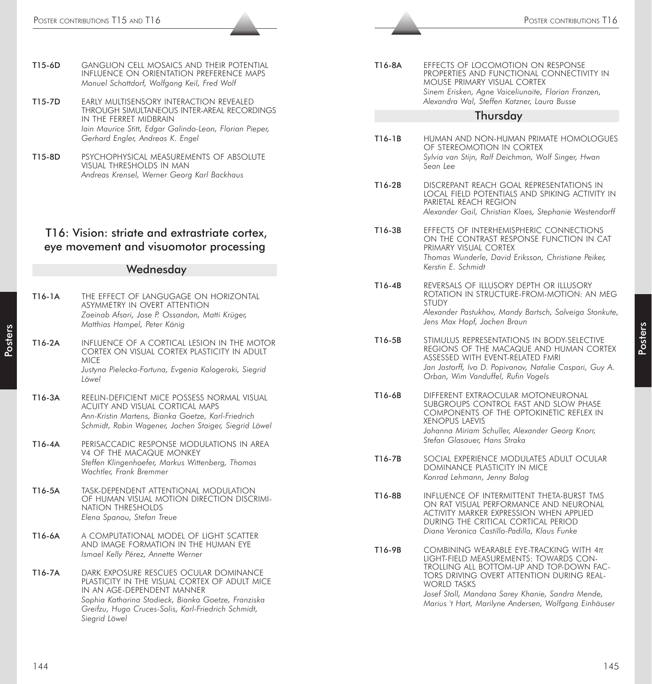| T15-6D | GANGLION CELL MOSAICS AND THEIR POTENTIAL   |
|--------|---------------------------------------------|
|        | INFLUENCE ON ORIENTATION PREFERENCE MAPS    |
|        | Manuel Schottdorf, Wolfgang Keil, Fred Wolf |

- T15-7D EARLY MULTISENSORY INTERACTION REVEALED THROUGH SIMULTANEOUS INTER-AREAL RECORDINGS IN THE FERRET MIDBRAIN *Iain Maurice Stitt, Edgar Galindo-Leon, Florian Pieper, Gerhard Engler, Andreas K. Engel*
- T15-8D PSYCHOPHYSICAL MEASUREMENTS OF ABSOLUTE VISUAL THRESHOLDS IN MAN *Andreas Krensel, Werner Georg Karl Backhaus*

## T16: Vision: striate and extrastriate cortex, eye movement and visuomotor processing

#### **Wednesday**

| T16-1A | THE EFFECT OF LANGUGAGE ON HORIZONTAL<br><b>ASYMMETRY IN OVERT ATTENTION</b><br>Zaeinab Afsari, Jose P. Ossandon, Matti Krüger,<br>Matthias Hampel, Peter König                                                                                      |
|--------|------------------------------------------------------------------------------------------------------------------------------------------------------------------------------------------------------------------------------------------------------|
| T16-2A | INFLUENCE OF A CORTICAL LESION IN THE MOTOR<br>CORTEX ON VISUAL CORTEX PLASTICITY IN ADULT<br><b>MICE</b><br>Justyna Pielecka-Fortuna, Evgenia Kalogeraki, Siegrid<br>Löwel                                                                          |
| T16-3A | REELIN-DEFICIENT MICE POSSESS NORMAL VISUAL<br>ACUITY AND VISUAL CORTICAL MAPS<br>Ann-Kristin Martens, Bianka Goetze, Karl-Friedrich<br>Schmidt, Robin Wagener, Jochen Staiger, Siegrid Löwel                                                        |
| T16-4A | PERISACCADIC RESPONSE MODULATIONS IN AREA<br><b>V4 OF THE MACAQUE MONKEY</b><br>Steffen Klingenhoefer, Markus Wittenberg, Thomas<br>Wachtler, Frank Bremmer                                                                                          |
| T16-5A | TASK-DEPENDENT ATTENTIONAL MODULATION<br>OF HUMAN VISUAL MOTION DIRECTION DISCRIMI-<br>NATION THRESHOLDS<br>Elena Spanou, Stefan Treue                                                                                                               |
| T16-6A | A COMPUTATIONAL MODEL OF LIGHT SCATTER<br>AND IMAGE FORMATION IN THE HUMAN EYE<br>Ismael Kelly Pérez, Annette Werner                                                                                                                                 |
| T16-7A | DARK EXPOSURE RESCUES OCULAR DOMINANCE<br>PLASTICITY IN THE VISUAL CORTEX OF ADULT MICE<br>IN AN AGE-DEPENDENT MANNER<br>Sophia Katharina Stodieck, Bianka Goetze, Franziska<br>Greifzu, Hugo Cruces-Solis, Karl-Friedrich Schmidt,<br>Siearid Löwel |

| T16-8A | EFFECTS OF LOCOMOTION ON RESPONSE<br>PROPERTIES AND FUNCTIONAL CONNECTIVITY IN<br>MOUSE PRIMARY VISUAL CORTEX |
|--------|---------------------------------------------------------------------------------------------------------------|
|        | Sinem Erisken, Agne Vaiceliunaite, Florian Franzen,<br>Alexandra Wal, Steffen Katzner, Laura Busse            |

#### **Thursday**

- T16-1B HUMAN AND NON-HUMAN PRIMATE HOMOLOGUES OF STEREOMOTION IN CORTEX *Sylvia van Stijn, Ralf Deichman, Wolf Singer, Hwan Sean Lee*
- T16-2B DISCREPANT REACH GOAL REPRESENTATIONS IN LOCAL FIELD POTENTIALS AND SPIKING ACTIVITY IN PARIETAL REACH REGION *Alexander Gail, Christian Klaes, Stephanie Westendorff*
- T16-3B EFFECTS OF INTERHEMISPHERIC CONNECTIONS ON THE CONTRAST RESPONSE FUNCTION IN CAT PRIMARY VISUAL CORTEX *Thomas Wunderle, David Eriksson, Christiane Peiker, Kerstin E. Schmidt*
- T16-4B REVERSALS OF ILLUSORY DEPTH OR ILLUSORY ROTATION IN STRUCTURE-FROM-MOTION: AN MEG STUDY *Alexander Pastukhov, Mandy Bartsch, Solveiga Stonkute, Jens Max Hopf, Jochen Braun*
- T16-5B STIMULUS REPRESENTATIONS IN BODY-SELECTIVE REGIONS OF THE MACAQUE AND HUMAN CORTEX ASSESSED WITH EVENT-RELATED FMRI *Jan Jastorff, Ivo D. Popivanov, Natalie Caspari, Guy A. Orban, Wim Vanduffel, Rufin Vogels*
- T16-6B DIFFERENT EXTRAOCULAR MOTONEURONAL SUBGROUPS CONTROL FAST AND SLOW PHASE COMPONENTS OF THE OPTOKINETIC REFLEX IN XENOPUS LAEVIS *Johanna Miriam Schuller, Alexander Georg Knorr, Stefan Glasauer, Hans Straka*
- T16-7B SOCIAL EXPERIENCE MODULATES ADULT OCULAR DOMINANCE PLASTICITY IN MICE *Konrad Lehmann, Jenny Balog*
- T16-8B INFLUENCE OF INTERMITTENT THETA-BURST TMS ON RAT VISUAL PERFORMANCE AND NEURONAL ACTIVITY MARKER EXPRESSION WHEN APPLIED DURING THE CRITICAL CORTICAL PERIOD *Diana Veronica Castillo-Padilla, Klaus Funke*
- T16-9B COMBINING WEARABLE EYE-TRACKING WITH  $4\pi$ LIGHT-FIELD MEASUREMENTS: TOWARDS CON-TROLLING ALL BOTTOM-UP AND TOP-DOWN FAC-TORS DRIVING OVERT ATTENTION DURING REAL-WORLD TASKS *Josef Stoll, Mandana Sarey Khanie, Sandra Mende, Marius 't Hart, Marilyne Andersen, Wolfgang Einhäuser*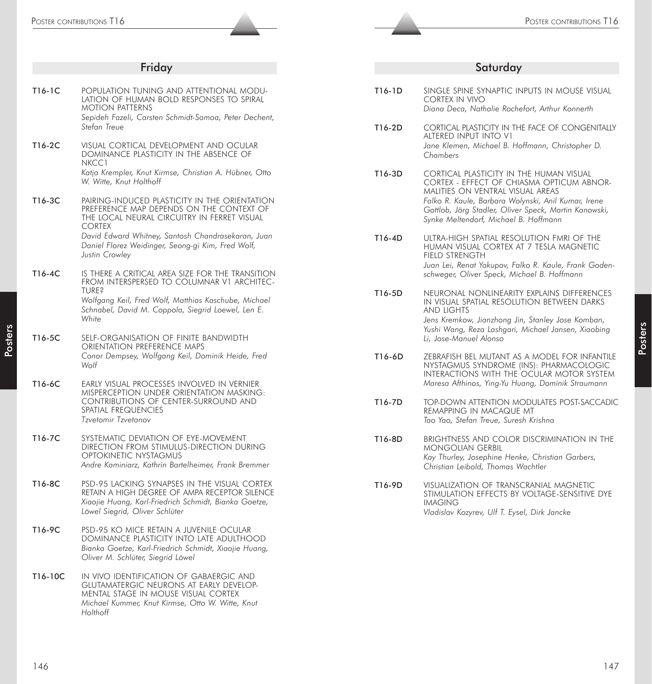|         | Friday                                                                                                                                                                                           |
|---------|--------------------------------------------------------------------------------------------------------------------------------------------------------------------------------------------------|
| T16-1C  | POPULATION TUNING AND ATTENTIONAL MODU-<br>LATION OF HUMAN BOLD RESPONSES TO SPIRAL<br><b>MOTION PATTERNS</b><br>Sepideh Fazeli, Carsten Schmidt-Samoa, Peter Dechent,                           |
| T16-2C  | Stefan Treue<br>VISUAL CORTICAL DEVELOPMENT AND OCULAR<br>DOMINANCE PLASTICITY IN THE ABSENCE OF                                                                                                 |
|         | NKCC1<br>Katja Krempler, Knut Kirmse, Christian A. Hübner, Otto<br>W. Witte, Knut Holthoff                                                                                                       |
| T16-3C  | PAIRING-INDUCED PLASTICITY IN THE ORIENTATION<br>PREFERENCE MAP DEPENDS ON THE CONTEXT OF<br>THE LOCAL NEURAL CIRCUITRY IN FERRET VISUAL<br><b>CORTEX</b>                                        |
|         | David Edward Whitney, Santosh Chandrasekaran, Juan<br>Daniel Florez Weidinger, Seong-gi Kim, Fred Wolf,<br>Justin Crowley                                                                        |
| T16-4C  | IS THERE A CRITICAL AREA SIZE FOR THE TRANSITION<br>FROM INTERSPERSED TO COLUMNAR V1 ARCHITEC-                                                                                                   |
|         | <b>TURE?</b><br>Wolfgang Keil, Fred Wolf, Matthias Kaschube, Michael<br>Schnabel, David M. Coppola, Siegrid Loewel, Len E.<br>White                                                              |
| T16-5C  | SELF-ORGANISATION OF FINITE BANDWIDTH<br>ORIENTATION PREFERENCE MAPS                                                                                                                             |
|         | Conor Dempsey, Wolfgang Keil, Dominik Heide, Fred<br>Wolf                                                                                                                                        |
| T16-6C  | EARLY VISUAL PROCESSES INVOLVED IN VERNIER<br>MISPERCEPTION UNDER ORIENTATION MASKING:<br>CONTRIBUTIONS OF CENTER-SURROUND AND                                                                   |
|         | SPATIAL FREQUENCIES<br>Tzvetomir Tzvetanov                                                                                                                                                       |
| T16-7C  | SYSTEMATIC DEVIATION OF EYE-MOVEMENT<br>DIRECTION FROM STIMULUS-DIRECTION DURING<br>OPTOKINETIC NYSTAGMUS<br>Andre Kaminiarz, Kathrin Bartelheimer, Frank Bremmer                                |
| T16-8C  | PSD-95 LACKING SYNAPSES IN THE VISUAL CORTEX<br>RETAIN A HIGH DEGREE OF AMPA RECEPTOR SILENCE<br>Xiaojie Huang, Karl-Friedrich Schmidt, Bianka Goetze,<br>Löwel Siegrid, Oliver Schlüter         |
| T16-9C  | PSD-95 KO MICE RETAIN A JUVENILE OCULAR<br>DOMINANCE PLASTICITY INTO LATE ADULTHOOD<br>Bianka Goetze, Karl-Friedrich Schmidt, Xiaojie Huang,<br>Oliver M. Schlüter, Siegrid Löwel                |
| T16-10C | IN VIVO IDENTIFICATION OF GABAERGIC AND<br><b>GLUTAMATERGIC NEURONS AT EARLY DEVELOP-</b><br>MENTAL STAGE IN MOUSE VISUAL CORTEX<br>Michael Kummer, Knut Kirmse, Otto W. Witte, Knut<br>Holthoff |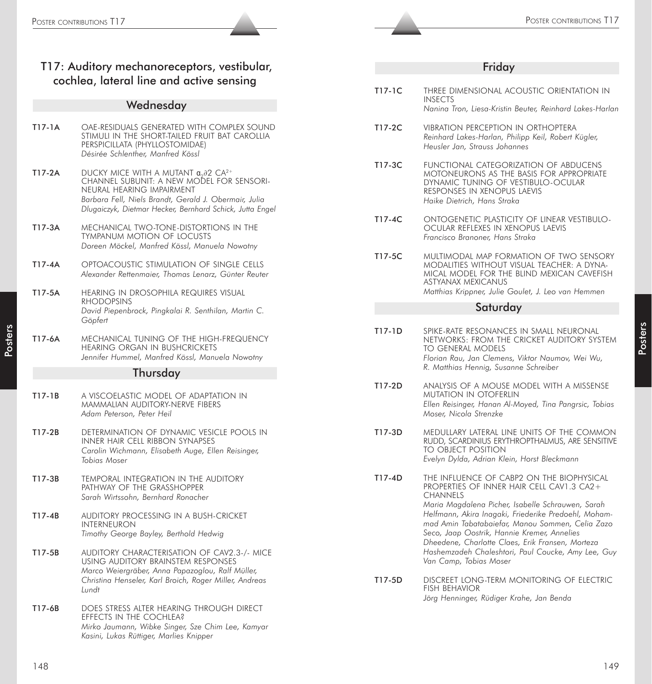|        | T17: Auditory mechanoreceptors, vestibular,<br>cochlea, lateral line and active sensing                                                                                                                                                                          |  |  |  |
|--------|------------------------------------------------------------------------------------------------------------------------------------------------------------------------------------------------------------------------------------------------------------------|--|--|--|
|        | Wednesday                                                                                                                                                                                                                                                        |  |  |  |
| T17-1A | OAE-RESIDUALS GENERATED WITH COMPLEX SOUND<br>STIMULI IN THE SHORT-TAILED FRUIT BAT CAROLLIA<br>PERSPICILLATA (PHYLLOSTOMIDAE)<br>Désirée Schlenther, Manfred Kössl                                                                                              |  |  |  |
| T17-2A | DUCKY MICE WITH A MUTANT $\alpha_{0} \partial 2$ CA <sup>2+</sup><br>CHANNEL SUBUNIT: A NEW MODEL FOR SENSORI-<br>NEURAL HEARING IMPAIRMENT<br>Barbara Fell, Niels Brandt, Gerald J. Obermair, Julia<br>Dlugaiczyk, Dietmar Hecker, Bernhard Schick, Jutta Engel |  |  |  |
| T17-3A | MECHANICAL TWO-TONE-DISTORTIONS IN THE<br><b>TYMPANUM MOTION OF LOCUSTS</b><br>Doreen Möckel, Manfred Kössl, Manuela Nowotny                                                                                                                                     |  |  |  |
| T17-4A | OPTOACOUSTIC STIMULATION OF SINGLE CELLS<br>Alexander Rettenmaier, Thomas Lenarz, Günter Reuter                                                                                                                                                                  |  |  |  |
| T17-5A | HEARING IN DROSOPHILA REQUIRES VISUAL<br><b>RHODOPSINS</b><br>David Piepenbrock, Pingkalai R. Senthilan, Martin C.<br>Göpfert                                                                                                                                    |  |  |  |
| T17-6A | MECHANICAL TUNING OF THE HIGH-FREQUENCY<br>HEARING ORGAN IN BUSHCRICKETS<br>Jennifer Hummel, Manfred Kössl, Manuela Nowotny                                                                                                                                      |  |  |  |
|        | Thursday                                                                                                                                                                                                                                                         |  |  |  |
| T17-1B | A VISCOELASTIC MODEL OF ADAPTATION IN<br>MAMMALIAN AUDITORY-NERVE FIBERS<br>Adam Peterson, Peter Heil                                                                                                                                                            |  |  |  |
| T17-2B | DETERMINATION OF DYNAMIC VESICLE POOLS IN<br><b>INNER HAIR CELL RIBBON SYNAPSES</b><br>Carolin Wichmann, Elisabeth Auge, Ellen Reisinger,<br>Tobias Moser                                                                                                        |  |  |  |
| T17-3B | TEMPORAL INTEGRATION IN THE AUDITORY<br>PATHWAY OF THE GRASSHOPPER<br>Sarah Wirtssohn, Bernhard Ronacher                                                                                                                                                         |  |  |  |
| T17-4B | AUDITORY PROCESSING IN A BUSH-CRICKET<br><b>INTERNEURON</b><br>Timothy George Bayley, Berthold Hedwig                                                                                                                                                            |  |  |  |
| T17-5B | AUDITORY CHARACTERISATION OF CAV2.3-/- MICE<br>USING AUDITORY BRAINSTEM RESPONSES<br>Marco Weiergräber, Anna Papazoglou, Ralf Müller,<br>Christina Henseler, Karl Broich, Roger Miller, Andreas<br>Lundt                                                         |  |  |  |

T17-6B DOES STRESS ALTER HEARING THROUGH DIRECT EFFECTS IN THE COCHLEA? *Mirko Jaumann, Wibke Singer, Sze Chim Lee, Kamyar Kasini, Lukas Rüttiger, Marlies Knipper*

| T17-1C | Three Dimensional acoustic orientation in<br><b>INSECTS</b><br>Nanina Tron, Liesa-Kristin Beuter, Reinhard Lakes-Harlan                                                                                                                                                                                                                                                                                                                                       |
|--------|---------------------------------------------------------------------------------------------------------------------------------------------------------------------------------------------------------------------------------------------------------------------------------------------------------------------------------------------------------------------------------------------------------------------------------------------------------------|
| T17-2C | <b>VIBRATION PERCEPTION IN ORTHOPTERA</b><br>Reinhard Lakes-Harlan, Philipp Keil, Robert Kügler,<br>Heusler Jan, Strauss Johannes                                                                                                                                                                                                                                                                                                                             |
| T17-3C | FUNCTIONAL CATEGORIZATION OF ABDUCENS<br>MOTONEURONS AS THE BASIS FOR APPROPRIATE<br>DYNAMIC TUNING OF VESTIBULO-OCULAR<br>RESPONSES IN XENOPUS LAEVIS<br>Haike Dietrich, Hans Straka                                                                                                                                                                                                                                                                         |
| T17-4C | ONTOGENETIC PLASTICITY OF LINEAR VESTIBULO-<br>OCULAR REFLEXES IN XENOPUS LAEVIS<br>Francisco Branoner, Hans Straka                                                                                                                                                                                                                                                                                                                                           |
| T17-5C | MULTIMODAL MAP FORMATION OF TWO SENSORY<br>MODALITIES WITHOUT VISUAL TEACHER: A DYNA-<br>MICAL MODEL FOR THE BLIND MEXICAN CAVEFISH<br><b>ASTYANAX MEXICANUS</b><br>Matthias Krippner, Julie Goulet, J. Leo van Hemmen                                                                                                                                                                                                                                        |
|        | Saturday                                                                                                                                                                                                                                                                                                                                                                                                                                                      |
| T17-1D | SPIKE-RATE RESONANCES IN SMALL NEURONAL<br>NETWORKS: FROM THE CRICKET AUDITORY SYSTEM<br><b>TO GENERAL MODELS</b><br>Florian Rau, Jan Clemens, Viktor Naumov, Wei Wu,<br>R. Matthias Hennig, Susanne Schreiber                                                                                                                                                                                                                                                |
| T17-2D | ANALYSIS OF A MOUSE MODEL WITH A MISSENSE<br><b>MUTATION IN OTOFERLIN</b><br>Ellen Reisinger, Hanan Al-Moyed, Tina Pangrsic, Tobias<br>Moser, Nicola Strenzke                                                                                                                                                                                                                                                                                                 |
| T17-3D | medullary lateral line units of the common<br>RUDD, SCARDINIUS ERYTHROPTHALMUS, ARE SENSITIVE<br>TO OBJECT POSITION<br>Evelyn Dylda, Adrian Klein, Horst Bleckmann                                                                                                                                                                                                                                                                                            |
| T17-4D | THE INFLUENCE OF CABP2 ON THE BIOPHYSICAL<br>PROPERTIES OF INNER HAIR CELL CAV1.3 CA2+<br><b>CHANNELS</b><br>Maria Magdalena Picher, Isabelle Schrauwen, Sarah<br>Helfmann, Akira Inagaki, Friederike Predoehl, Moham-<br>mad Amin Tabatabaiefar, Manou Sommen, Celia Zazo<br>Seco, Jaap Oostrik, Hannie Kremer, Annelies<br>Dheedene, Charlotte Claes, Erik Fransen, Morteza<br>Hashemzadeh Chaleshtori, Paul Coucke, Amy Lee, Guy<br>Van Camp, Tobias Moser |
| T17-5D | DISCREET LONG-TERM MONITORING OF ELECTRIC<br><b>FISH BEHAVIOR</b><br>Jörg Henninger, Rüdiger Krahe, Jan Benda                                                                                                                                                                                                                                                                                                                                                 |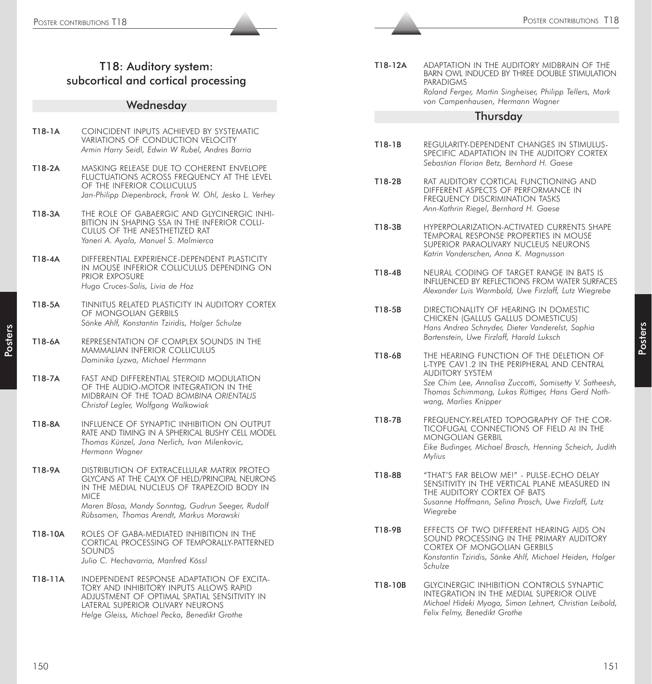# T18: Auditory system: subcortical and cortical processing

#### **Wednesday**

| T18-1A | COINCIDENT INPUTS ACHIEVED BY SYSTEMATIC        |
|--------|-------------------------------------------------|
|        | VARIATIONS OF CONDUCTION VELOCITY               |
|        | Armin Harry Seidl, Edwin W Rubel, Andres Barria |

- T18-2A MASKING RELEASE DUE TO COHERENT ENVELOPE FLUCTUATIONS ACROSS FREQUENCY AT THE LEVEL OF THE INFERIOR COLLICULUS *Jan-Philipp Diepenbrock, Frank W. Ohl, Jesko L. Verhey*
- T18-3A THE ROLE OF GABAERGIC AND GLYCINERGIC INHI-BITION IN SHAPING SSA IN THE INFERIOR COLLI-CULUS OF THE ANESTHETIZED RAT *Yaneri A. Ayala, Manuel S. Malmierca*
- T18-4A DIFFERENTIAL EXPERIENCE-DEPENDENT PLASTICITY IN MOUSE INFERIOR COLLICULUS DEPENDING ON PRIOR EXPOSURE *Hugo Cruces-Solis, Livia de Hoz*
- T18-5A TINNITUS RELATED PLASTICITY IN AUDITORY CORTEX OF MONGOLIAN GERBILS *Sönke Ahlf, Konstantin Tziridis, Holger Schulze*
- T18-6A REPRESENTATION OF COMPLEX SOUNDS IN THE MAMMALIAN INFERIOR COLLICULUS *Dominika Lyzwa, Michael Herrmann*
- T18-7A FAST AND DIFFERENTIAL STEROID MODULATION OF THE AUDIO-MOTOR INTEGRATION IN THE MIDBRAIN OF THE TOAD *BOMBINA ORIENTALIS Christof Legler, Wolfgang Walkowiak*
- T18-8A INFLUENCE OF SYNAPTIC INHIBITION ON OUTPUT RATE AND TIMING IN A SPHERICAL BUSHY CELL MODEL *Thomas Künzel, Jana Nerlich, Ivan Milenkovic, Hermann Wagner*
- T18-9A DISTRIBUTION OF EXTRACELLULAR MATRIX PROTEO GLYCANS AT THE CALYX OF HELD/PRINCIPAL NEURONS IN THE MEDIAL NUCLEUS OF TRAPEZOID BODY IN **MICE** *Maren Blosa, Mandy Sonntag, Gudrun Seeger, Rudolf Rübsamen, Thomas Arendt, Markus Morawski*
- T18-10A ROLES OF GABA-MEDIATED INHIBITION IN THE CORTICAL PROCESSING OF TEMPORALLY-PATTERNED SOUNDS *Julio C. Hechavarria, Manfred Kössl*
- T18-11A INDEPENDENT RESPONSE ADAPTATION OF EXCITA-TORY AND INHIBITORY INPUTS ALLOWS RAPID ADJUSTMENT OF OPTIMAL SPATIAL SENSITIVITY IN LATERAL SUPERIOR OLIVARY NEURONS *Helge Gleiss, Michael Pecka, Benedikt Grothe*

T18-12A ADAPTATION IN THE AUDITORY MIDBRAIN OF THE BARN OWL INDUCED BY THREE DOUBLE STIMULATION PARADIGMS *Roland Ferger, Martin Singheiser, Philipp Tellers, Mark von Campenhausen, Hermann Wagner*

#### Thursday

- T18-1B REGULARITY-DEPENDENT CHANGES IN STIMULUS-SPECIFIC ADAPTATION IN THE AUDITORY CORTEX *Sebastian Florian Betz, Bernhard H. Gaese*
- T18-2B RAT AUDITORY CORTICAL FUNCTIONING AND DIFFERENT ASPECTS OF PERFORMANCE IN FREQUENCY DISCRIMINATION TASKS *Ann-Kathrin Riegel, Bernhard H. Gaese*
- T18-3B HYPERPOLARIZATION-ACTIVATED CURRENTS SHAPE TEMPORAL RESPONSE PROPERTIES IN MOUSE SUPERIOR PARAOLIVARY NUCLEUS NEURONS *Katrin Vonderschen, Anna K. Magnusson*
- T18-4B NEURAL CODING OF TARGET RANGE IN BATS IS INFLUENCED BY REFLECTIONS FROM WATER SURFACES *Alexander Luis Warmbold, Uwe Firzlaff, Lutz Wiegrebe*
- T18-5B DIRECTIONALITY OF HEARING IN DOMESTIC CHICKEN (GALLUS GALLUS DOMESTICUS) *Hans Andrea Schnyder, Dieter Vanderelst, Sophia Bartenstein, Uwe Firzlaff, Harald Luksch*
- 2003 1991 Sources Contributions 1991 Sources Contributions 1991 Sources Contributions 1991 Sources Contributions 1991<br>
178 Auditory spelant and the contribution of the contributions to the contributions in the contributi T18-6B THE HEARING FUNCTION OF THE DELETION OF L-TYPE CAV1.2 IN THE PERIPHERAL AND CENTRAL AUDITORY SYSTEM *Sze Chim Lee, Annalisa Zuccotti, Somisetty V. Satheesh, Thomas Schimmang, Lukas Rüttiger, Hans Gerd Nothwang, Marlies Knipper*
	- T18-7B FREQUENCY-RELATED TOPOGRAPHY OF THE COR-TICOFUGAL CONNECTIONS OF FIELD AI IN THE MONGOLIAN GERBIL *Eike Budinger, Michael Brosch, Henning Scheich, Judith Mylius*
	- T18-8B "THAT'S FAR BELOW ME!" PULSE-ECHO DELAY SENSITIVITY IN THE VERTICAL PLANE MEASURED IN THE AUDITORY CORTEX OF BATS *Susanne Hoffmann, Selina Prosch, Uwe Firzlaff, Lutz Wiegrebe*
	- T18-9B EFFECTS OF TWO DIFFERENT HEARING AIDS ON SOUND PROCESSING IN THE PRIMARY AUDITORY CORTEX OF MONGOLIAN GERBILS *Konstantin Tziridis, Sönke Ahlf, Michael Heiden, Holger Schulze*
	- T18-10B GLYCINERGIC INHIBITION CONTROLS SYNAPTIC INTEGRATION IN THE MEDIAL SUPERIOR OLIVE *Michael Hideki Myoga, Simon Lehnert, Christian Leibold, Felix Felmy, Benedikt Grothe*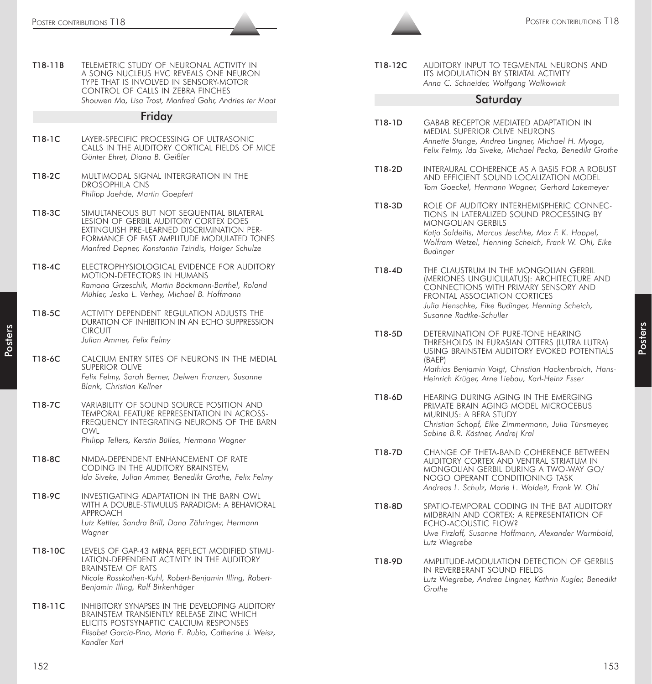|                  | POSTER CONTRIBUTIONS T18                                                                                                                                                                                                              |         | POSTER CONTRIBUTIONS T18                                                                                                                                                                                                                   |
|------------------|---------------------------------------------------------------------------------------------------------------------------------------------------------------------------------------------------------------------------------------|---------|--------------------------------------------------------------------------------------------------------------------------------------------------------------------------------------------------------------------------------------------|
|                  |                                                                                                                                                                                                                                       |         |                                                                                                                                                                                                                                            |
| T18-11B          | TELEMETRIC STUDY OF NEURONAL ACTIVITY IN<br>A SONG NUCLEUS HVC REVEALS ONE NEURON<br>TYPE THAT IS INVOLVED IN SENSORY-MOTOR<br>CONTROL OF CALLS IN ZEBRA FINCHES                                                                      | T18-12C | AUDITORY INPUT TO TEGMENTAL NEURONS AND<br>ITS MODULATION BY STRIATAL ACTIVITY<br>Anna C. Schneider, Wolfgang Walkowiak                                                                                                                    |
|                  | Shouwen Ma, Lisa Trost, Manfred Gahr, Andries ter Maat                                                                                                                                                                                |         | Saturday                                                                                                                                                                                                                                   |
|                  | Friday                                                                                                                                                                                                                                | T18-1D  | GABAB RECEPTOR MEDIATED ADAPTATION IN                                                                                                                                                                                                      |
| T18-1C           | LAYER-SPECIFIC PROCESSING OF ULTRASONIC<br>CALLS IN THE AUDITORY CORTICAL FIELDS OF MICE<br>Günter Ehret, Diana B. Geißler                                                                                                            |         | MEDIAL SUPERIOR OLIVE NEURONS<br>Annette Stange, Andrea Lingner, Michael H. Myoga,<br>Felix Felmy, Ida Siveke, Michael Pecka, Benedikt Grothe                                                                                              |
| T18-2C           | MULTIMODAL SIGNAL INTERGRATION IN THE<br><b>DROSOPHILA CNS</b><br>Philipp Jaehde, Martin Goepfert                                                                                                                                     | T18-2D  | INTERAURAL COHERENCE AS A BASIS FOR A ROBUST<br>AND EFFICIENT SOUND LOCALIZATION MODEL<br>Tom Goeckel, Hermann Wagner, Gerhard Lakemeyer                                                                                                   |
| T18-3C           | SIMULTANEOUS BUT NOT SEQUENTIAL BILATERAL<br>LESION OF GERBIL AUDITORY CORTEX DOES<br>EXTINGUISH PRE-LEARNED DISCRIMINATION PER-<br>FORMANCE OF FAST AMPLITUDE MODULATED TONES<br>Manfred Depner, Konstantin Tziridis, Holger Schulze | T18-3D  | ROLE OF AUDITORY INTERHEMISPHERIC CONNEC-<br>TIONS IN LATERALIZED SOUND PROCESSING BY<br><b>MONGOLIAN GERBILS</b><br>Katja Saldeitis, Marcus Jeschke, Max F. K. Happel,<br>Wolfram Wetzel, Henning Scheich, Frank W. Ohl, Eike<br>Budinger |
| T18-4C<br>T18-5C | ELECTROPHYSIOLOGICAL EVIDENCE FOR AUDITORY<br>MOTION-DETECTORS IN HUMANS<br>Ramona Grzeschik, Martin Böckmann-Barthel, Roland<br>Mühler, Jesko L. Verhey, Michael B. Hoffmann<br>ACTIVITY DEPENDENT REGULATION ADJUSTS THE            | T18-4D  | THE CLAUSTRUM IN THE MONGOLIAN GERBIL<br>(MERIONES UNGUICULATUS): ARCHITECTURE AND<br>CONNECTIONS WITH PRIMARY SENSORY AND<br>FRONTAL ASSOCIATION CORTICES<br>Julia Henschke, Eike Budinger, Henning Scheich,                              |
| T18-6C           | DURATION OF INHIBITION IN AN ECHO SUPPRESSION<br><b>CIRCUIT</b><br>Julian Ammer, Felix Felmy<br>CALCIUM ENTRY SITES OF NEURONS IN THE MEDIAL                                                                                          | T18-5D  | Susanne Radtke-Schuller<br>DETERMINATION OF PURE-TONE HEARING<br>THRESHOLDS IN EURASIAN OTTERS (LUTRA LUTRA)<br>USING BRAINSTEM AUDITORY EVOKED POTENTIALS<br>(BAEP)                                                                       |
|                  | <b>SUPERIOR OLIVE</b><br>Felix Felmy, Sarah Berner, Delwen Franzen, Susanne<br>Blank, Christian Kellner                                                                                                                               |         | Mathias Benjamin Voigt, Christian Hackenbroich, Hans-<br>Heinrich Krüger, Arne Liebau, Karl-Heinz Esser                                                                                                                                    |
| T18-7C           | VARIABILITY OF SOUND SOURCE POSITION AND<br>TEMPORAL FEATURE REPRESENTATION IN ACROSS-<br>FREQUENCY INTEGRATING NEURONS OF THE BARN<br>OWL<br>Philipp Tellers, Kerstin Bülles, Hermann Wagner                                         | T18-6D  | HEARING DURING AGING IN THE EMERGING<br>PRIMATE BRAIN AGING MODEL MICROCEBUS<br>MURINUS: A BERA STUDY<br>Christian Schopf, Elke Zimmermann, Julia Tünsmeyer,<br>Sabine B.R. Kästner, Andrej Kral                                           |
| T18-8C           | NMDA-DEPENDENT ENHANCEMENT OF RATE<br>CODING IN THE AUDITORY BRAINSTEM<br>Ida Siveke, Julian Ammer, Benedikt Grothe, Felix Felmy                                                                                                      | T18-7D  | CHANGE OF THETA-BAND COHERENCE BETWEEN<br>AUDITORY CORTEX AND VENTRAL STRIATUM IN<br>MONGOLIAN GERBIL DURING A TWO-WAY GO/<br>NOGO OPERANT CONDITIONING TASK<br>Andreas L. Schulz, Marie L. Woldeit, Frank W. Ohl                          |
| T18-9C           | INVESTIGATING ADAPTATION IN THE BARN OWL<br>WITH A DOUBLE-STIMULUS PARADIGM: A BEHAVIORAL<br>APPROACH<br>Lutz Kettler, Sandra Brill, Dana Zähringer, Hermann<br>Wagner                                                                | T18-8D  | SPATIO-TEMPORAL CODING IN THE BAT AUDITORY<br>MIDBRAIN AND CORTEX: A REPRESENTATION OF<br>ECHO-ACOUSTIC FLOW?<br>Uwe Firzlaff, Susanne Hoffmann, Alexander Warmbold,<br>Lutz Wiegrebe                                                      |
| T18-10C          | LEVELS OF GAP-43 MRNA REFLECT MODIFIED STIMU-<br>LATION-DEPENDENT ACTIVITY IN THE AUDITORY<br><b>BRAINSTEM OF RATS</b><br>Nicole Rosskothen-Kuhl, Robert-Benjamin Illing, Robert-<br>Benjamin Illing, Ralf Birkenhäger                | T18-9D  | AMPLITUDE-MODULATION DETECTION OF GERBILS<br>IN REVERBERANT SOUND FIELDS<br>Lutz Wiegrebe, Andrea Lingner, Kathrin Kugler, Benedikt<br>Grothe                                                                                              |
| T18-11C          | INHIBITORY SYNAPSES IN THE DEVELOPING AUDITORY<br>BRAINSTEM TRANSIENTLY RELEASE ZINC WHICH<br>ELICITS POSTSYNAPTIC CALCIUM RESPONSES<br>Elisabet Garcia-Pino, Maria E. Rubio, Catherine J. Weisz,<br>Kandler Karl                     |         |                                                                                                                                                                                                                                            |
| 152              |                                                                                                                                                                                                                                       |         | 153                                                                                                                                                                                                                                        |

| T18-12C | AUDITORY INPUT TO TEGMENTAL NEURONS AND |
|---------|-----------------------------------------|
|         | ITS MODULATION BY STRIATAL ACTIVITY     |
|         | Anna C. Schneider, Wolfgang Walkowiak   |

#### **Saturday**

- T18-1D GABAB RECEPTOR MEDIATED ADAPTATION IN MEDIAL SUPERIOR OLIVE NEURONS *Annette Stange, Andrea Lingner, Michael H. Myoga, Felix Felmy, Ida Siveke, Michael Pecka, Benedikt Grothe*
- T18-2D INTERAURAL COHERENCE AS A BASIS FOR A ROBUST AND EFFICIENT SOUND LOCALIZATION MODEL *Tom Goeckel, Hermann Wagner, Gerhard Lakemeyer*
- T18-3D ROLE OF AUDITORY INTERHEMISPHERIC CONNEC-TIONS IN LATERALIZED SOUND PROCESSING BY MONGOLIAN GERBILS *Katja Saldeitis, Marcus Jeschke, Max F. K. Happel, Wolfram Wetzel, Henning Scheich, Frank W. Ohl, Eike Budinger*
- T18-4D THE CLAUSTRUM IN THE MONGOLIAN GERBIL (MERIONES UNGUICULATUS): ARCHITECTURE AND CONNECTIONS WITH PRIMARY SENSORY AND FRONTAL ASSOCIATION CORTICES *Julia Henschke, Eike Budinger, Henning Scheich, Susanne Radtke-Schuller*
- T18-5D DETERMINATION OF PURE-TONE HEARING THRESHOLDS IN EURASIAN OTTERS (LUTRA LUTRA) USING BRAINSTEM AUDITORY EVOKED POTENTIALS (BAEP) *Mathias Benjamin Voigt, Christian Hackenbroich, Hans-Heinrich Krüger, Arne Liebau, Karl-Heinz Esser*
- T18-6D HEARING DURING AGING IN THE EMERGING PRIMATE BRAIN AGING MODEL MICROCEBUS MURINUS: A BERA STUDY *Christian Schopf, Elke Zimmermann, Julia Tünsmeyer, Sabine B.R. Kästner, Andrej Kral*
- T18-7D CHANGE OF THETA-BAND COHERENCE BETWEEN AUDITORY CORTEX AND VENTRAL STRIATUM IN MONGOLIAN GERBIL DURING A TWO-WAY GO/ NOGO OPERANT CONDITIONING TASK *Andreas L. Schulz, Marie L. Woldeit, Frank W. Ohl*
- T18-8D SPATIO-TEMPORAL CODING IN THE BAT AUDITORY MIDBRAIN AND CORTEX: A REPRESENTATION OF ECHO-ACOUSTIC FLOW? *Uwe Firzlaff, Susanne Hoffmann, Alexander Warmbold, Lutz Wiegrebe*
- T18-9D AMPLITUDE-MODULATION DETECTION OF GERBILS IN REVERBERANT SOUND FIELDS *Lutz Wiegrebe, Andrea Lingner, Kathrin Kugler, Benedikt Grothe*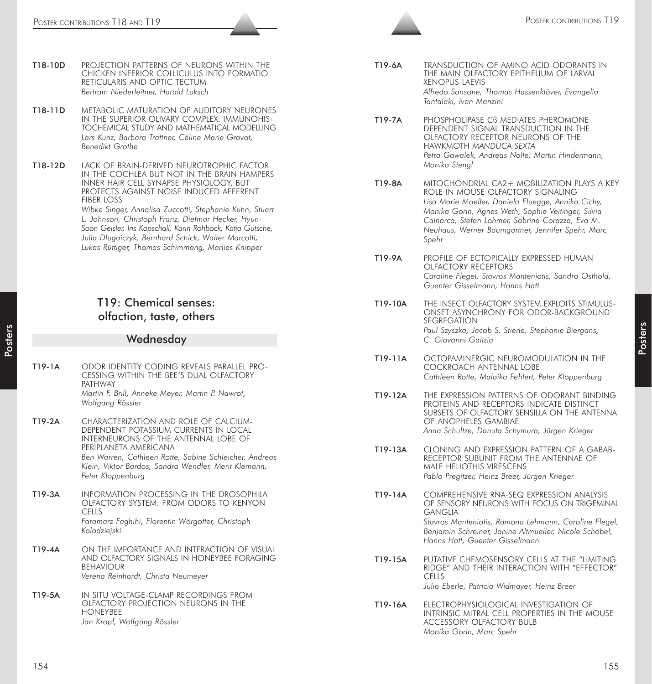- T18-10D PROJECTION PATTERNS OF NEURONS WITHIN THE CHICKEN INFERIOR COLLICULUS INTO FORMATIO RETICULARIS AND OPTIC TECTUM *Bertram Niederleitner, Harald Luksch*
- T18-11D METABOLIC MATURATION OF AUDITORY NEURONES IN THE SUPERIOR OLIVARY COMPLEX: IMMUNOHIS-TOCHEMICAL STUDY AND MATHEMATICAL MODELLING *Lars Kunz, Barbara Trattner, Céline Marie Gravot, Benedikt Grothe*
- T18-12D LACK OF BRAIN-DERIVED NEUROTROPHIC FACTOR IN THE COCHLEA BUT NOT IN THE BRAIN HAMPERS INNER HAIR CELL SYNAPSE PHYSIOLOGY, BUT PROTECTS AGAINST NOISE INDUCED AFFERENT FIBER LOSS *Wibke Singer, Annalisa Zuccotti, Stephanie Kuhn, Stuart L. Johnson, Christoph Franz, Dietmar Hecker, Hyun-Soon Geisler, Iris Köpschall, Karin Rohbock, Katja Gutsche, Julia Dlugaiczyk, Bernhard Schick, Walter Marcotti,*

*Lukas Rüttiger, Thomas Schimmang, Marlies Knipper*

# T19: Chemical senses: olfaction, taste, others

#### Wednesday

- T19-1A ODOR IDENTITY CODING REVEALS PARALLEL PRO-CESSING WITHIN THE BEE'S DUAL OLFACTORY PATHWAY *Martin F. Brill, Anneke Meyer, Martin P. Nawrot, Wolfgang Rössler*
- T19-2A CHARACTERIZATION AND ROLE OF CALCIUM-DEPENDENT POTASSIUM CURRENTS IN LOCAL INTERNEURONS OF THE ANTENNAL LOBE OF PERIPLANETA AMERICANA *Ben Warren, Cathleen Rotte, Sabine Schleicher, Andreas Klein, Viktor Bardos, Sandra Wendler, Merit Klemann, Peter Kloppenburg*
- T19-3A INFORMATION PROCESSING IN THE DROSOPHILA OLFACTORY SYSTEM: FROM ODORS TO KENYON CELLS *Faramarz Faghihi, Florentin Wörgotter, Christoph Kolodziejski*
- T19-4A ON THE IMPORTANCE AND INTERACTION OF VISUAL AND OLFACTORY SIGNALS IN HONEYBEE FORAGING BEHAVIOUR *Verena Reinhardt, Christa Neumeyer*
- T19-5A IN SITU VOLTAGE-CLAMP RECORDINGS FROM OLFACTORY PROJECTION NEURONS IN THE HONEYBEE *Jan Kropf, Wolfgang Rössler*
- T19-6A TRANSDUCTION OF AMINO ACID ODORANTS IN THE MAIN OLFACTORY EPITHELIUM OF LARVAL XENOPUS LAEVIS *Alfredo Sansone, Thomas Hassenklöver, Evangelia Tantalaki, Ivan Manzini*
- T19-7A PHOSPHOLIPASE Cß MEDIATES PHEROMONE DEPENDENT SIGNAL TRANSDUCTION IN THE OLFACTORY RECEPTOR NEURONS OF THE HAWKMOTH *MANDUCA SEXTA Petra Gawalek, Andreas Nolte, Martin Hindermann, Monika Stengl*
- T19-8A MITOCHONDRIAL CA2+ MOBILIZATION PLAYS A KEY ROLE IN MOUSE OLFACTORY SIGNALING *Lisa Marie Moeller, Daniela Fluegge, Annika Cichy, Monika Gorin, Agnes Weth, Sophie Veitinger, Silvia Cainarca, Stefan Lohmer, Sabrina Corazza, Eva M. Neuhaus, Werner Baumgartner, Jennifer Spehr, Marc Spehr*
- T19-9A PROFILE OF ECTOPICALLY EXPRESSED HUMAN OLFACTORY RECEPTORS *Caroline Flegel, Stavros Manteniotis, Sandra Osthold, Guenter Gisselmann, Hanns Hatt*
- T19-10A THE INSECT OLFACTORY SYSTEM EXPLOITS STIMULUS-ONSET ASYNCHRONY FOR ODOR-BACKGROUND SEGREGATION *Paul Szyszka, Jacob S. Stierle, Stephanie Biergans, C. Giovanni Galizia*
- T19-11A OCTOPAMINERGIC NEUROMODULATION IN THE COCKROACH ANTENNAL LOBE *Cathleen Rotte, Malaika Fehlert, Peter Kloppenburg*
- T19-12A THE EXPRESSION PATTERNS OF ODORANT BINDING PROTEINS AND RECEPTORS INDICATE DISTINCT SUBSETS OF OLFACTORY SENSILLA ON THE ANTENNA OF ANOPHELES GAMBIAE *Anna Schultze, Danuta Schymura, Jürgen Krieger*
- T19-13A CLONING AND EXPRESSION PATTERN OF A GABAB-RECEPTOR SUBUNIT FROM THE ANTENNAE OF MALE HELIOTHIS VIRESCENS *Pablo Pregitzer, Heinz Breer, Jürgen Krieger*
- T19-14A COMPREHENSIVE RNA-SEQ EXPRESSION ANALYSIS OF SENSORY NEURONS WITH FOCUS ON TRIGEMINAL GANGLIA *Stavros Manteniotis, Ramona Lehmann, Caroline Flegel, Benjamin Schreiner, Janine Altmueller, Nicole Schöbel,*
- T19-15A PUTATIVE CHEMOSENSORY CELLS AT THE "LIMITING RIDGE" AND THEIR INTERACTION WITH "EFFECTOR" CELLS *Julia Eberle, Patricia Widmayer, Heinz Breer*

*Hanns Hatt, Guenter Gisselmann*

T19-16A ELECTROPHYSIOLOGICAL INVESTIGATION OF INTRINSIC MITRAL CELL PROPERTIES IN THE MOUSE ACCESSORY OLFACTORY BULB *Monika Gorin, Marc Spehr*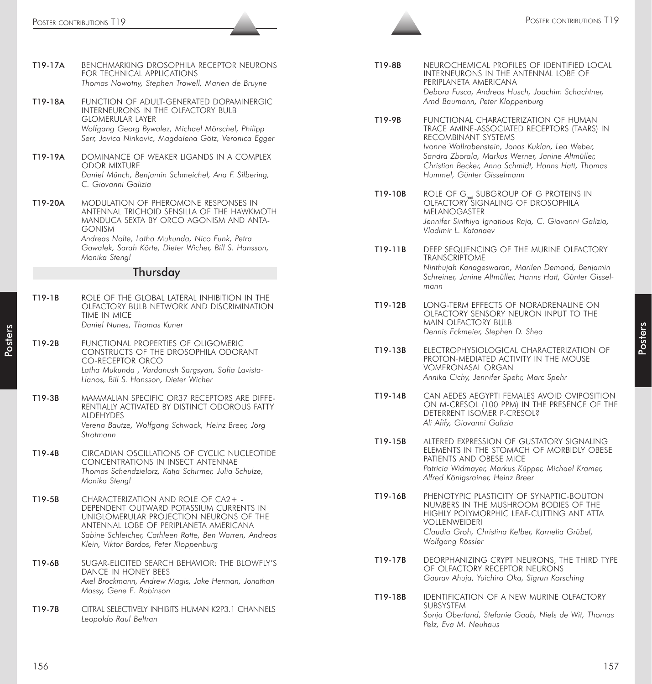| FUNCTION OF ADULT-GENERATED DOPAMINERGIC<br>T19-18A<br>INTERNEURONS IN THE OLFACTORY BULB<br><b>GLOMERULAR LAYER</b><br>Wolfgang Georg Bywalez, Michael Mörschel, Philipp<br>Serr, Jovica Ninkovic, Magdalena Götz, Veronica Egger                                                           |
|----------------------------------------------------------------------------------------------------------------------------------------------------------------------------------------------------------------------------------------------------------------------------------------------|
| DOMINANCE OF WEAKER LIGANDS IN A COMPLEX<br>T19-19A<br><b>ODOR MIXTURE</b><br>Daniel Münch, Benjamin Schmeichel, Ana F. Silbering,<br>C. Giovanni Galizia                                                                                                                                    |
| T19-20A<br><b>MODULATION OF PHEROMONE RESPONSES IN</b><br>ANTENNAL TRICHOID SENSILLA OF THE HAWKMOTH<br>MANDUCA SEXTA BY ORCO AGONISM AND ANTA-<br><b>GONISM</b><br>Andreas Nolte, Latha Mukunda, Nico Funk, Petra<br>Gawalek, Sarah Körte, Dieter Wicher, Bill S. Hansson,<br>Monika Stengl |
| Thursday                                                                                                                                                                                                                                                                                     |
| T19-1B<br>ROLE OF THE GLOBAL LATERAL INHIBITION IN THE<br>OLFACTORY BULB NETWORK AND DISCRIMINATION<br>TIME IN MICE<br>Daniel Nunes, Thomas Kuner                                                                                                                                            |
| FUNCTIONAL PROPERTIES OF OLIGOMERIC<br>T19-2B<br>CONSTRUCTS OF THE DROSOPHILA ODORANT<br><b>CO-RECEPTOR ORCO</b><br>Latha Mukunda, Vardanush Sargsyan, Sofia Lavista-<br>Llanos, Bill S. Hansson, Dieter Wicher                                                                              |
| T19-3B<br>MAMMALIAN SPECIFIC OR37 RECEPTORS ARE DIFFE-<br>RENTIALLY ACTIVATED BY DISTINCT ODOROUS FATTY<br>ALDEHYDES<br>Verena Bautze, Wolfgang Schwack, Heinz Breer, Jörg                                                                                                                   |
| Strotmann                                                                                                                                                                                                                                                                                    |
| T19-4B<br>CIRCADIAN OSCILLATIONS OF CYCLIC NUCLEOTIDE<br>CONCENTRATIONS IN INSECT ANTENNAE<br>Thomas Schendzielorz, Katja Schirmer, Julia Schulze,<br>Monika Stengl                                                                                                                          |
| CHARACTERIZATION AND ROLE OF CA2+ -<br>T19-5B<br>DEPENDENT OUTWARD POTASSIUM CURRENTS IN<br>UNIGLOMERULAR PROJECTION NEURONS OF THE<br>ANTENNAL LOBE OF PERIPLANETA AMERICANA<br>Sabine Schleicher, Cathleen Rotte, Ben Warren, Andreas<br>Klein, Viktor Bardos, Peter Kloppenburg           |
| SUGAR-ELICITED SEARCH BEHAVIOR: THE BLOWFLY'S<br>T19-6B<br>DANCE IN HONEY BEES<br>Axel Brockmann, Andrew Magis, Jake Herman, Jonathan<br>Massy, Gene E. Robinson                                                                                                                             |

| T19-8B | NEUROCHEMICAL PROFILES OF IDENTIFIED LOCAL       |
|--------|--------------------------------------------------|
|        | INTERNEURONS IN THE ANTENNAL LOBE OF             |
|        | PERIPLANETA AMERICANA                            |
|        | Debora Fusca, Andreas Husch, Joachim Schachtner, |
|        | Arnd Baumann, Peter Kloppenburg                  |

- T19-9B FUNCTIONAL CHARACTERIZATION OF HUMAN TRACE AMINE-ASSOCIATED RECEPTORS (TAARS) IN RECOMBINANT SYSTEMS *Ivonne Wallrabenstein, Jonas Kuklan, Lea Weber, Sandra Zborala, Markus Werner, Janine Altmüller, Christian Becker, Anna Schmidt, Hanns Hatt, Thomas Hummel, Günter Gisselmann*
- T19-10B ROLE OF G<sub>and</sub> SUBGROUP OF G PROTEINS IN OLFACTORY SIGNALING OF DROSOPHILA MELANOGASTER *Jennifer Sinthiya Ignatious Raja, C. Giovanni Galizia, Vladimir L. Katanaev*
- T19-11B DEEP SEQUENCING OF THE MURINE OLFACTORY TRANSCRIPTOME *Ninthujah Kanageswaran, Marilen Demond, Benjamin Schreiner, Janine Altmüller, Hanns Hatt, Günter Gisselmann*
- T19-12B LONG-TERM EFFECTS OF NORADRENALINE ON OLFACTORY SENSORY NEURON INPUT TO THE MAIN OLFACTORY BULB *Dennis Eckmeier, Stephen D. Shea*
- T19-13B ELECTROPHYSIOLOGICAL CHARACTERIZATION OF PROTON-MEDIATED ACTIVITY IN THE MOUSE VOMERONASAL ORGAN *Annika Cichy, Jennifer Spehr, Marc Spehr*
- T19-14B CAN AEDES AEGYPTI FEMALES AVOID OVIPOSITION ON M-CRESOL (100 PPM) IN THE PRESENCE OF THE DETERRENT ISOMER P-CRESOL? *Ali Afify, Giovanni Galizia*
- T19-15B ALTERED EXPRESSION OF GUSTATORY SIGNALING ELEMENTS IN THE STOMACH OF MORBIDLY OBESE PATIENTS AND OBESE MICE *Patricia Widmayer, Markus Küpper, Michael Kramer, Alfred Königsrainer, Heinz Breer*
- T19-16B PHENOTYPIC PLASTICITY OF SYNAPTIC-BOUTON NUMBERS IN THE MUSHROOM BODIES OF THE HIGHLY POLYMORPHIC LEAF-CUTTING ANT ATTA VOLLENWEIDERI *Claudia Groh, Christina Kelber, Kornelia Grübel, Wolfgang Rössler*
- T19-17B DEORPHANIZING CRYPT NEURONS, THE THIRD TYPE OF OLFACTORY RECEPTOR NEURONS *Gaurav Ahuja, Yuichiro Oka, Sigrun Korsching*
- T19-18B IDENTIFICATION OF A NEW MURINE OLFACTORY **SUBSYSTEM** *Sonja Oberland, Stefanie Gaab, Niels de Wit, Thomas Pelz, Eva M. Neuhaus*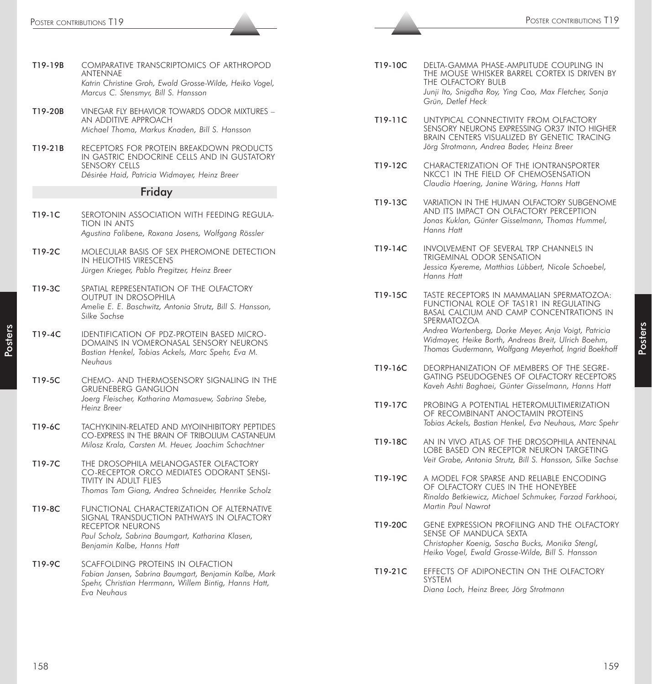| T19-19B | COMPARATIVE TRANSCRIPTOMICS OF ARTHROPOD<br>ANTENNAE<br>Katrin Christine Groh, Ewald Grosse-Wilde, Heiko Vogel,<br>Marcus C. Stensmyr, Bill S. Hansson                                               |
|---------|------------------------------------------------------------------------------------------------------------------------------------------------------------------------------------------------------|
| T19-20B | VINEGAR FLY BEHAVIOR TOWARDS ODOR MIXTURES -<br>AN ADDITIVE APPROACH<br>Michael Thoma, Markus Knaden, Bill S. Hansson                                                                                |
| T19-21B | RECEPTORS FOR PROTEIN BREAKDOWN PRODUCTS<br>IN GASTRIC ENDOCRINE CELLS AND IN GUSTATORY<br><b>SENSORY CELLS</b><br>Désirée Haid, Patricia Widmayer, Heinz Breer                                      |
|         | Friday                                                                                                                                                                                               |
|         |                                                                                                                                                                                                      |
| T19-1C  | SEROTONIN ASSOCIATION WITH FEEDING REGULA-<br><b>TION IN ANTS</b><br>Agustina Falibene, Roxana Josens, Wolfgang Rössler                                                                              |
| T19-2C  | MOLECULAR BASIS OF SEX PHEROMONE DETECTION<br>IN HELIOTHIS VIRESCENS<br>Jürgen Krieger, Pablo Pregitzer, Heinz Breer                                                                                 |
| T19-3C  | SPATIAL REPRESENTATION OF THE OLFACTORY<br>OUTPUT IN DROSOPHILA<br>Amelie E. E. Baschwitz, Antonia Strutz, Bill S. Hansson,<br>Silke Sachse                                                          |
| T19-4C  | IDENTIFICATION OF PDZ-PROTEIN BASED MICRO-<br>DOMAINS IN VOMERONASAL SENSORY NEURONS<br>Bastian Henkel, Tobias Ackels, Marc Spehr, Eva M.<br>Neuhaus                                                 |
| T19-5C  | CHEMO- AND THERMOSENSORY SIGNALING IN THE<br><b>GRUENEBERG GANGLION</b><br>Joerg Fleischer, Katharina Mamasuew, Sabrina Stebe,<br>Heinz Breer                                                        |
| T19-6C  | TACHYKININ-RELATED AND MYOINHIBITORY PEPTIDES<br>CO-EXPRESS IN THE BRAIN OF TRIBOLIUM CASTANEUM<br>Milosz Krala, Carsten M. Heuer, Joachim Schachtner                                                |
| T19-7C  | THE DROSOPHILA MELANOGASTER OLFACTORY<br>CO-RECEPTOR ORCO MEDIATES ODORANT SENSI-<br>TIVITY IN ADULT FLIES<br>Thomas Tam Giang, Andrea Schneider, Henrike Scholz                                     |
| T19-8C  | FUNCTIONAL CHARACTERIZATION OF ALTERNATIVE<br>SIGNAL TRANSDUCTION PATHWAYS IN OLFACTORY<br><b>RECEPTOR NEURONS</b><br>Paul Scholz, Sabrina Baumgart, Katharina Klasen,<br>Benjamin Kalbe, Hanns Hatt |
| T19-9C  | SCAFFOLDING PROTEINS IN OLFACTION<br>Fabian Jansen, Sabrina Baumgart, Benjamin Kalbe, Mark<br>Spehr, Christian Herrmann, Willem Bintia, Hanns Hatt,                                                  |

- T19-10C DELTA-GAMMA PHASE-AMPLITUDE COUPLING IN THE MOUSE WHISKER BARREL CORTEX IS DRIVEN BY THE OLFACTORY BULB *Junji Ito, Snigdha Roy, Ying Cao, Max Fletcher, Sonja Grün, Detlef Heck*
- T19-11C UNTYPICAL CONNECTIVITY FROM OLFACTORY SENSORY NEURONS EXPRESSING OR37 INTO HIGHER BRAIN CENTERS VISUALIZED BY GENETIC TRACING *Jörg Strotmann, Andrea Bader, Heinz Breer*
- T19-12C CHARACTERIZATION OF THE IONTRANSPORTER NKCC1 IN THE FIELD OF CHEMOSENSATION *Claudia Haering, Janine Wäring, Hanns Hatt*
- T19-13C VARIATION IN THE HUMAN OLFACTORY SUBGENOME AND ITS IMPACT ON OLFACTORY PERCEPTION *Jonas Kuklan, Günter Gisselmann, Thomas Hummel, Hanns Hatt*
- T19-14C INVOLVEMENT OF SEVERAL TRP CHANNELS IN TRIGEMINAL ODOR SENSATION *Jessica Kyereme, Matthias Lübbert, Nicole Schoebel, Hanns Hatt*
- T19-15C TASTE RECEPTORS IN MAMMALIAN SPERMATOZOA: FUNCTIONAL ROLE OF TAS1R1 IN REGULATING BASAL CALCIUM AND CAMP CONCENTRATIONS IN SPERMATOZOA *Andrea Wartenberg, Dorke Meyer, Anja Voigt, Patricia Widmayer, Heike Borth, Andreas Breit, Ulrich Boehm, Thomas Gudermann, Wolfgang Meyerhof, Ingrid Boekhoff*
- T19-16C DEORPHANIZATION OF MEMBERS OF THE SEGRE-GATING PSEUDOGENES OF OLFACTORY RECEPTORS *Kaveh Ashti Baghaei, Günter Gisselmann, Hanns Hatt*
- T19-17C PROBING A POTENTIAL HETEROMULTIMERIZATION OF RECOMBINANT ANOCTAMIN PROTEINS *Tobias Ackels, Bastian Henkel, Eva Neuhaus, Marc Spehr*
- T19-18C AN IN VIVO ATLAS OF THE DROSOPHILA ANTENNAL LOBE BASED ON RECEPTOR NEURON TARGETING *Veit Grabe, Antonia Strutz, Bill S. Hansson, Silke Sachse*
- T19-19C A MODEL FOR SPARSE AND RELIABLE ENCODING OF OLFACTORY CUES IN THE HONEYBEE *Rinaldo Betkiewicz, Michael Schmuker, Farzad Farkhooi, Martin Paul Nawrot*
- T19-20C GENE EXPRESSION PROFILING AND THE OLFACTORY SENSE OF MANDUCA SEXTA *Christopher Koenig, Sascha Bucks, Monika Stengl, Heiko Vogel, Ewald Grosse-Wilde, Bill S. Hansson*
- T19-21C EFFECTS OF ADIPONECTIN ON THE OLFACTORY **SYSTEM** *Diana Loch, Heinz Breer, Jörg Strotmann*

Posters

*Eva Neuhaus*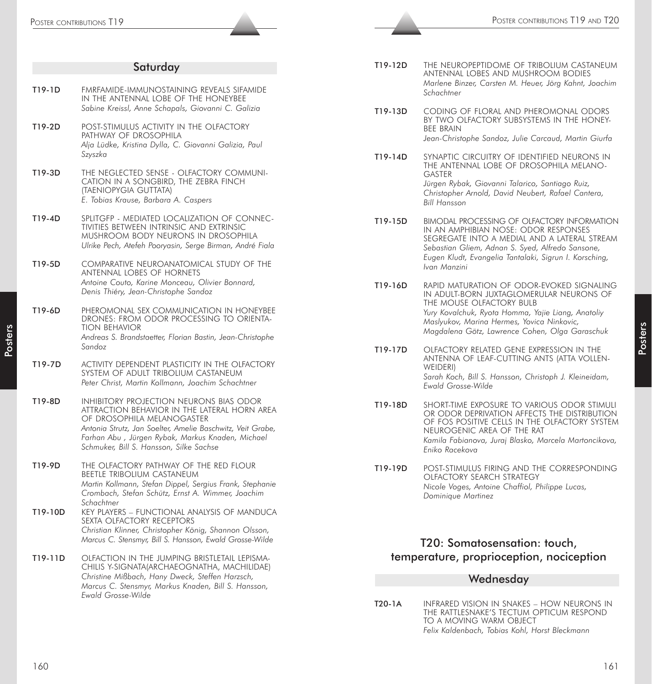|         | Saturday                                                                                                                                                                                                                                                                                  |
|---------|-------------------------------------------------------------------------------------------------------------------------------------------------------------------------------------------------------------------------------------------------------------------------------------------|
| T19-1D  | FMRFAMIDE-IMMUNOSTAINING REVEALS SIFAMIDE<br>IN THE ANTENNAL LOBE OF THE HONEYBEE<br>Sabine Kreissl, Anne Schapals, Giovanni C. Galizia                                                                                                                                                   |
| T19-2D  | POST-STIMULUS ACTIVITY IN THE OLFACTORY<br>PATHWAY OF DROSOPHILA<br>Alja Lüdke, Kristina Dylla, C. Giovanni Galizia, Paul<br>Szyszka                                                                                                                                                      |
| T19-3D  | THE NEGLECTED SENSE - OLFACTORY COMMUNI-<br>CATION IN A SONGBIRD, THE ZEBRA FINCH<br>(TAENIOPYGIA GUTTATA)<br>E. Tobias Krause, Barbara A. Caspers                                                                                                                                        |
| T19-4D  | SPLITGFP - MEDIATED LOCALIZATION OF CONNEC-<br>TIVITIES BETWEEN INTRINSIC AND EXTRINSIC<br>MUSHROOM BODY NEURONS IN DROSOPHILA<br>Ulrike Pech, Atefeh Pooryasin, Serge Birman, André Fiala                                                                                                |
| T19-5D  | COMPARATIVE NEUROANATOMICAL STUDY OF THE<br>ANTENNAL LOBES OF HORNETS<br>Antoine Couto, Karine Monceau, Olivier Bonnard,<br>Denis Thiéry, Jean-Christophe Sandoz                                                                                                                          |
| T19-6D  | PHEROMONAL SEX COMMUNICATION IN HONEYBEE<br>DRONES: FROM ODOR PROCESSING TO ORIENTA-<br><b>TION BEHAVIOR</b><br>Andreas S. Brandstaetter, Florian Bastin, Jean-Christophe<br>Sandoz                                                                                                       |
| T19-7D  | ACTIVITY DEPENDENT PLASTICITY IN THE OLFACTORY<br>System of adult tribolium castaneum<br>Peter Christ, Martin Kollmann, Joachim Schachtner                                                                                                                                                |
| T19-8D  | <b>INHIBITORY PROJECTION NEURONS BIAS ODOR</b><br>ATTRACTION BEHAVIOR IN THE LATERAL HORN AREA<br>OF DROSOPHILA MELANOGASTER<br>Antonia Strutz, Jan Soelter, Amelie Baschwitz, Veit Grabe,<br>Farhan Abu, Jürgen Rybak, Markus Knaden, Michael<br>Schmuker, Bill S. Hansson, Silke Sachse |
| T19-9D  | THE OLFACTORY PATHWAY OF THE RED FLOUR<br><b>BEETLE TRIBOLIUM CASTANEUM</b><br>Martin Kollmann, Stefan Dippel, Sergius Frank, Stephanie<br>Crombach, Stefan Schütz, Ernst A. Wimmer, Joachim<br>Schachtner                                                                                |
| T19-10D | KEY PLAYERS - FUNCTIONAL ANALYSIS OF MANDUCA<br>SEXTA OLFACTORY RECEPTORS<br>Christian Klinner, Christopher König, Shannon Olsson,<br>Marcus C. Stensmyr, Bill S. Hansson, Ewald Grosse-Wilde                                                                                             |
| T19-11D | OLFACTION IN THE JUMPING BRISTLETAIL LEPISMA-<br>CHILIS Y-SIGNATA(ARCHAEOGNATHA, MACHILIDAE)<br>Christine Mißbach, Hany Dweck, Steffen Harzsch,<br>Marcus C. Stensmyr, Markus Knaden, Bill S. Hansson,<br>Ewald Grosse-Wilde                                                              |

- T19-12D THE NEUROPEPTIDOME OF TRIBOLIUM CASTANEUM ANTENNAL LOBES AND MUSHROOM BODIES *Marlene Binzer, Carsten M. Heuer, Jörg Kahnt, Joachim Schachtner*
- T19-13D CODING OF FLORAL AND PHEROMONAL ODORS BY TWO OLFACTORY SUBSYSTEMS IN THE HONEY-BEE BRAIN *Jean-Christophe Sandoz, Julie Carcaud, Martin Giurfa*
- T19-14D SYNAPTIC CIRCUITRY OF IDENTIFIED NEURONS IN THE ANTENNAL LOBE OF DROSOPHILA MELANO-GASTER *Jürgen Rybak, Giovanni Talarico, Santiago Ruiz, Christopher Arnold, David Neubert, Rafael Cantera, Bill Hansson*
- T19-15D BIMODAL PROCESSING OF OLFACTORY INFORMATION IN AN AMPHIBIAN NOSE: ODOR RESPONSES SEGREGATE INTO A MEDIAL AND A LATERAL STREAM *Sebastian Gliem, Adnan S. Syed, Alfredo Sansone, Eugen Kludt, Evangelia Tantalaki, Sigrun I. Korsching, Ivan Manzini*
- T19-16D RAPID MATURATION OF ODOR-EVOKED SIGNALING IN ADULT-BORN JUXTAGLOMERULAR NEURONS OF THE MOUSE OLFACTORY BULB *Yury Kovalchuk, Ryota Homma, Yajie Liang, Anatoliy Maslyukov, Marina Hermes, Yovica Ninkovic, Magdalena Götz, Lawrence Cohen, Olga Garaschuk*
- T19-17D OLFACTORY RELATED GENE EXPRESSION IN THE ANTENNA OF LEAF-CUTTING ANTS (ATTA VOLLEN-WEIDERI) *Sarah Koch, Bill S. Hansson, Christoph J. Kleineidam, Ewald Grosse-Wilde*
- T19-18D SHORT-TIME EXPOSURE TO VARIOUS ODOR STIMULI OR ODOR DEPRIVATION AFFECTS THE DISTRIBUTION OF FOS POSITIVE CELLS IN THE OLFACTORY SYSTEM NEUROGENIC AREA OF THE RAT *Kamila Fabianova, Juraj Blasko, Marcela Martoncikova, Eniko Racekova*
- T19-19D POST-STIMULUS FIRING AND THE CORRESPONDING OLFACTORY SEARCH STRATEGY *Nicole Voges, Antoine Chaffiol, Philippe Lucas, Dominique Martinez*

# T20: Somatosensation: touch, temperature, proprioception, nociception

# Wednesday

T20-1A INFRARED VISION IN SNAKES – HOW NEURONS IN THE RATTLESNAKE'S TECTUM OPTICUM RESPOND TO A MOVING WARM OBJECT *Felix Kaldenbach, Tobias Kohl, Horst Bleckmann*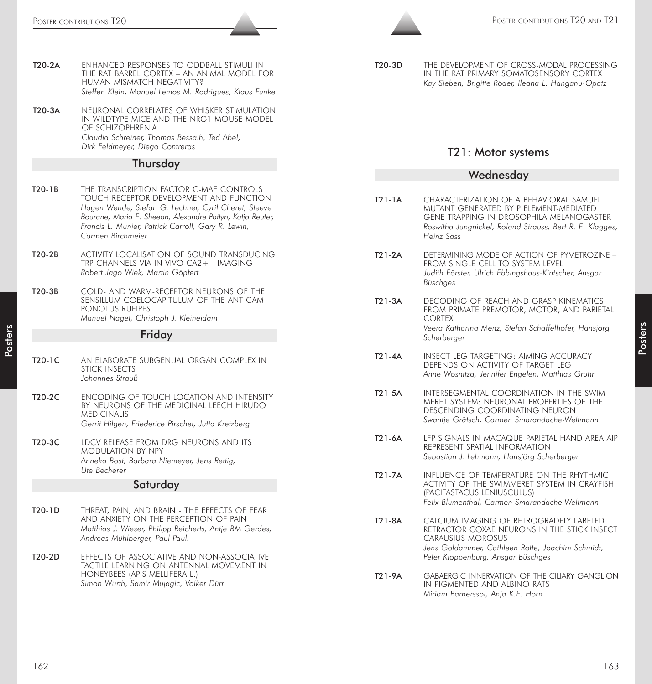- T20-2A ENHANCED RESPONSES TO ODDBALL STIMULI IN THE RAT BARREL CORTEX – AN ANIMAL MODEL FOR HUMAN MISMATCH NEGATIVITY? *Steffen Klein, Manuel Lemos M. Rodrigues, Klaus Funke*
- T20-3A NEURONAL CORRELATES OF WHISKER STIMULATION IN WILDTYPE MICE AND THE NRG1 MOUSE MODEL OF SCHIZOPHRENIA *Claudia Schreiner, Thomas Bessaih, Ted Abel, Dirk Feldmeyer, Diego Contreras*

#### Thursday

- T20-1B THE TRANSCRIPTION FACTOR C-MAF CONTROLS TOUCH RECEPTOR DEVELOPMENT AND FUNCTION *Hagen Wende, Stefan G. Lechner, Cyril Cheret, Steeve Bourane, Maria E. Sheean, Alexandre Pattyn, Katja Reuter, Francis L. Munier, Patrick Carroll, Gary R. Lewin, Carmen Birchmeier*
- T20-2B ACTIVITY LOCALISATION OF SOUND TRANSDUCING TRP CHANNELS VIA IN VIVO CA2+ - IMAGING *Robert Jago Wiek, Martin Göpfert*
- T20-3B COLD- AND WARM-RECEPTOR NEURONS OF THE SENSILLUM COELOCAPITULUM OF THE ANT CAM-PONOTUS RUFIPES *Manuel Nagel, Christoph J. Kleineidam*

#### Friday

- T20-1C AN ELABORATE SUBGENUAL ORGAN COMPLEX IN STICK INSECTS *Johannes Strauß*
- T20-2C ENCODING OF TOUCH LOCATION AND INTENSITY BY NEURONS OF THE MEDICINAL LEECH HIRUDO **MEDICINALIS** *Gerrit Hilgen, Friederice Pirschel, Jutta Kretzberg*
- T20-3C LDCV RELEASE FROM DRG NEURONS AND ITS MODULATION BY NPY *Anneka Bost, Barbara Niemeyer, Jens Rettig, Ute Becherer*

#### **Saturday**

- T20-1D THREAT, PAIN, AND BRAIN THE EFFECTS OF FEAR AND ANXIETY ON THE PERCEPTION OF PAIN *Matthias J. Wieser, Philipp Reicherts, Antje BM Gerdes, Andreas Mühlberger, Paul Pauli*
- T20-2D EFFECTS OF ASSOCIATIVE AND NON-ASSOCIATIVE TACTILE LEARNING ON ANTENNAL MOVEMENT IN HONEYBEES (APIS MELLIFERA L.) *Simon Würth, Samir Mujagic, Volker Dürr*

T20-3D THE DEVELOPMENT OF CROSS-MODAL PROCESSING IN THE RAT PRIMARY SOMATOSENSORY CORTEX *Kay Sieben, Brigitte Röder, Ileana L. Hanganu-Opatz*

## T21: Motor systems

#### Wednesday

- T21-1A CHARACTERIZATION OF A BEHAVIORAL SAMUEL MUTANT GENERATED BY P ELEMENT-MEDIATED GENE TRAPPING IN DROSOPHILA MELANOGASTER *Roswitha Jungnickel, Roland Strauss, Bert R. E. Klagges, Heinz Sass*
- T21-2A DETERMINING MODE OF ACTION OF PYMETROZINE FROM SINGLE CELL TO SYSTEM LEVEL *Judith Förster, Ulrich Ebbingshaus-Kintscher, Ansgar Büschges*
- T21-3A DECODING OF REACH AND GRASP KINEMATICS FROM PRIMATE PREMOTOR, MOTOR, AND PARIETAL CORTEX *Veera Katharina Menz, Stefan Schaffelhofer, Hansjörg Scherberger*
- T21-4A INSECT LEG TARGETING: AIMING ACCURACY DEPENDS ON ACTIVITY OF TARGET LEG *Anne Wosnitza, Jennifer Engelen, Matthias Gruhn*
- T21-5A INTERSEGMENTAL COORDINATION IN THE SWIM-MERET SYSTEM: NEURONAL PROPERTIES OF THE DESCENDING COORDINATING NEURON *Swantje Grätsch, Carmen Smarandache-Wellmann*
- T21-6A LFP SIGNALS IN MACAQUE PARIETAL HAND AREA AIP REPRESENT SPATIAL INFORMATION *Sebastian J. Lehmann, Hansjörg Scherberger*
- T21-7A INFLUENCE OF TEMPERATURE ON THE RHYTHMIC ACTIVITY OF THE SWIMMERET SYSTEM IN CRAYFISH (PACIFASTACUS LENIUSCULUS) *Felix Blumenthal, Carmen Smarandache-Wellmann*
- T21-8A CALCIUM IMAGING OF RETROGRADELY LABELED RETRACTOR COXAE NEURONS IN THE STICK INSECT CARAUSIUS MOROSUS *Jens Goldammer, Cathleen Rotte, Joachim Schmidt, Peter Kloppenburg, Ansgar Büschges*
- T21-9A GABAERGIC INNERVATION OF THE CILIARY GANGLION IN PIGMENTED AND ALBINO RATS *Miriam Barnerssoi, Anja K.E. Horn*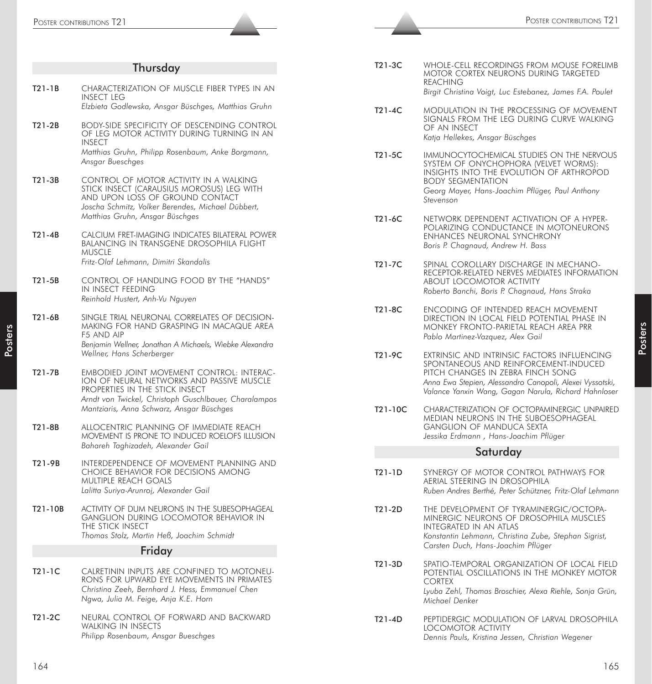|         | POSTER CONTRIBUTIONS T21                                                                                                                          |          | POSTER CONTRIBUTIONS T2                                                                                                                                                                        |
|---------|---------------------------------------------------------------------------------------------------------------------------------------------------|----------|------------------------------------------------------------------------------------------------------------------------------------------------------------------------------------------------|
|         |                                                                                                                                                   |          |                                                                                                                                                                                                |
|         | Thursday                                                                                                                                          | T21-3C   | WHOLE-CELL RECORDINGS FROM MOUSE FORELIMB<br>MOTOR CORTEX NEURONS DURING TARGETED                                                                                                              |
| T21-1B  | CHARACTERIZATION OF MUSCLE FIBER TYPES IN AN<br><b>INSECT LEG</b>                                                                                 |          | <b>REACHING</b><br>Birgit Christina Voigt, Luc Estebanez, James F.A. Poulet                                                                                                                    |
|         | Elzbieta Godlewska, Ansgar Büschges, Matthias Gruhn                                                                                               | T21-4C   | MODULATION IN THE PROCESSING OF MOVEMENT<br>SIGNALS FROM THE LEG DURING CURVE WALKING                                                                                                          |
| T21-2B  | <b>BODY-SIDE SPECIFICITY OF DESCENDING CONTROL</b><br>OF LEG MOTOR ACTIVITY DURING TURNING IN AN<br><b>INSECT</b>                                 |          | OF AN INSECT<br>Katja Hellekes, Ansgar Büschges                                                                                                                                                |
|         | Matthias Gruhn, Philipp Rosenbaum, Anke Borgmann,<br>Ansgar Bueschges                                                                             | T21-5C   | IMMUNOCYTOCHEMICAL STUDIES ON THE NERVOUS<br>SYSTEM OF ONYCHOPHORA (VELVET WORMS):<br>INSIGHTS INTO THE EVOLUTION OF ARTHROPOD                                                                 |
| T21-3B  | CONTROL OF MOTOR ACTIVITY IN A WALKING<br>STICK INSECT (CARAUSIUS MOROSUS) LEG WITH<br>AND UPON LOSS OF GROUND CONTACT                            |          | <b>BODY SEGMENTATION</b><br>Georg Mayer, Hans-Joachim Pflüger, Paul Anthony<br>Stevenson                                                                                                       |
|         | Joscha Schmitz, Volker Berendes, Michael Dübbert,<br>Matthias Gruhn, Ansgar Büschges                                                              | T21-6C   | NETWORK DEPENDENT ACTIVATION OF A HYPER-                                                                                                                                                       |
| T21-4B  | CALCIUM FRET-IMAGING INDICATES BILATERAL POWER<br><b>BALANCING IN TRANSGENE DROSOPHILA FLIGHT</b><br><b>MUSCLE</b>                                |          | POLARIZING CONDUCTANCE IN MOTONEURONS<br>ENHANCES NEURONAL SYNCHRONY<br>Boris P. Chagnaud, Andrew H. Bass                                                                                      |
|         | Fritz-Olaf Lehmann, Dimitri Skandalis                                                                                                             | T21-7C   | SPINAL COROLLARY DISCHARGE IN MECHANO-<br>RECEPTOR-RELATED NERVES MEDIATES INFORMATION                                                                                                         |
| T21-5B  | CONTROL OF HANDLING FOOD BY THE "HANDS"<br>IN INSECT FEEDING<br>Reinhold Hustert, Anh-Vu Nguyen                                                   |          | ABOUT LOCOMOTOR ACTIVITY<br>Roberto Banchi, Boris P. Chagnaud, Hans Straka                                                                                                                     |
| T21-6B  | SINGLE TRIAL NEURONAL CORRELATES OF DECISION-<br>MAKING FOR HAND GRASPING IN MACAQUE AREA<br>F5 AND AIP                                           | T21-8C   | ENCODING OF INTENDED REACH MOVEMENT<br>DIRECTION IN LOCAL FIELD POTENTIAL PHASE IN<br>MONKEY FRONTO-PARIETAL REACH AREA PRR<br>Pablo Martinez-Vazquez, Alex Gail                               |
|         | Benjamin Wellner, Jonathan A Michaels, Wiebke Alexandra<br>Wellner, Hans Scherberger                                                              | T21-9C   | EXTRINSIC AND INTRINSIC FACTORS INFLUENCING                                                                                                                                                    |
| T21-7B  | EMBODIED JOINT MOVEMENT CONTROL: INTERAC-<br>ION OF NEURAL NETWORKS AND PASSIVE MUSCLE<br>PROPERTIES IN THE STICK INSECT                          |          | SPONTANEOUS AND REINFORCEMENT-INDUCED<br>PITCH CHANGES IN ZEBRA FINCH SONG<br>Anna Ewa Stepien, Alessandro Canopoli, Alexei Vyssotski,<br>Valance Yanxin Wang, Gagan Narula, Richard Hahnloser |
|         | Arndt von Twickel, Christoph Guschlbauer, Charalampos<br>Mantziaris, Anna Schwarz, Ansgar Büschges                                                | T21-10C  | CHARACTERIZATION OF OCTOPAMINERGIC UNPAIRED<br>MEDIAN NEURONS IN THE SUBOESOPHAGEAL                                                                                                            |
| T21-8B  | ALLOCENTRIC PLANNING OF IMMEDIATE REACH<br>MOVEMENT IS PRONE TO INDUCED ROELOFS ILLUSION                                                          |          | <b>GANGLION OF MANDUCA SEXTA</b><br>Jessika Erdmann, Hans-Joachim Pflüger                                                                                                                      |
|         | Bahareh Taghizadeh, Alexander Gail                                                                                                                |          | Saturday                                                                                                                                                                                       |
| T21-9B  | INTERDEPENDENCE OF MOVEMENT PLANNING AND<br>CHOICE BEHAVIOR FOR DECISIONS AMONG<br>MULTIPLE REACH GOALS<br>Lalitta Suriya-Arunroj, Alexander Gail | T21-1D   | SYNERGY OF MOTOR CONTROL PATHWAYS FOR<br>AERIAL STEERING IN DROSOPHILA<br>Ruben Andres Berthé, Peter Schützner, Fritz-Olaf Lehmann                                                             |
| T21-10B | ACTIVITY OF DUM NEURONS IN THE SUBESOPHAGEAL<br><b>GANGLION DURING LOCOMOTOR BEHAVIOR IN</b><br>THE STICK INSECT                                  | T21-2D   | THE DEVELOPMENT OF TYRAMINERGIC/OCTOPA-<br>MINERGIC NEURONS OF DROSOPHILA MUSCLES<br>INTEGRATED IN AN ATLAS                                                                                    |
|         | Thomas Stolz, Martin Heß, Joachim Schmidt                                                                                                         |          | Konstantin Lehmann, Christina Zube, Stephan Sigrist,<br>Carsten Duch, Hans-Joachim Pflüger                                                                                                     |
|         | Friday                                                                                                                                            |          | SPATIO-TEMPORAL ORGANIZATION OF LOCAL FIELD                                                                                                                                                    |
| T21-1C  | CALRETININ INPUTS ARE CONFINED TO MOTONEU-<br>RONS FOR UPWARD EYE MOVEMENTS IN PRIMATES                                                           | T21-3D   | POTENTIAL OSCILLATIONS IN THE MONKEY MOTOR<br><b>CORTEX</b>                                                                                                                                    |
|         | Christina Zeeh, Bernhard J. Hess, Emmanuel Chen<br>Ngwa, Julia M. Feige, Anja K.E. Horn                                                           |          | Lyuba Zehl, Thomas Broschier, Alexa Riehle, Sonja Grün,<br>Michael Denker                                                                                                                      |
| T21-2C  | NEURAL CONTROL OF FORWARD AND BACKWARD<br><b>WALKING IN INSECTS</b><br>Philipp Rosenbaum, Ansgar Bueschges                                        | $T21-4D$ | PEPTIDERGIC MODULATION OF LARVAL DROSOPHILA<br><b>LOCOMOTOR ACTIVITY</b><br>Dennis Pauls, Kristina Jessen, Christian Wegener                                                                   |
| 164     |                                                                                                                                                   |          | 165                                                                                                                                                                                            |

| T21-3C | WHOLE-CELL RECORDINGS FROM MOUSE FORELIMB                |
|--------|----------------------------------------------------------|
|        | MOTOR CORTEX NEURONS DURING TARGETED                     |
|        | REACHING                                                 |
|        | Birgit Christina Voigt, Luc Estebanez, James F.A. Poulet |

- T21-4C MODULATION IN THE PROCESSING OF MOVEMENT SIGNALS FROM THE LEG DURING CURVE WALKING OF AN INSECT *Katja Hellekes, Ansgar Büschges*
- T21-5C IMMUNOCYTOCHEMICAL STUDIES ON THE NERVOUS SYSTEM OF ONYCHOPHORA (VELVET WORMS): INSIGHTS INTO THE EVOLUTION OF ARTHROPOD BODY SEGMENTATION *Georg Mayer, Hans-Joachim Pflüger, Paul Anthony Stevenson*
- T21-6C NETWORK DEPENDENT ACTIVATION OF A HYPER-POLARIZING CONDUCTANCE IN MOTONEURONS ENHANCES NEURONAL SYNCHRONY *Boris P. Chagnaud, Andrew H. Bass*
- T21-7C SPINAL COROLLARY DISCHARGE IN MECHANO-RECEPTOR-RELATED NERVES MEDIATES INFORMATION ABOUT LOCOMOTOR ACTIVITY *Roberto Banchi, Boris P. Chagnaud, Hans Straka*
- T21-8C ENCODING OF INTENDED REACH MOVEMENT DIRECTION IN LOCAL FIELD POTENTIAL PHASE IN MONKEY FRONTO-PARIETAL REACH AREA PRR *Pablo Martinez-Vazquez, Alex Gail*
- T21-9C EXTRINSIC AND INTRINSIC FACTORS INFLUENCING SPONTANEOUS AND REINFORCEMENT-INDUCED PITCH CHANGES IN ZEBRA FINCH SONG *Anna Ewa Stepien, Alessandro Canopoli, Alexei Vyssotski, Valance Yanxin Wang, Gagan Narula, Richard Hahnloser*
- T21-10C CHARACTERIZATION OF OCTOPAMINERGIC UNPAIRED MEDIAN NEURONS IN THE SUBOESOPHAGEAL GANGLION OF MANDUCA SEXTA *Jessika Erdmann , Hans-Joachim Pflüger*

### Saturday

- T21-1D SYNERGY OF MOTOR CONTROL PATHWAYS FOR AERIAL STEERING IN DROSOPHILA *Ruben Andres Berthé, Peter Schützner, Fritz-Olaf Lehmann*
- T21-2D THE DEVELOPMENT OF TYRAMINERGIC/OCTOPA-MINERGIC NEURONS OF DROSOPHILA MUSCLES INTEGRATED IN AN ATLAS *Konstantin Lehmann, Christina Zube, Stephan Sigrist, Carsten Duch, Hans-Joachim Pflüger*
- T21-3D SPATIO-TEMPORAL ORGANIZATION OF LOCAL FIELD POTENTIAL OSCILLATIONS IN THE MONKEY MOTOR CORTEX *Lyuba Zehl, Thomas Broschier, Alexa Riehle, Sonja Grün, Michael Denker*
- T21-4D PEPTIDERGIC MODULATION OF LARVAL DROSOPHILA LOCOMOTOR ACTIVITY *Dennis Pauls, Kristina Jessen, Christian Wegener*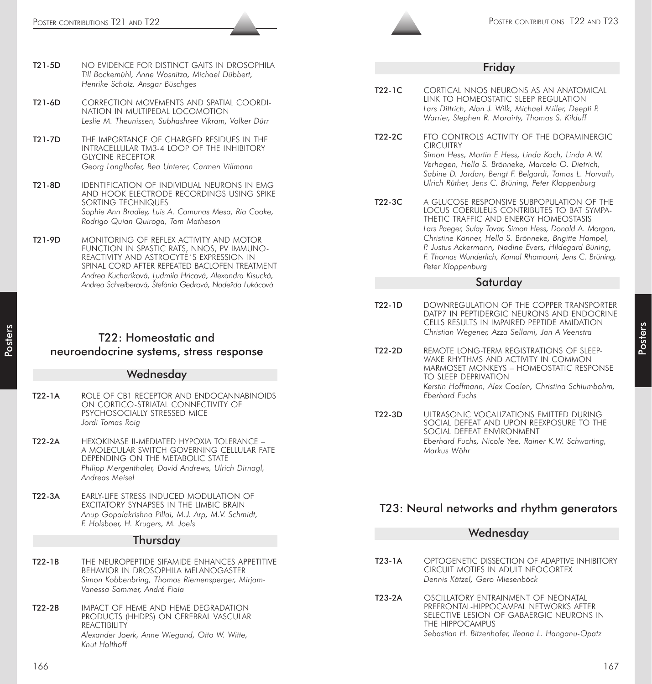- T21-5D NO EVIDENCE FOR DISTINCT GAITS IN DROSOPHILA *Till Bockemühl, Anne Wosnitza, Michael Dübbert, Henrike Scholz, Ansgar Büschges*
- T21-6D CORRECTION MOVEMENTS AND SPATIAL COORDI-NATION IN MULTIPEDAL LOCOMOTION *Leslie M. Theunissen, Subhashree Vikram, Volker Dürr*
- T21-7D THE IMPORTANCE OF CHARGED RESIDUES IN THE INTRACELLULAR TM3-4 LOOP OF THE INHIBITORY GLYCINE RECEPTOR *Georg Langlhofer, Bea Unterer, Carmen Villmann*
- T21-8D IDENTIFICATION OF INDIVIDUAL NEURONS IN EMG AND HOOK ELECTRODE RECORDINGS USING SPIKE SORTING TECHNIQUES *Sophie Ann Bradley, Luis A. Camunas Mesa, Ria Cooke, Rodrigo Quian Quiroga, Tom Matheson*
- T21-9D MONITORING OF REFLEX ACTIVITY AND MOTOR FUNCTION IN SPASTIC RATS, NNOS, PV IMMUNO-REACTIVITY AND ASTROCYTE´S EXPRESSION IN SPINAL CORD AFTER REPEATED BACLOFEN TREATMENT *Andrea Kucharíková, Ludmila Hricová, Alexandra Kisucká, Andrea Schreiberová, Štefánia Gedrová, Nadežda Lukácová*

# T22: Homeostatic and neuroendocrine systems, stress response

#### **Wednesday**

- T22-1A ROLE OF CB1 RECEPTOR AND ENDOCANNABINOIDS ON CORTICO-STRIATAL CONNECTIVITY OF PSYCHOSOCIALLY STRESSED MICE *Jordi Tomas Roig*
- T22-2A HEXOKINASE II-MEDIATED HYPOXIA TOLERANCE A MOLECULAR SWITCH GOVERNING CELLULAR FATE DEPENDING ON THE METABOLIC STATE *Philipp Mergenthaler, David Andrews, Ulrich Dirnagl, Andreas Meisel*
- T22-3A EARLY-LIFE STRESS INDUCED MODULATION OF EXCITATORY SYNAPSES IN THE LIMBIC BRAIN *Anup Gopalakrishna Pillai, M.J. Arp, M.V. Schmidt, F. Holsboer, H. Krugers, M. Joels*

#### Thursday

- T22-1B THE NEUROPEPTIDE SIFAMIDE ENHANCES APPETITIVE BEHAVIOR IN DROSOPHILA MELANOGASTER *Simon Kobbenbring, Thomas Riemensperger, Mirjam-Vanessa Sommer, André Fiala*
- T22-2B IMPACT OF HEME AND HEME DEGRADATION PRODUCTS (HHDPS) ON CEREBRAL VASCULAR **REACTIBILITY** *Alexander Joerk, Anne Wiegand, Otto W. Witte, Knut Holthoff*

#### Friday

- T22-1C CORTICAL NNOS NEURONS AS AN ANATOMICAL LINK TO HOMEOSTATIC SLEEP REGULATION *Lars Dittrich, Alan J. Wilk, Michael Miller, Deepti P. Warrier, Stephen R. Morairty, Thomas S. Kilduff*
- T22-2C FTO CONTROLS ACTIVITY OF THE DOPAMINERGIC CIRCUITRY *Simon Hess, Martin E Hess, Linda Koch, Linda A.W. Verhagen, Hella S. Brönneke, Marcelo O. Dietrich, Sabine D. Jordan, Bengt F. Belgardt, Tamas L. Horvath, Ulrich Rüther, Jens C. Brüning, Peter Kloppenburg*
- T22-3C A GLUCOSE RESPONSIVE SUBPOPULATION OF THE LOCUS COERULEUS CONTRIBUTES TO BAT SYMPA-THETIC TRAFFIC AND ENERGY HOMEOSTASIS *Lars Paeger, Sulay Tovar, Simon Hess, Donald A. Morgan, Christine Könner, Hella S. Brönneke, Brigitte Hampel, P. Justus Ackermann, Nadine Evers, Hildegard Büning, F. Thomas Wunderlich, Kamal Rhamouni, Jens C. Brüning, Peter Kloppenburg*

#### **Saturday**

- T22-1D DOWNREGULATION OF THE COPPER TRANSPORTER DATP7 IN PEPTIDERGIC NEURONS AND ENDOCRINE CELLS RESULTS IN IMPAIRED PEPTIDE AMIDATION *Christian Wegener, Azza Sellami, Jan A Veenstra*
- T22-2D REMOTE LONG-TERM REGISTRATIONS OF SLEEP-WAKE RHYTHMS AND ACTIVITY IN COMMON MARMOSET MONKEYS – HOMEOSTATIC RESPONSE TO SLEEP DEPRIVATION *Kerstin Hoffmann, Alex Coolen, Christina Schlumbohm, Eberhard Fuchs*
- T22-3D ULTRASONIC VOCALIZATIONS EMITTED DURING SOCIAL DEFEAT AND UPON REEXPOSURE TO THE SOCIAL DEFEAT ENVIRONMENT *Eberhard Fuchs, Nicole Yee, Rainer K.W. Schwarting, Markus Wöhr*

# T23: Neural networks and rhythm generators

|        | Wednesday                                                                                                                            |
|--------|--------------------------------------------------------------------------------------------------------------------------------------|
|        |                                                                                                                                      |
| T23-1A | OPTOGENETIC DISSECTION OF ADAPTIVE INHIBITORY<br>CIRCUIT MOTIFS IN ADULT NEOCORTEX<br>Dennis Kätzel, Gero Miesenböck                 |
| T23-2A | OSCILLATORY ENTRAINMENT OF NEONATAL<br>PREFRONTAL-HIPPOCAMPAL NETWORKS AFTER<br>SELECTIVE LESION OF GABAERGIC NEURONS IN<br>$\cdots$ |

THE HIPPOCAMPUS *Sebastian H. Bitzenhofer, Ileana L. Hanganu-Opatz*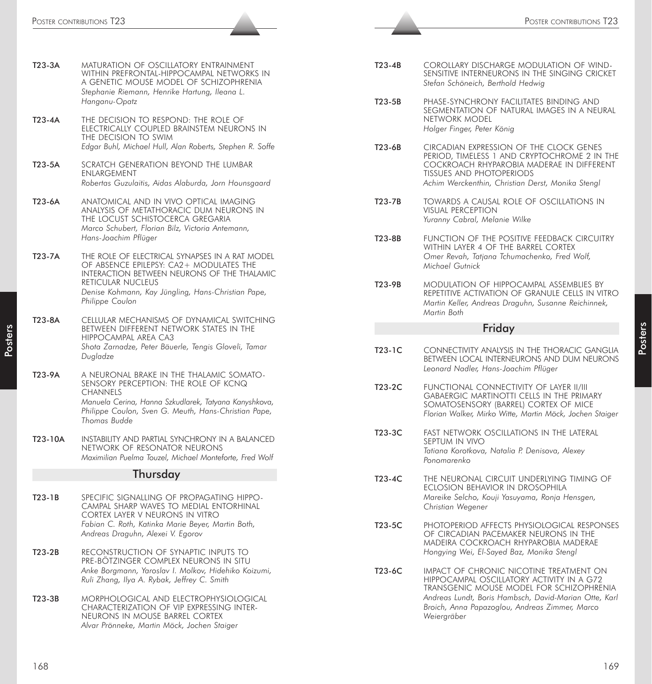| T23-3A   | MATURATION OF OSCILLATORY ENTRAINMENT<br>WITHIN PREFRONTAL-HIPPOCAMPAL NETWORKS IN<br>A GENETIC MOUSE MODEL OF SCHIZOPHRENIA<br>Stephanie Riemann, Henrike Hartung, Ileana L.<br>Hanganu-Opatz                                         |
|----------|----------------------------------------------------------------------------------------------------------------------------------------------------------------------------------------------------------------------------------------|
| $T23-4A$ | THE DECISION TO RESPOND: THE ROLE OF<br>ELECTRICALLY COUPLED BRAINSTEM NEURONS IN<br>THE DECISION TO SWIM<br>Edgar Buhl, Michael Hull, Alan Roberts, Stephen R. Soffe                                                                  |
| T23-5A   | SCRATCH GENERATION BEYOND THE LUMBAR<br><b>ENLARGEMENT</b><br>Robertas Guzulaitis, Aidas Alaburda, Jorn Hounsgaard                                                                                                                     |
| T23-6A   | ANATOMICAL AND IN VIVO OPTICAL IMAGING<br>ANALYSIS OF METATHORACIC DUM NEURONS IN<br>THE LOCUST SCHISTOCERCA GREGARIA<br>Marco Schubert, Florian Bilz, Victoria Antemann,<br>Hans-Joachim Pflüger                                      |
| T23-7A   | THE ROLE OF ELECTRICAL SYNAPSES IN A RAT MODEL<br>OF ABSENCE EPILEPSY: CA2+ MODULATES THE<br>INTERACTION BETWEEN NEURONS OF THE THALAMIC<br>RETICULAR NUCLEUS<br>Denise Kohmann, Kay Jüngling, Hans-Christian Pape,<br>Philippe Coulon |
| T23-8A   | CELLULAR MECHANISMS OF DYNAMICAL SWITCHING<br>BETWEEN DIFFERENT NETWORK STATES IN THE<br>HIPPOCAMPAL AREA CA3<br>Shota Zarnadze, Peter Bäuerle, Tengis Gloveli, Tamar<br>Dugladze                                                      |
| T23-9A   | A NEURONAL BRAKE IN THE THALAMIC SOMATO-<br>SENSORY PERCEPTION: THE ROLE OF KCNQ<br><b>CHANNELS</b><br>Manuela Cerina, Hanna Szkudlarek, Tatyana Kanyshkova,<br>Philippe Coulon, Sven G. Meuth, Hans-Christian Pape,<br>Thomas Budde   |
| T23-10A  | INSTABILITY AND PARTIAL SYNCHRONY IN A BALANCED<br>NETWORK OF RESONATOR NEURONS<br>Maximilian Puelma Touzel, Michael Monteforte, Fred Wolf                                                                                             |
|          | Thursday                                                                                                                                                                                                                               |
| $T23-1B$ | SPECIFIC SIGNALLING OF PROPAGATING HIPPO-<br>CAMPAL SHARP WAVES TO MEDIAL ENTORHINAL<br>CORTEX LAYER V NEURONS IN VITRO<br>Fabian C. Roth, Katinka Marie Beyer, Martin Both,<br>Andreas Draguhn, Alexei V. Egorov                      |
| $T23-2B$ | RECONSTRUCTION OF SYNAPTIC INPUTS TO<br>PRE-BÖTZINGER COMPLEX NEURONS IN SITU<br>Anke Borgmann, Yaroslav I. Molkov, Hidehiko Koizumi,<br>Ruli Zhang, Ilya A. Rybak, Jeffrey C. Smith                                                   |
|          |                                                                                                                                                                                                                                        |

T23-3B MORPHOLOGICAL AND ELECTROPHYSIOLOGICAL CHARACTERIZATION OF VIP EXPRESSING INTER-NEURONS IN MOUSE BARREL CORTEX *Alvar Prönneke, Martin Möck, Jochen Staiger*

- T23-4B COROLLARY DISCHARGE MODULATION OF WIND-SENSITIVE INTERNEURONS IN THE SINGING CRICKET *Stefan Schöneich, Berthold Hedwig*
- T23-5B PHASE-SYNCHRONY FACILITATES BINDING AND SEGMENTATION OF NATURAL IMAGES IN A NEURAL NETWORK MODEL *Holger Finger, Peter König*
- T23-6B CIRCADIAN EXPRESSION OF THE CLOCK GENES PERIOD, TIMELESS 1 AND CRYPTOCHROME 2 IN THE COCKROACH RHYPAROBIA MADERAE IN DIFFERENT TISSUES AND PHOTOPERIODS *Achim Werckenthin, Christian Derst, Monika Stengl*
- T23-7B TOWARDS A CAUSAL ROLE OF OSCILLATIONS IN VISUAL PERCEPTION *Yuranny Cabral, Melanie Wilke*
- T23-8B FUNCTION OF THE POSITIVE FEEDBACK CIRCUITRY WITHIN LAYER 4 OF THE BARREL CORTEX *Omer Revah, Tatjana Tchumachenko, Fred Wolf, Michael Gutnick*
- T23-9B MODULATION OF HIPPOCAMPAL ASSEMBLIES BY REPETITIVE ACTIVATION OF GRANULE CELLS IN VITRO *Martin Keller, Andreas Draguhn, Susanne Reichinnek, Martin Both*

#### Friday

- T23-1C CONNECTIVITY ANALYSIS IN THE THORACIC GANGLIA BETWEEN LOCAL INTERNEURONS AND DUM NEURONS *Leonard Nadler, Hans-Joachim Pflüger*
- T23-2C FUNCTIONAL CONNECTIVITY OF LAYER II/III GABAERGIC MARTINOTTI CELLS IN THE PRIMARY SOMATOSENSORY (BARREL) CORTEX OF MICE *Florian Walker, Mirko Witte, Martin Möck, Jochen Staiger*
- T23-3C FAST NETWORK OSCILLATIONS IN THE LATERAL SEPTUM IN VIVO *Tatiana Korotkova, Natalia P. Denisova, Alexey Ponomarenko*
- T23-4C THE NEURONAL CIRCUIT UNDERLYING TIMING OF ECLOSION BEHAVIOR IN DROSOPHILA *Mareike Selcho, Kouji Yasuyama, Ronja Hensgen, Christian Wegener*
- T23-5C PHOTOPERIOD AFFECTS PHYSIOLOGICAL RESPONSES OF CIRCADIAN PACEMAKER NEURONS IN THE MADEIRA COCKROACH RHYPAROBIA MADERAE *Hongying Wei, El-Sayed Baz, Monika Stengl*
- T23-6C IMPACT OF CHRONIC NICOTINE TREATMENT ON HIPPOCAMPAL OSCILLATORY ACTIVITY IN A G72 TRANSGENIC MOUSE MODEL FOR SCHIZOPHRENIA *Andreas Lundt, Boris Hambsch, David-Marian Otte, Karl Broich, Anna Papazoglou, Andreas Zimmer, Marco Weiergräber*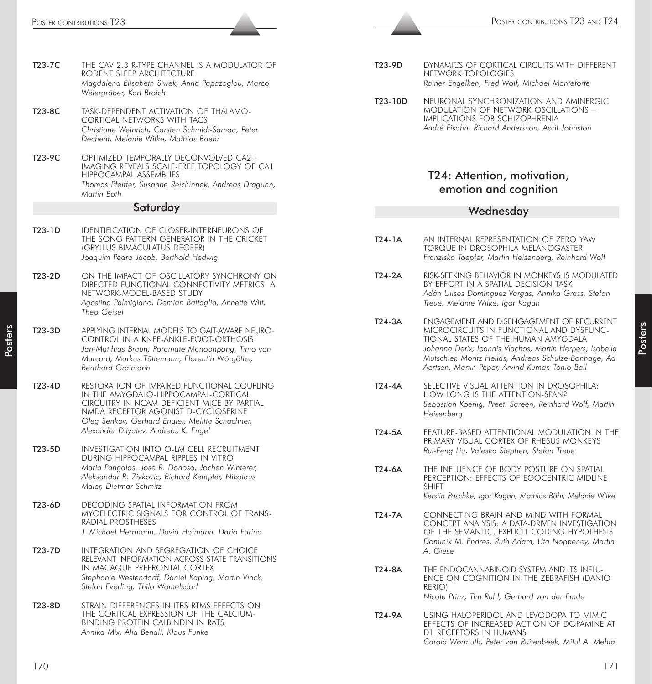| T23-7C   | THE CAV 2.3 R-TYPE CHANNEL IS A MODULATOR OF<br>RODENT SLEEP ARCHITECTURE<br>Magdalena Elisabeth Siwek, Anna Papazoglou, Marco<br>Weiergräber, Karl Broich                                                                                                           |
|----------|----------------------------------------------------------------------------------------------------------------------------------------------------------------------------------------------------------------------------------------------------------------------|
| T23-8C   | Task-dependent activation of thalamo-<br><b>CORTICAL NETWORKS WITH TACS</b><br>Christiane Weinrich, Carsten Schmidt-Samoa, Peter<br>Dechent, Melanie Wilke, Mathias Baehr                                                                                            |
| T23-9C   | OPTIMIZED TEMPORALLY DECONVOLVED CA2+<br>IMAGING REVEALS SCALE-FREE TOPOLOGY OF CA1<br>HIPPOCAMPAL ASSEMBLIES<br>Thomas Pfeiffer, Susanne Reichinnek, Andreas Draguhn,<br>Martin Both                                                                                |
|          | Saturday                                                                                                                                                                                                                                                             |
| $T23-1D$ | IDENTIFICATION OF CLOSER-INTERNEURONS OF<br>THE SONG PATTERN GENERATOR IN THE CRICKET<br>(GRYLLUS BIMACULATUS DEGEER)<br>Joaquim Pedro Jacob, Berthold Hedwig                                                                                                        |
| T23-2D   | ON THE IMPACT OF OSCILLATORY SYNCHRONY ON<br>DIRECTED FUNCTIONAL CONNECTIVITY METRICS: A<br>NETWORK-MODEL-BASED STUDY<br>Agostina Palmigiano, Demian Battaglia, Annette Witt,<br>Theo Geisel                                                                         |
| T23-3D   | APPLYING INTERNAL MODELS TO GAIT-AWARE NEURO-<br>CONTROL IN A KNEE-ANKLE-FOOT-ORTHOSIS<br>Jan-Matthias Braun, Poramate Manoonpong, Timo von<br>Marcard, Markus Tüttemann, Florentin Wörgötter,<br>Bernhard Graimann                                                  |
| $T23-4D$ | RESTORATION OF IMPAIRED FUNCTIONAL COUPLING<br>IN THE AMYGDALO-HIPPOCAMPAL-CORTICAL<br>CIRCUITRY IN NCAM DEFICIENT MICE BY PARTIAL<br>NMDA RECEPTOR AGONIST D-CYCLOSERINE<br>Oleg Senkov, Gerhard Engler, Melitta Schachner,<br>Alexander Dityatev, Andreas K. Engel |
| T23-5D   | INVESTIGATION INTO O-LM CELL RECRUITMENT<br>DURING HIPPOCAMPAL RIPPLES IN VITRO<br>Maria Pangalos, José R. Donoso, Jochen Winterer,<br>Aleksandar R. Zivkovic, Richard Kempter, Nikolaus<br>Maier, Dietmar Schmitz                                                   |
| T23-6D   | <b>DECODING SPATIAL INFORMATION FROM</b><br>MYOELECTRIC SIGNALS FOR CONTROL OF TRANS-<br>RADIAL PROSTHESES<br>J. Michael Herrmann, David Hofmann, Dario Farina                                                                                                       |
| T23-7D   | INTEGRATION AND SEGREGATION OF CHOICE<br>RELEVANT INFORMATION ACROSS STATE TRANSITIONS<br>IN MACAQUE PREFRONTAL CORTEX<br>Stephanie Westendorff, Daniel Kaping, Martin Vinck,<br>Stefan Everling, Thilo Womelsdorf                                                   |
| T23-8D   | STRAIN DIFFERENCES IN ITBS RTMS EFFECTS ON<br>THE CORTICAL EXPRESSION OF THE CALCIUM-<br>BINDING PROTEIN CALBINDIN IN RATS<br>Annika Mix. Alia Benali. Klaus Funke                                                                                                   |

| T23-9D | DYNAMICS OF CORTICAL CIRCUITS WITH DIFFERENT   |
|--------|------------------------------------------------|
|        | NETWORK TOPOLOGIES                             |
|        | Rainer Engelken, Fred Wolf, Michael Monteforte |

T23-10D NEURONAL SYNCHRONIZATION AND AMINERGIC MODULATION OF NETWORK OSCILLATIONS – IMPLICATIONS FOR SCHIZOPHRENIA *André Fisahn, Richard Andersson, April Johnston*

# T24: Attention, motivation, emotion and cognition

#### Wednesday

- T24-1A AN INTERNAL REPRESENTATION OF ZERO YAW TORQUE IN DROSOPHILA MELANOGASTER *Franziska Toepfer, Martin Heisenberg, Reinhard Wolf*
- T24-2A RISK-SEEKING BEHAVIOR IN MONKEYS IS MODULATED BY EFFORT IN A SPATIAL DECISION TASK *Adán Ulises Domínguez Vargas, Annika Grass, Stefan Treue, Melanie Wilke, Igor Kagan*
- T24-3A ENGAGEMENT AND DISENGAGEMENT OF RECURRENT MICROCIRCUITS IN FUNCTIONAL AND DYSFUNC-TIONAL STATES OF THE HUMAN AMYGDALA *Johanna Derix, Ioannis Vlachos, Martin Herpers, Isabella Mutschler, Moritz Helias, Andreas Schulze-Bonhage, Ad Aertsen, Martin Peper, Arvind Kumar, Tonio Ball*
- T24-4A SELECTIVE VISUAL ATTENTION IN DROSOPHILA: HOW LONG IS THE ATTENTION-SPAN? *Sebastian Koenig, Preeti Sareen, Reinhard Wolf, Martin Heisenberg*
- T24-5A FEATURE-BASED ATTENTIONAL MODULATION IN THE PRIMARY VISUAL CORTEX OF RHESUS MONKEYS *Rui-Feng Liu, Valeska Stephen, Stefan Treue*
- T24-6A THE INFLUENCE OF BODY POSTURE ON SPATIAL PERCEPTION: EFFECTS OF EGOCENTRIC MIDLINE SHIFT *Kerstin Paschke, Igor Kagan, Mathias Bähr, Melanie Wilke*
- T24-7A CONNECTING BRAIN AND MIND WITH FORMAL CONCEPT ANALYSIS: A DATA-DRIVEN INVESTIGATION OF THE SEMANTIC, EXPLICIT CODING HYPOTHESIS *Dominik M. Endres, Ruth Adam, Uta Noppeney, Martin A. Giese*
- T24-8A THE ENDOCANNABINOID SYSTEM AND ITS INFLU-ENCE ON COGNITION IN THE ZEBRAFISH (DANIO RERIO) *Nicole Prinz, Tim Ruhl, Gerhard von der Emde*
- T24-9A USING HALOPERIDOL AND LEVODOPA TO MIMIC EFFECTS OF INCREASED ACTION OF DOPAMINE AT D1 RECEPTORS IN HUMANS *Carola Wormuth, Peter van Ruitenbeek, Mitul A. Mehta*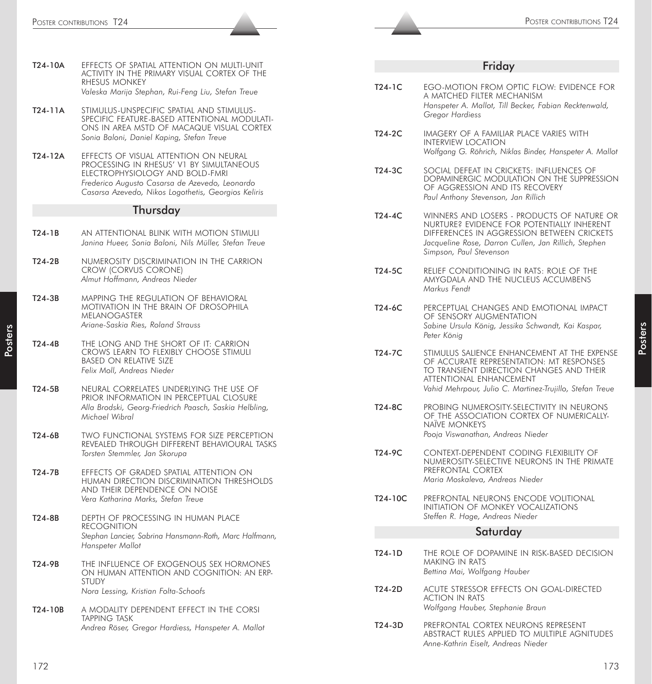#### Thursday

- T24-1B AN ATTENTIONAL BLINK WITH MOTION STIMULI *Janina Hueer, Sonia Baloni, Nils Müller, Stefan Treue*
- T24-2B NUMEROSITY DISCRIMINATION IN THE CARRION CROW (CORVUS CORONE) *Almut Hoffmann, Andreas Nieder*
- T24-3B MAPPING THE REGULATION OF BEHAVIORAL MOTIVATION IN THE BRAIN OF DROSOPHILA MELANOGASTER *Ariane-Saskia Ries, Roland Strauss*
- T24-4B THE LONG AND THE SHORT OF IT: CARRION CROWS LEARN TO FLEXIBLY CHOOSE STIMULI BASED ON RELATIVE SIZE *Felix Moll, Andreas Nieder*
- T24-5B NEURAL CORRELATES UNDERLYING THE USE OF PRIOR INFORMATION IN PERCEPTUAL CLOSURE *Alla Brodski, Georg-Friedrich Paasch, Saskia Helbling, Michael Wibral*
- T24-6B TWO FUNCTIONAL SYSTEMS FOR SIZE PERCEPTION REVEALED THROUGH DIFFERENT BEHAVIOURAL TASKS *Torsten Stemmler, Jan Skorupa*
- T24-7B EFFECTS OF GRADED SPATIAL ATTENTION ON HUMAN DIRECTION DISCRIMINATION THRESHOLDS AND THEIR DEPENDENCE ON NOISE *Vera Katharina Marks, Stefan Treue*
- T24-8B DEPTH OF PROCESSING IN HUMAN PLACE RECOGNITION *Stephan Lancier, Sabrina Hansmann-Roth, Marc Halfmann, Hanspeter Mallot*
- T24-9B THE INFLUENCE OF EXOGENOUS SEX HORMONES ON HUMAN ATTENTION AND COGNITION: AN ERP-**STUDY** *Nora Lessing, Kristian Folta-Schoofs*
- T24-10B A MODALITY DEPENDENT EFFECT IN THE CORSI TAPPING TASK *Andrea Röser, Gregor Hardiess, Hanspeter A. Mallot*

#### Friday

|         | Poster contributions T24                                                                                                                                                             |          | POSTER CONTRIBUTIONS T24                                                                                                                                                    |
|---------|--------------------------------------------------------------------------------------------------------------------------------------------------------------------------------------|----------|-----------------------------------------------------------------------------------------------------------------------------------------------------------------------------|
|         |                                                                                                                                                                                      |          |                                                                                                                                                                             |
| T24-10A | EFFECTS OF SPATIAL ATTENTION ON MULTI-UNIT<br>ACTIVITY IN THE PRIMARY VISUAL CORTEX OF THE                                                                                           |          | Friday                                                                                                                                                                      |
|         | RHESUS MONKEY<br>Valeska Marija Stephan, Rui-Feng Liu, Stefan Treue                                                                                                                  | $T24-1C$ | EGO-MOTION FROM OPTIC FLOW: EVIDENCE FOR<br>A MATCHED FILTER MECHANISM                                                                                                      |
| T24-11A | STIMULUS-UNSPECIFIC SPATIAL AND STIMULUS-<br>SPECIFIC FEATURE-BASED ATTENTIONAL MODULATI-<br>ONS IN AREA MSTD OF MACAQUE VISUAL CORTEX                                               |          | Hanspeter A. Mallot, Till Becker, Fabian Recktenwald,<br>Gregor Hardiess                                                                                                    |
| T24-12A | Sonia Baloni, Daniel Kaping, Stefan Treue<br>EFFECTS OF VISUAL ATTENTION ON NEURAL                                                                                                   | T24-2C   | IMAGERY OF A FAMILIAR PLACE VARIES WITH<br><b>INTERVIEW LOCATION</b><br>Wolfgang G. Röhrich, Niklas Binder, Hanspeter A. Mallot                                             |
|         | PROCESSING IN RHESUS' V1 BY SIMULTANEOUS<br>ELECTROPHYSIOLOGY AND BOLD-FMRI<br>Frederico Augusto Casarsa de Azevedo, Leonardo<br>Casarsa Azevedo, Nikos Logothetis, Georgios Keliris | T24-3C   | SOCIAL DEFEAT IN CRICKETS: INFLUENCES OF<br>DOPAMINERGIC MODULATION ON THE SUPPRESSION<br>OF AGGRESSION AND ITS RECOVERY<br>Paul Anthony Stevenson, Jan Rillich             |
|         | Thursday                                                                                                                                                                             | T24-4C   | WINNERS AND LOSERS - PRODUCTS OF NATURE OR                                                                                                                                  |
| T24-1B  | AN ATTENTIONAL BLINK WITH MOTION STIMULI<br>Janina Hueer, Sonia Baloni, Nils Müller, Stefan Treue                                                                                    |          | NURTURE? EVIDENCE FOR POTENTIALLY INHERENT<br>DIFFERENCES IN AGGRESSION BETWEEN CRICKETS<br>Jacqueline Rose, Darron Cullen, Jan Rillich, Stephen<br>Simpson, Paul Stevenson |
| T24-2B  | NUMEROSITY DISCRIMINATION IN THE CARRION<br>CROW (CORVUS CORONE)<br>Almut Hoffmann, Andreas Nieder                                                                                   | $T24-5C$ | RELIEF CONDITIONING IN RATS: ROLE OF THE<br>AMYGDALA AND THE NUCLEUS ACCUMBENS<br>Markus Fendt                                                                              |
| T24-3B  | MAPPING THE REGULATION OF BEHAVIORAL<br>MOTIVATION IN THE BRAIN OF DROSOPHILA<br>MELANOGASTER<br>Ariane-Saskia Ries, Roland Strauss                                                  | T24-6C   | PERCEPTUAL CHANGES AND EMOTIONAL IMPACT<br>OF SENSORY AUGMENTATION<br>Sabine Ursula König, Jessika Schwandt, Kai Kaspar,<br>Peter König                                     |
| T24-4B  | THE LONG AND THE SHORT OF IT: CARRION<br>CROWS LEARN TO FLEXIBLY CHOOSE STIMULI<br><b>BASED ON RELATIVE SIZE</b><br>Felix Moll, Andreas Nieder                                       | $T24-7C$ | STIMULUS SALIENCE ENHANCEMENT AT THE EXPENSE<br>OF ACCURATE REPRESENTATION: MT RESPONSES<br>TO TRANSIENT DIRECTION CHANGES AND THEIR<br>ATTENTIONAL ENHANCEMENT             |
| T24-5B  | NEURAL CORRELATES UNDERLYING THE USE OF<br>PRIOR INFORMATION IN PERCEPTUAL CLOSURE<br>Alla Brodski, Georg-Friedrich Paasch, Saskia Helbling,<br>Michael Wibral                       | T24-8C   | Vahid Mehrpour, Julio C. Martinez-Trujillo, Stefan Treue<br>PROBING NUMEROSITY-SELECTIVITY IN NEURONS<br>OF THE ASSOCIATION CORTEX OF NUMERICALLY-                          |
| T24-6B  | TWO FUNCTIONAL SYSTEMS FOR SIZE PERCEPTION<br>REVEALED THROUGH DIFFERENT BEHAVIOURAL TASKS                                                                                           |          | <b>NAÏVE MONKEYS</b><br>Pooja Viswanathan, Andreas Nieder                                                                                                                   |
| T24-7B  | Torsten Stemmler, Jan Skorupa<br>EFFECTS OF GRADED SPATIAL ATTENTION ON<br>HUMAN DIRECTION DISCRIMINATION THRESHOLDS                                                                 | T24-9C   | CONTEXT-DEPENDENT CODING FLEXIBILITY OF<br>NUMEROSITY-SELECTIVE NEURONS IN THE PRIMATE<br>PREFRONTAL CORTEX<br>Maria Moskaleva, Andreas Nieder                              |
|         | AND THEIR DEPENDENCE ON NOISE<br>Vera Katharina Marks, Stefan Treue                                                                                                                  | T24-10C  | PREFRONTAL NEURONS ENCODE VOLITIONAL<br>INITIATION OF MONKEY VOCALIZATIONS                                                                                                  |
| T24-8B  | DEPTH OF PROCESSING IN HUMAN PLACE<br><b>RECOGNITION</b>                                                                                                                             |          | Steffen R. Hage, Andreas Nieder                                                                                                                                             |
|         | Stephan Lancier, Sabrina Hansmann-Roth, Marc Halfmann,<br>Hanspeter Mallot                                                                                                           |          | Saturday                                                                                                                                                                    |
| T24-9B  | THE INFLUENCE OF EXOGENOUS SEX HORMONES<br>ON HUMAN ATTENTION AND COGNITION: AN ERP-                                                                                                 | T24-1D   | THE ROLE OF DOPAMINE IN RISK-BASED DECISION<br>MAKING IN RATS<br>Bettina Mai, Wolfgang Hauber                                                                               |
|         | <b>STUDY</b><br>Nora Lessing, Kristian Folta-Schoofs                                                                                                                                 | $T24-2D$ | ACUTE STRESSOR EFFECTS ON GOAL-DIRECTED<br><b>ACTION IN RATS</b><br>Wolfgang Hauber, Stephanie Braun                                                                        |
| T24-10B | A MODALITY DEPENDENT EFFECT IN THE CORSI<br><b>TAPPING TASK</b>                                                                                                                      |          |                                                                                                                                                                             |
|         | Andrea Röser, Gregor Hardiess, Hanspeter A. Mallot                                                                                                                                   | T24-3D   | PREFRONTAL CORTEX NEURONS REPRESENT<br>ABSTRACT RULES APPLIED TO MULTIPLE AGNITUDES<br>Anne-Kathrin Eiselt, Andreas Nieder                                                  |
| 172     |                                                                                                                                                                                      |          | 173                                                                                                                                                                         |

- T24-2D ACUTE STRESSOR EFFECTS ON GOAL-DIRECTED ACTION IN RATS *Wolfgang Hauber, Stephanie Braun*
- T24-3D PREFRONTAL CORTEX NEURONS REPRESENT ABSTRACT RULES APPLIED TO MULTIPLE AGNITUDES *Anne-Kathrin Eiselt, Andreas Nieder*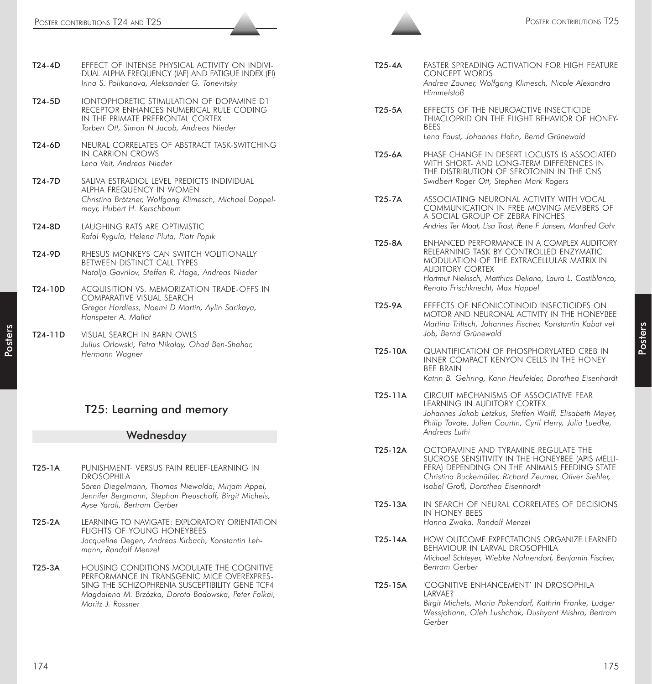|        | DUAL ALPHA FREQUENCY (IAF) AND FATIGUE INDEX (FI)<br>Irina S. Polikanova, Aleksander G. Tonevitsky                                                                   |
|--------|----------------------------------------------------------------------------------------------------------------------------------------------------------------------|
| T24-5D | IONTOPHORETIC STIMULATION OF DOPAMINE D1<br>RECEPTOR ENHANCES NUMERICAL RULE CODING<br>IN THE PRIMATE PREFRONTAL CORTEX<br>Torben Ott, Simon N Jacob, Andreas Nieder |

T24-4D EFFECT OF INTENSE PHYSICAL ACTIVITY ON INDIVI-

- T24-6D NEURAL CORRELATES OF ABSTRACT TASK-SWITCHING IN CARRION CROWS *Lena Veit, Andreas Nieder*
- T24-7D SALIVA ESTRADIOL LEVEL PREDICTS INDIVIDUAL ALPHA FREQUENCY IN WOMEN *Christina Brötzner, Wolfgang Klimesch, Michael Doppelmayr, Hubert H. Kerschbaum*
- T24-8D LAUGHING RATS ARE OPTIMISTIC *Rafal Rygula, Helena Pluta, Piotr Popik*
- T24-9D RHESUS MONKEYS CAN SWITCH VOLITIONALLY BETWEEN DISTINCT CALL TYPES *Natalja Gavrilov, Steffen R. Hage, Andreas Nieder*
- T24-10D ACQUISITION VS. MEMORIZATION TRADE-OFFS IN COMPARATIVE VISUAL SEARCH *Gregor Hardiess, Noemi D Martin, Aylin Sarikaya, Hanspeter A. Mallot*
- T24-11D VISUAL SEARCH IN BARN OWLS *Julius Orlowski, Petra Nikolay, Ohad Ben-Shahar, Hermann Wagner*

# T25: Learning and memory

#### **Wednesday**

- T25-1A PUNISHMENT- VERSUS PAIN RELIEF-LEARNING IN DROSOPHILA *Sören Diegelmann, Thomas Niewalda, Mirjam Appel, Jennifer Bergmann, Stephan Preuschoff, Birgit Michels, Ayse Yarali, Bertram Gerber* T25-2A LEARNING TO NAVIGATE: EXPLORATORY ORIENTATION
- FLIGHTS OF YOUNG HONEYBEES *Jacqueline Degen, Andreas Kirbach, Konstantin Lehmann, Randolf Menzel*
- T25-3A HOUSING CONDITIONS MODULATE THE COGNITIVE PERFORMANCE IN TRANSGENIC MICE OVEREXPRES-SING THE SCHIZOPHRENIA SUSCEPTIBILITY GENE TCF4 *Magdalena M. Brzózka, Dorota Badowska, Peter Falkai, Moritz J. Rossner*
- T25-4A FASTER SPREADING ACTIVATION FOR HIGH FEATURE CONCEPT WORDS *Andrea Zauner, Wolfgang Klimesch, Nicole Alexandra Himmelstoß*
- T25-5A EFFECTS OF THE NEUROACTIVE INSECTICIDE THIACLOPRID ON THE FLIGHT BEHAVIOR OF HONEY-BEES *Lena Faust, Johannes Hahn, Bernd Grünewald*
- T25-6A PHASE CHANGE IN DESERT LOCUSTS IS ASSOCIATED WITH SHORT- AND LONG-TERM DIFFERENCES IN THE DISTRIBUTION OF SEROTONIN IN THE CNS *Swidbert Roger Ott, Stephen Mark Rogers*
- T25-7A ASSOCIATING NEURONAL ACTIVITY WITH VOCAL COMMUNICATION IN FREE MOVING MEMBERS OF A SOCIAL GROUP OF ZEBRA FINCHES *Andries Ter Maat, Lisa Trost, Rene F Jansen, Manfred Gahr*
- T25-8A ENHANCED PERFORMANCE IN A COMPLEX AUDITORY RELEARNING TASK BY CONTROLLED ENZYMATIC MODULATION OF THE EXTRACELLULAR MATRIX IN AUDITORY CORTEX *Hartmut Niekisch, Matthias Deliano, Laura L. Castiblanco, Renato Frischknecht, Max Happel*
- T25-9A EFFECTS OF NEONICOTINOID INSECTICIDES ON MOTOR AND NEURONAL ACTIVITY IN THE HONEYBEE *Martina Triltsch, Johannes Fischer, Konstantin Kabat vel Job, Bernd Grünewald*
- T25-10A QUANTIFICATION OF PHOSPHORYLATED CREB IN INNER COMPACT KENYON CELLS IN THE HONEY BEE BRAIN *Katrin B. Gehring, Karin Heufelder, Dorothea Eisenhardt*
- T25-11A CIRCUIT MECHANISMS OF ASSOCIATIVE FEAR LEARNING IN AUDITORY CORTEX *Johannes Jakob Letzkus, Steffen Wolff, Elisabeth Meyer, Philip Tovote, Julien Courtin, Cyril Herry, Julia Luedke, Andreas Luthi*
- T25-12A OCTOPAMINE AND TYRAMINE REGULATE THE SUCROSE SENSITIVITY IN THE HONEYBEE (APIS MELLI-FERA) DEPENDING ON THE ANIMALS FEEDING STATE *Christina Buckemüller, Richard Zeumer, Oliver Siehler, Isabel Groß, Dorothea Eisenhardt*
- T25-13A IN SEARCH OF NEURAL CORRELATES OF DECISIONS IN HONEY BEES *Hanna Zwaka, Randolf Menzel*
- T25-14A HOW OUTCOME EXPECTATIONS ORGANIZE LEARNED BEHAVIOUR IN LARVAL DROSOPHILA *Michael Schleyer, Wiebke Nahrendorf, Benjamin Fischer, Bertram Gerber*
- T25-15A 'COGNITIVE ENHANCEMENT' IN DROSOPHILA LARVAE? *Birgit Michels, Maria Pakendorf, Kathrin Franke, Ludger Wessjohann, Oleh Lushchak, Dushyant Mishra, Bertram Gerber*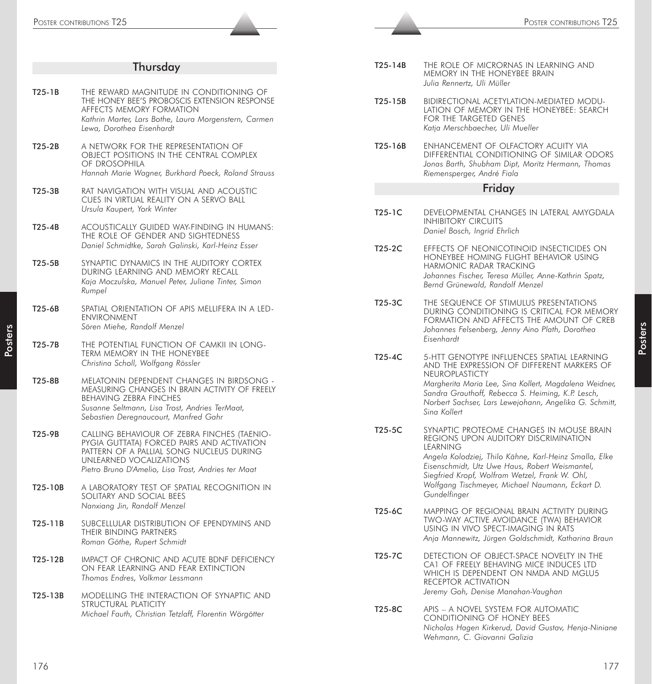| POSTER CONTRIBUTIONS T25 |                                                                                                                                                                                                                         |                     | POSTER CONTRIBUTIONS T25                                                                                                                                                                                 |
|--------------------------|-------------------------------------------------------------------------------------------------------------------------------------------------------------------------------------------------------------------------|---------------------|----------------------------------------------------------------------------------------------------------------------------------------------------------------------------------------------------------|
|                          |                                                                                                                                                                                                                         |                     |                                                                                                                                                                                                          |
|                          | Thursday                                                                                                                                                                                                                | $T25-14B$           | THE ROLE OF MICRORNAS IN LEARNING AND<br>MEMORY IN THE HONEYBEE BRAIN<br>Julia Rennertz, Uli Müller                                                                                                      |
| $T25-1B$                 | THE REWARD MAGNITUDE IN CONDITIONING OF<br>THE HONEY BEE'S PROBOSCIS EXTENSION RESPONSE<br>AFFECTS MEMORY FORMATION<br>Kathrin Marter, Lars Bothe, Laura Morgenstern, Carmen<br>Lewa, Dorothea Eisenhardt               | T25-15B             | BIDIRECTIONAL ACETYLATION-MEDIATED MODU-<br>LATION OF MEMORY IN THE HONEYBEE: SEARCH<br>FOR THE TARGETED GENES<br>Katja Merschbaecher, Uli Mueller                                                       |
| $T25-2B$                 | A NETWORK FOR THE REPRESENTATION OF<br>OBJECT POSITIONS IN THE CENTRAL COMPLEX<br>OF DROSOPHILA<br>Hannah Marie Wagner, Burkhard Poeck, Roland Strauss                                                                  | T25-16B             | ENHANCEMENT OF OLFACTORY ACUITY VIA<br>DIFFERENTIAL CONDITIONING OF SIMILAR ODORS<br>Jonas Barth, Shubham Dipt, Moritz Hermann, Thomas<br>Riemensperger, André Fiala                                     |
| $T25-3B$                 | RAT NAVIGATION WITH VISUAL AND ACOUSTIC<br>CUES IN VIRTUAL REALITY ON A SERVO BALL                                                                                                                                      |                     | Friday                                                                                                                                                                                                   |
| $T25-4B$                 | Ursula Kaupert, York Winter<br>ACOUSTICALLY GUIDED WAY-FINDING IN HUMANS:                                                                                                                                               | $T25-1C$            | DEVELOPMENTAL CHANGES IN LATERAL AMYGDALA<br><b>INHIBITORY CIRCUITS</b>                                                                                                                                  |
|                          | THE ROLE OF GENDER AND SIGHTEDNESS<br>Daniel Schmidtke, Sarah Galinski, Karl-Heinz Esser                                                                                                                                | T25-2C              | Daniel Bosch, Ingrid Ehrlich<br>EFFECTS OF NEONICOTINOID INSECTICIDES ON                                                                                                                                 |
| T25-5B                   | SYNAPTIC DYNAMICS IN THE AUDITORY CORTEX<br>DURING LEARNING AND MEMORY RECALL<br>Kaja Moczulska, Manuel Peter, Juliane Tinter, Simon<br>Rumpel                                                                          |                     | HONEYBEE HOMING FLIGHT BEHAVIOR USING<br>HARMONIC RADAR TRACKING<br>Johannes Fischer, Teresa Müller, Anne-Kathrin Spatz,<br>Bernd Grünewald, Randolf Menzel                                              |
| $T25-6B$                 | SPATIAL ORIENTATION OF APIS MELLIFERA IN A LED-<br><b>ENVIRONMENT</b><br>Sören Miehe, Randolf Menzel                                                                                                                    | T25-3C              | THE SEQUENCE OF STIMULUS PRESENTATIONS<br>DURING CONDITIONING IS CRITICAL FOR MEMORY<br>FORMATION AND AFFECTS THE AMOUNT OF CREB<br>Johannes Felsenberg, Jenny Aino Plath, Dorothea<br>Eisenhardt        |
| T25-7B                   | THE POTENTIAL FUNCTION OF CAMKII IN LONG-<br>TERM MEMORY IN THE HONEYBEE<br>Christina Scholl, Wolfgang Rössler                                                                                                          | $T25-4C$            | 5-HTT GENOTYPE INFLUENCES SPATIAL LEARNING<br>AND THE EXPRESSION OF DIFFERENT MARKERS OF                                                                                                                 |
| T25-8B                   | MELATONIN DEPENDENT CHANGES IN BIRDSONG -<br>MEASURING CHANGES IN BRAIN ACTIVITY OF FREELY<br><b>BEHAVING ZEBRA FINCHES</b><br>Susanne Seltmann, Lisa Trost, Andries TerMaat,<br>Sebastien Deregnaucourt, Manfred Gahr  |                     | NEUROPLASTICTY<br>Margherita Maria Lee, Sina Kollert, Magdalena Weidner,<br>Sandra Grauthoff, Rebecca S. Heiming, K.P. Lesch,<br>Norbert Sachser, Lars Lewejohann, Angelika G. Schmitt,<br>Sina Kollert  |
| T25-9B                   | CALLING BEHAVIOUR OF ZEBRA FINCHES (TAENIO-<br>PYGIA GUTTATA) FORCED PAIRS AND ACTIVATION<br>PATTERN OF A PALLIAL SONG NUCLEUS DURING<br>UNLEARNED VOCALIZATIONS<br>Pietro Bruno D'Amelio, Lisa Trost, Andries ter Maat | T <sub>25</sub> -5C | SYNAPTIC PROTEOME CHANGES IN MOUSE BRAIN<br>REGIONS UPON AUDITORY DISCRIMINATION<br>LEARNING<br>Angela Kolodziej, Thilo Kähne, Karl-Heinz Smalla, Elke<br>Eisenschmidt, Utz Uwe Haus, Robert Weismantel, |
| T25-10B                  | A LABORATORY TEST OF SPATIAL RECOGNITION IN<br>SOLITARY AND SOCIAL BEES<br>Nanxiang Jin, Randolf Menzel                                                                                                                 |                     | Siegfried Kropf, Wolfram Wetzel, Frank W. Ohl,<br>Wolfgang Tischmeyer, Michael Naumann, Eckart D.<br>Gundelfinger                                                                                        |
| T25-11B                  | SUBCELLULAR DISTRIBUTION OF EPENDYMINS AND<br>THEIR BINDING PARTNERS<br>Roman Göthe, Rupert Schmidt                                                                                                                     | T25-6C              | MAPPING OF REGIONAL BRAIN ACTIVITY DURING<br>TWO-WAY ACTIVE AVOIDANCE (TWA) BEHAVIOR<br>USING IN VIVO SPECT-IMAGING IN RATS<br>Anja Mannewitz, Jürgen Goldschmidt, Katharina Braun                       |
| T25-12B                  | IMPACT OF CHRONIC AND ACUTE BDNF DEFICIENCY<br>ON FEAR LEARNING AND FEAR EXTINCTION<br>Thomas Endres, Volkmar Lessmann                                                                                                  | T25-7C              | DETECTION OF OBJECT-SPACE NOVELTY IN THE<br>CA1 OF FREELY BEHAVING MICE INDUCES LTD<br>WHICH IS DEPENDENT ON NMDA AND MGLU5<br>RECEPTOR ACTIVATION                                                       |
| T25-13B                  | MODELLING THE INTERACTION OF SYNAPTIC AND<br>STRUCTURAL PLATICITY                                                                                                                                                       |                     | Jeremy Goh, Denise Manahan-Vaughan                                                                                                                                                                       |
|                          | Michael Fauth, Christian Tetzlaff, Florentin Wörgötter                                                                                                                                                                  | T25-8C              | APIS - A NOVEL SYSTEM FOR AUTOMATIC<br>CONDITIONING OF HONEY BEES<br>Nicholas Hagen Kirkerud, David Gustav, Henja-Niniane<br>Wehmann, C. Giovanni Galizia                                                |
| 176                      |                                                                                                                                                                                                                         |                     | 177                                                                                                                                                                                                      |
|                          |                                                                                                                                                                                                                         |                     |                                                                                                                                                                                                          |

| T25-14B | THE ROLE OF MICRORNAS IN LEARNING AND |
|---------|---------------------------------------|
|         | MEMORY IN THE HONEYBEE BRAIN          |
|         | Julia Rennertz, Uli Müller            |

- T25-15B BIDIRECTIONAL ACETYLATION-MEDIATED MODU-LATION OF MEMORY IN THE HONEYBEE: SEARCH FOR THE TARGETED GENES *Katja Merschbaecher, Uli Mueller*
- T25-16B ENHANCEMENT OF OLFACTORY ACUITY VIA DIFFERENTIAL CONDITIONING OF SIMILAR ODORS *Jonas Barth, Shubham Dipt, Moritz Hermann, Thomas Riemensperger, André Fiala*

#### Friday

- T25-1C DEVELOPMENTAL CHANGES IN LATERAL AMYGDALA INHIBITORY CIRCUITS *Daniel Bosch, Ingrid Ehrlich*
- T25-2C EFFECTS OF NEONICOTINOID INSECTICIDES ON HONEYBEE HOMING FLIGHT BEHAVIOR USING HARMONIC RADAR TRACKING *Johannes Fischer, Teresa Müller, Anne-Kathrin Spatz, Bernd Grünewald, Randolf Menzel*
- T25-3C THE SEQUENCE OF STIMULUS PRESENTATIONS DURING CONDITIONING IS CRITICAL FOR MEMORY FORMATION AND AFFECTS THE AMOUNT OF CREB *Johannes Felsenberg, Jenny Aino Plath, Dorothea Eisenhardt*
- T25-4C 5-HTT GENOTYPE INFLUENCES SPATIAL LEARNING AND THE EXPRESSION OF DIFFERENT MARKERS OF NEUROPLASTICTY *Margherita Maria Lee, Sina Kollert, Magdalena Weidner,*

- T25-6C MAPPING OF REGIONAL BRAIN ACTIVITY DURING TWO-WAY ACTIVE AVOIDANCE (TWA) BEHAVIOR USING IN VIVO SPECT-IMAGING IN RATS *Anja Mannewitz, Jürgen Goldschmidt, Katharina Braun*
- T25-7C DETECTION OF OBJECT-SPACE NOVELTY IN THE CA1 OF FREELY BEHAVING MICE INDUCES LTD WHICH IS DEPENDENT ON NMDA AND MGLU5 RECEPTOR ACTIVATION *Jeremy Goh, Denise Manahan-Vaughan*
- T25-8C APIS A NOVEL SYSTEM FOR AUTOMATIC CONDITIONING OF HONEY BEES *Nicholas Hagen Kirkerud, David Gustav, Henja-Niniane Wehmann, C. Giovanni Galizia*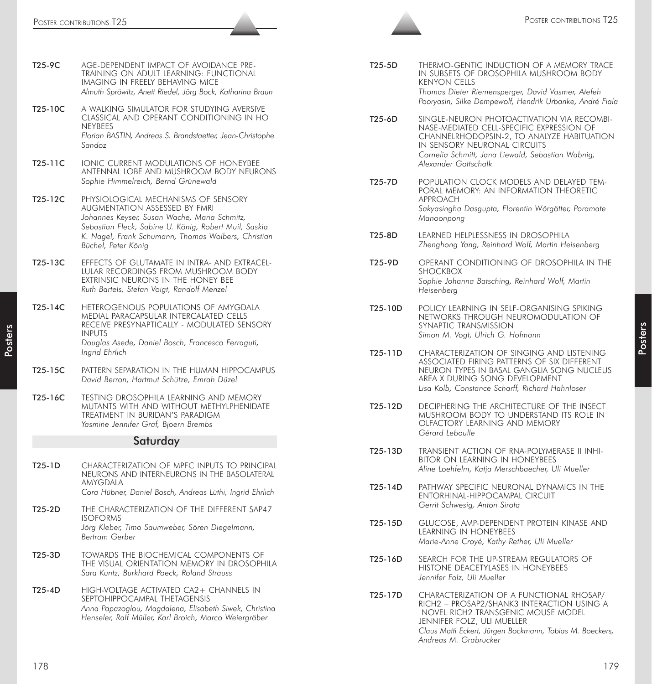*Sandoz*

| 12J-7C  | AVIL-DELENDENT INILAVI VI AVVIDANVIL I NE-<br>TRAINING ON ADULT LEARNING: FUNCTIONAL<br>IMAGING IN FREELY BEHAVING MICE<br>Almuth Spröwitz, Anett Riedel, Jörg Bock, Katharina Braun |
|---------|--------------------------------------------------------------------------------------------------------------------------------------------------------------------------------------|
| T25-10C | A WALKING SIMULATOR FOR STUDYING AVERSIVE<br>CLASSICAL AND OPERANT CONDITIONING IN HO<br><b>NEYBEES</b><br>Florian BASTIN, Andreas S. Brandstaetter, Jean-Christophe                 |

T25-9C AGE-DEPENDENT IMPACT OF AVOIDANCE PRE-

- T25-11C IONIC CURRENT MODULATIONS OF HONEYBEE ANTENNAL LOBE AND MUSHROOM BODY NEURONS *Sophie Himmelreich, Bernd Grünewald*
- T25-12C PHYSIOLOGICAL MECHANISMS OF SENSORY AUGMENTATION ASSESSED BY FMRI *Johannes Keyser, Susan Wache, Maria Schmitz, Sebastian Fleck, Sabine U. König, Robert Muil, Saskia K. Nagel, Frank Schumann, Thomas Wolbers, Christian Büchel, Peter König*
- T25-13C EFFECTS OF GLUTAMATE IN INTRA- AND EXTRACEL-LULAR RECORDINGS FROM MUSHROOM BODY EXTRINSIC NEURONS IN THE HONEY BEE *Ruth Bartels, Stefan Voigt, Randolf Menzel*
- T25-14C HETEROGENOUS POPULATIONS OF AMYGDALA MEDIAL PARACAPSULAR INTERCALATED CELLS RECEIVE PRESYNAPTICALLY - MODULATED SENSORY INPUTS *Douglas Asede, Daniel Bosch, Francesco Ferraguti, Ingrid Ehrlich*
- T25-15C PATTERN SEPARATION IN THE HUMAN HIPPOCAMPUS *David Berron, Hartmut Schütze, Emrah Düzel*
- T25-16C TESTING DROSOPHILA LEARNING AND MEMORY MUTANTS WITH AND WITHOUT METHYLPHENIDATE TREATMENT IN BURIDAN'S PARADIGM *Yasmine Jennifer Graf, Bjoern Brembs*

#### Saturday

- T25-1D CHARACTERIZATION OF MPFC INPUTS TO PRINCIPAL NEURONS AND INTERNEURONS IN THE BASOLATERAL AMYGDALA *Cora Hübner, Daniel Bosch, Andreas Lüthi, Ingrid Ehrlich*
- T25-2D THE CHARACTERIZATION OF THE DIFFERENT SAP47 ISOFORMS *Jörg Kleber, Timo Saumweber, Sören Diegelmann, Bertram Gerber*
- T25-3D TOWARDS THE BIOCHEMICAL COMPONENTS OF THE VISUAL ORIENTATION MEMORY IN DROSOPHILA *Sara Kuntz, Burkhard Poeck, Roland Strauss*
- T25-4D HIGH-VOLTAGE ACTIVATED CA2+ CHANNELS IN SEPTOHIPPOCAMPAL THETAGENSIS *Anna Papazoglou, Magdalena, Elisabeth Siwek, Christina Henseler, Ralf Müller, Karl Broich, Marco Weiergräber*
- T25-5D THERMO-GENTIC INDUCTION OF A MEMORY TRACE IN SUBSETS OF DROSOPHILA MUSHROOM BODY KENYON CELLS *Thomas Dieter Riemensperger, David Vasmer, Atefeh Pooryasin, Silke Dempewolf, Hendrik Urbanke, André Fiala*
- T25-6D SINGLE-NEURON PHOTOACTIVATION VIA RECOMBI-NASE-MEDIATED CELL-SPECIFIC EXPRESSION OF CHANNELRHODOPSIN-2, TO ANALYZE HABITUATION IN SENSORY NEURONAL CIRCUITS *Cornelia Schmitt, Jana Liewald, Sebastian Wabnig, Alexander Gottschalk*
- T25-7D POPULATION CLOCK MODELS AND DELAYED TEM-PORAL MEMORY: AN INFORMATION THEORETIC APPROACH *Sakyasingha Dasgupta, Florentin Wörgötter, Poramate Manoonpong*
- T25-8D LEARNED HELPLESSNESS IN DROSOPHILA *Zhenghong Yang, Reinhard Wolf, Martin Heisenberg*
- T25-9D OPERANT CONDITIONING OF DROSOPHILA IN THE SHOCKBOX *Sophie Johanna Batsching, Reinhard Wolf, Martin Heisenberg*
- T25-10D POLICY LEARNING IN SELF-ORGANISING SPIKING NETWORKS THROUGH NEUROMODULATION OF SYNAPTIC TRANSMISSION *Simon M. Vogt, Ulrich G. Hofmann*
- T25-11D CHARACTERIZATION OF SINGING AND LISTENING ASSOCIATED FIRING PATTERNS OF SIX DIFFERENT NEURON TYPES IN BASAL GANGLIA SONG NUCLEUS AREA X DURING SONG DEVELOPMENT *Lisa Kolb, Constance Scharff, Richard Hahnloser*
- T25-12D DECIPHERING THE ARCHITECTURE OF THE INSECT MUSHROOM BODY TO UNDERSTAND ITS ROLE IN OLFACTORY LEARNING AND MEMORY *Gérard Leboulle*
- T25-13D TRANSIENT ACTION OF RNA-POLYMERASE II INHI-BITOR ON LEARNING IN HONEYBEES *Aline Loehfelm, Katja Merschbaecher, Uli Mueller*
- T25-14D PATHWAY SPECIFIC NEURONAL DYNAMICS IN THE ENTORHINAL-HIPPOCAMPAL CIRCUIT *Gerrit Schwesig, Anton Sirota*
- T25-15D GLUCOSE, AMP-DEPENDENT PROTEIN KINASE AND LEARNING IN HONEYBEES *Marie-Anne Croyé, Kathy Rether, Uli Mueller*
- T25-16D SEARCH FOR THE UP-STREAM REGULATORS OF HISTONE DEACETYLASES IN HONEYBEES *Jennifer Folz, Uli Mueller*
- T25-17D CHARACTERIZATION OF A FUNCTIONAL RHOSAP/ RICH2 – PROSAP2/SHANK3 INTERACTION USING A NOVEL RICH2 TRANSGENIC MOUSE MODEL JENNIFER FOLZ, ULI MUELLER *Claus Matti Eckert, Jürgen Bockmann, Tobias M. Boeckers, Andreas M. Grabrucker*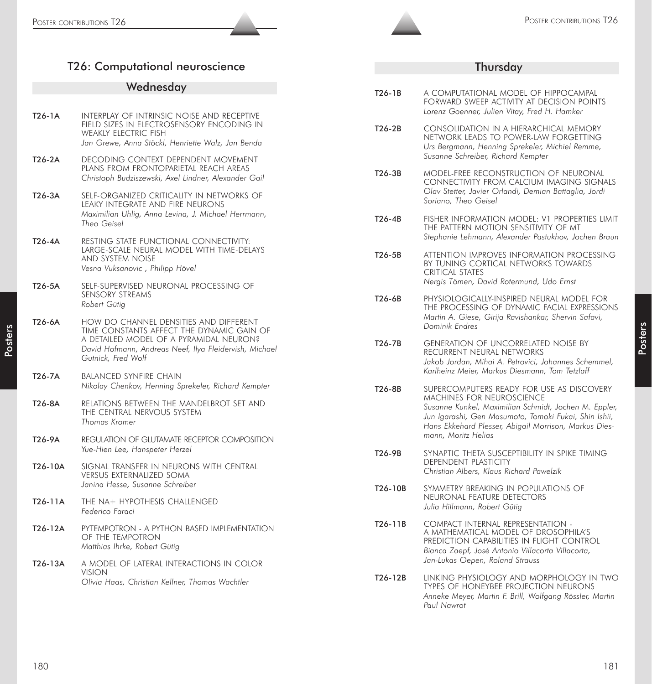# T26: Computational neuroscience

# Wednesday

| T26-1A   | INTERPLAY OF INTRINSIC NOISE AND RECEPTIVE<br>FIELD SIZES IN ELECTROSENSORY ENCODING IN<br><b>WEAKLY ELECTRIC FISH</b><br>Jan Grewe, Anna Stöckl, Henriette Walz, Jan Benda                                    |
|----------|----------------------------------------------------------------------------------------------------------------------------------------------------------------------------------------------------------------|
| T26-2A   | DECODING CONTEXT DEPENDENT MOVEMENT<br>PLANS FROM FRONTOPARIETAL REACH AREAS<br>Christoph Budziszewski, Axel Lindner, Alexander Gail                                                                           |
| T26-3A   | SELF-ORGANIZED CRITICALITY IN NETWORKS OF<br>LEAKY INTEGRATE AND FIRE NEURONS<br>Maximilian Uhlig, Anna Levina, J. Michael Herrmann,<br>Theo Geisel                                                            |
| $T26-4A$ | RESTING STATE FUNCTIONAL CONNECTIVITY:<br>LARGE-SCALE NEURAL MODEL WITH TIME-DELAYS<br><b>AND SYSTEM NOISE</b><br>Vesna Vuksanovic , Philipp Hövel                                                             |
| T26-5A   | SELF-SUPERVISED NEURONAL PROCESSING OF<br>SENSORY STREAMS<br>Robert Gütig                                                                                                                                      |
| T26-6A   | HOW DO CHANNEL DENSITIES AND DIFFERENT<br>TIME CONSTANTS AFFECT THE DYNAMIC GAIN OF<br>A DETAILED MODEL OF A PYRAMIDAL NEURON?<br>David Hofmann, Andreas Neef, Ilya Fleidervish, Michael<br>Gutnick, Fred Wolf |
| T26-7A   | <b>BALANCED SYNFIRE CHAIN</b><br>Nikolay Chenkov, Henning Sprekeler, Richard Kempter                                                                                                                           |
| T26-8A   | RELATIONS BETWEEN THE MANDELBROT SET AND<br>THE CENTRAL NERVOUS SYSTEM<br>Thomas Kromer                                                                                                                        |
| T26-9A   | REGULATION OF GLUTAMATE RECEPTOR COMPOSITION<br>Yue-Hien Lee, Hanspeter Herzel                                                                                                                                 |
| T26-10A  | SIGNAL TRANSFER IN NEURONS WITH CENTRAL<br><b>VERSUS EXTERNALIZED SOMA</b><br>Janina Hesse, Susanne Schreiber                                                                                                  |
| T26-11A  | THE NA+ HYPOTHESIS CHALLENGED<br>Federico Faraci                                                                                                                                                               |
| T26-12A  | PYTEMPOTRON - A PYTHON BASED IMPLEMENTATION<br>OF THE TEMPOTRON<br>Matthias Ihrke, Robert Gütig                                                                                                                |
| T26-13A  | A MODEL OF LATERAL INTERACTIONS IN COLOR<br>VISION<br>Olivia Haas, Christian Kellner, Thomas Wachtler                                                                                                          |

# Thursday

| T26-1B   | A COMPUTATIONAL MODEL OF HIPPOCAMPAL<br>FORWARD SWEEP ACTIVITY AT DECISION POINTS<br>Lorenz Goenner, Julien Vitay, Fred H. Hamker                                                                                                                                               |
|----------|---------------------------------------------------------------------------------------------------------------------------------------------------------------------------------------------------------------------------------------------------------------------------------|
| T26-2B   | CONSOLIDATION IN A HIERARCHICAL MEMORY<br>NETWORK LEADS TO POWER-LAW FORGETTING<br>Urs Bergmann, Henning Sprekeler, Michiel Remme,<br>Susanne Schreiber, Richard Kempter                                                                                                        |
| $T26-3B$ | MODEL-FREE RECONSTRUCTION OF NEURONAL<br>CONNECTIVITY FROM CALCIUM IMAGING SIGNALS<br>Olav Stetter, Javier Orlandi, Demian Battaglia, Jordi<br>Soriano, Theo Geisel                                                                                                             |
| T26-4B   | FISHER INFORMATION MODEL: V1 PROPERTIES LIMIT<br>THE PATTERN MOTION SENSITIVITY OF MT<br>Stephanie Lehmann, Alexander Pastukhov, Jochen Braun                                                                                                                                   |
| T26-5B   | ATTENTION IMPROVES INFORMATION PROCESSING<br>BY TUNING CORTICAL NETWORKS TOWARDS<br><b>CRITICAL STATES</b><br>Nergis Tömen, David Rotermund, Udo Ernst                                                                                                                          |
| T26-6B   | PHYSIOLOGICALLY-INSPIRED NEURAL MODEL FOR<br>THE PROCESSING OF DYNAMIC FACIAL EXPRESSIONS<br>Martin A. Giese, Girija Ravishankar, Shervin Safavi,<br>Dominik Endres                                                                                                             |
| T26-7B   | <b>GENERATION OF UNCORRELATED NOISE BY</b><br>RECURRENT NEURAL NETWORKS<br>Jakob Jordan, Mihai A. Petrovici, Johannes Schemmel,<br>Karlheinz Meier, Markus Diesmann, Tom Tetzlaff                                                                                               |
| T26-8B   | SUPERCOMPUTERS READY FOR USE AS DISCOVERY<br><b>MACHINES FOR NEUROSCIENCE</b><br>Susanne Kunkel, Maximilian Schmidt, Jochen M. Eppler,<br>Jun Igarashi, Gen Masumoto, Tomoki Fukai, Shin Ishii,<br>Hans Ekkehard Plesser, Abigail Morrison, Markus Dies-<br>mann, Moritz Helias |
| T26-9B   | SYNAPTIC THETA SUSCEPTIBILITY IN SPIKE TIMING<br><b>DEPENDENT PLASTICITY</b><br>Christian Albers, Klaus Richard Pawelzik                                                                                                                                                        |
| T26-10B  | SYMMETRY BREAKING IN POPULATIONS OF<br>NEURONAL FEATURE DETECTORS<br>Julia Hillmann, Robert Gütig                                                                                                                                                                               |
| T26-11B  | COMPACT INTERNAL REPRESENTATION -<br>A MATHEMATICAL MODEL OF DROSOPHILA'S<br>PREDICTION CAPABILITIES IN FLIGHT CONTROL<br>Bianca Zaepf, José Antonio Villacorta Villacorta,<br>Jan-Lukas Oepen, Roland Strauss                                                                  |
| T26-12B  | LINKING PHYSIOLOGY AND MORPHOLOGY IN TWO<br>TYPES OF HONEYBEE PROJECTION NEURONS                                                                                                                                                                                                |

*Anneke Meyer, Martin F. Brill, Wolfgang Rössler, Martin*

*Paul Nawrot*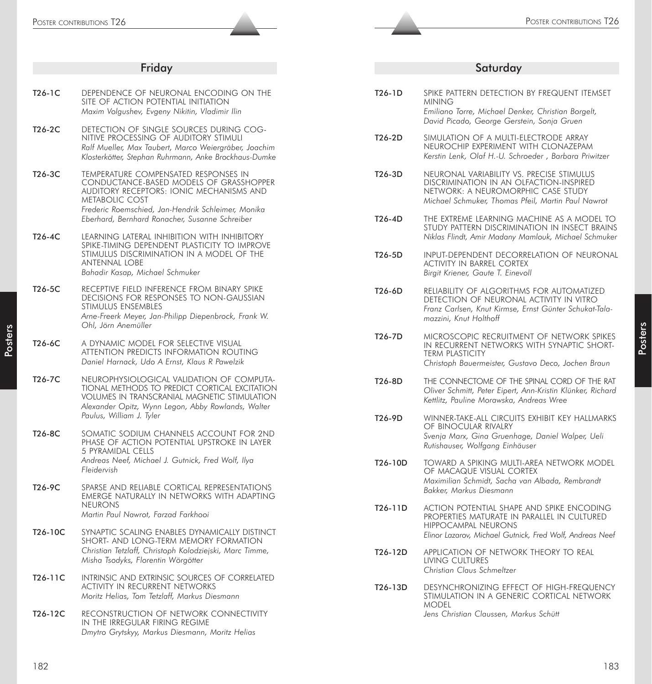| Friday   |                                                                                                                                                                                                     | Saturday |                                                                                                                                                                                  |
|----------|-----------------------------------------------------------------------------------------------------------------------------------------------------------------------------------------------------|----------|----------------------------------------------------------------------------------------------------------------------------------------------------------------------------------|
|          |                                                                                                                                                                                                     |          |                                                                                                                                                                                  |
| $T26-1C$ | DEPENDENCE OF NEURONAL ENCODING ON THE<br>SITE OF ACTION POTENTIAL INITIATION<br>Maxim Volgushev, Evgeny Nikitin, Vladimir Ilin                                                                     | T26-1D   | SPIKE PATTERN DETECTION BY FREQUENT ITEMSET<br><b>MINING</b><br>Emiliano Torre, Michael Denker, Christian Borgelt,                                                               |
| T26-2C   | DETECTION OF SINGLE SOURCES DURING COG-                                                                                                                                                             |          | David Picado, George Gerstein, Sonja Gruen                                                                                                                                       |
|          | NITIVE PROCESSING OF AUDITORY STIMULI<br>Ralf Mueller, Max Taubert, Marco Weiergräber, Joachim<br>Klosterkötter, Stephan Ruhrmann, Anke Brockhaus-Dumke                                             | $T26-2D$ | SIMULATION OF A MULTI-ELECTRODE ARRAY<br>NEUROCHIP EXPERIMENT WITH CLONAZEPAM<br>Kerstin Lenk, Olaf H.-U. Schroeder, Barbara Priwitzer                                           |
| T26-3C   | TEMPERATURE COMPENSATED RESPONSES IN<br>CONDUCTANCE-BASED MODELS OF GRASSHOPPER<br>AUDITORY RECEPTORS: IONIC MECHANISMS AND<br>METABOLIC COST<br>Frederic Roemschied, Jan-Hendrik Schleimer, Monika | T26-3D   | NEURONAL VARIABILITY VS. PRECISE STIMULUS<br>DISCRIMINATION IN AN OLFACTION-INSPIRED<br>NETWORK: A NEUROMORPHIC CASE STUDY<br>Michael Schmuker, Thomas Pfeil, Martin Paul Nawrot |
| T26-4C   | Eberhard, Bernhard Ronacher, Susanne Schreiber<br>LEARNING LATERAL INHIBITION WITH INHIBITORY                                                                                                       | T26-4D   | THE EXTREME LEARNING MACHINE AS A MODEL TO<br>STUDY PATTERN DISCRIMINATION IN INSECT BRAINS<br>Niklas Flindt, Amir Madany Mamlouk, Michael Schmuker                              |
|          | SPIKE-TIMING DEPENDENT PLASTICITY TO IMPROVE<br>STIMULUS DISCRIMINATION IN A MODEL OF THE<br><b>ANTENNAL LOBE</b><br>Bahadir Kasap, Michael Schmuker                                                | T26-5D   | INPUT-DEPENDENT DECORRELATION OF NEURONAL<br><b>ACTIVITY IN BARREL CORTEX</b><br>Birgit Kriener, Gaute T. Einevoll                                                               |
| T26-5C   | RECEPTIVE FIELD INFERENCE FROM BINARY SPIKE<br>DECISIONS FOR RESPONSES TO NON-GAUSSIAN<br>STIMULUS ENSEMBLES<br>Arne-Freerk Meyer, Jan-Philipp Diepenbrock, Frank W.<br>Ohl, Jörn Anemüller         | T26-6D   | RELIABILITY OF ALGORITHMS FOR AUTOMATIZED<br>DETECTION OF NEURONAL ACTIVITY IN VITRO<br>Franz Carlsen, Knut Kirmse, Ernst Günter Schukat-Tala-<br>mazzini, Knut Holthoff         |
| T26-6C   | A DYNAMIC MODEL FOR SELECTIVE VISUAL<br>ATTENTION PREDICTS INFORMATION ROUTING<br>Daniel Harnack, Udo A Ernst, Klaus R Pawelzik                                                                     | T26-7D   | MICROSCOPIC RECRUITMENT OF NETWORK SPIKES<br>IN RECURRENT NETWORKS WITH SYNAPTIC SHORT-<br><b>TERM PLASTICITY</b><br>Christoph Bauermeister, Gustavo Deco, Jochen Braun          |
| T26-7C   | NEUROPHYSIOLOGICAL VALIDATION OF COMPUTA-<br>TIONAL METHODS TO PREDICT CORTICAL EXCITATION<br>VOLUMES IN TRANSCRANIAL MAGNETIC STIMULATION<br>Alexander Opitz, Wynn Legon, Abby Rowlands, Walter    | T26-8D   | THE CONNECTOME OF THE SPINAL CORD OF THE RAT<br>Oliver Schmitt, Peter Eipert, Ann-Kristin Klünker, Richard<br>Kettlitz, Pauline Morawska, Andreas Wree                           |
|          | Paulus, William J. Tyler                                                                                                                                                                            | T26-9D   | WINNER-TAKE-ALL CIRCUITS EXHIBIT KEY HALLMARKS<br>OF BINOCULAR RIVALRY                                                                                                           |
| T26-8C   | SOMATIC SODIUM CHANNELS ACCOUNT FOR 2ND<br>PHASE OF ACTION POTENTIAL UPSTROKE IN LAYER<br>5 PYRAMIDAL CELLS                                                                                         |          | Svenja Marx, Gina Gruenhage, Daniel Walper, Ueli<br>Rutishauser, Wolfgang Einhäuser                                                                                              |
|          | Andreas Neef, Michael J. Gutnick, Fred Wolf, Ilya<br>Fleidervish                                                                                                                                    | T26-10D  | TOWARD A SPIKING MULTI-AREA NETWORK MODEL<br>OF MACAQUE VISUAL CORTEX                                                                                                            |
| T26-9C   | SPARSE AND RELIABLE CORTICAL REPRESENTATIONS<br>EMERGE NATURALLY IN NETWORKS WITH ADAPTING                                                                                                          |          | Maximilian Schmidt, Sacha van Albada, Rembrandt<br>Bakker, Markus Diesmann                                                                                                       |
|          | <b>NEURONS</b><br>Martin Paul Nawrot, Farzad Farkhooi                                                                                                                                               | T26-11D  | ACTION POTENTIAL SHAPE AND SPIKE ENCODING<br>PROPERTIES MATURATE IN PARALLEL IN CULTURED<br><b>HIPPOCAMPAL NEURONS</b>                                                           |
| T26-10C  | SYNAPTIC SCALING ENABLES DYNAMICALLY DISTINCT<br>SHORT- AND LONG-TERM MEMORY FORMATION                                                                                                              |          | Elinor Lazarov, Michael Gutnick, Fred Wolf, Andreas Neef                                                                                                                         |
|          | Christian Tetzlaff, Christoph Kolodziejski, Marc Timme,<br>Misha Tsodyks, Florentin Wörgötter                                                                                                       | T26-12D  | APPLICATION OF NETWORK THEORY TO REAL<br><b>LIVING CULTURES</b><br>Christian Claus Schmeltzer                                                                                    |
| T26-11C  | INTRINSIC AND EXTRINSIC SOURCES OF CORRELATED<br>ACTIVITY IN RECURRENT NETWORKS<br>Moritz Helias, Tom Tetzlaff, Markus Diesmann                                                                     | T26-13D  | DESYNCHRONIZING EFFECT OF HIGH-FREQUENCY<br>STIMULATION IN A GENERIC CORTICAL NETWORK<br><b>MODEL</b>                                                                            |
| T26-12C  | RECONSTRUCTION OF NETWORK CONNECTIVITY<br>IN THE IRREGULAR FIRING REGIME<br>Dmytro Grytskyy, Markus Diesmann, Moritz Helias                                                                         |          | Jens Christian Claussen, Markus Schütt                                                                                                                                           |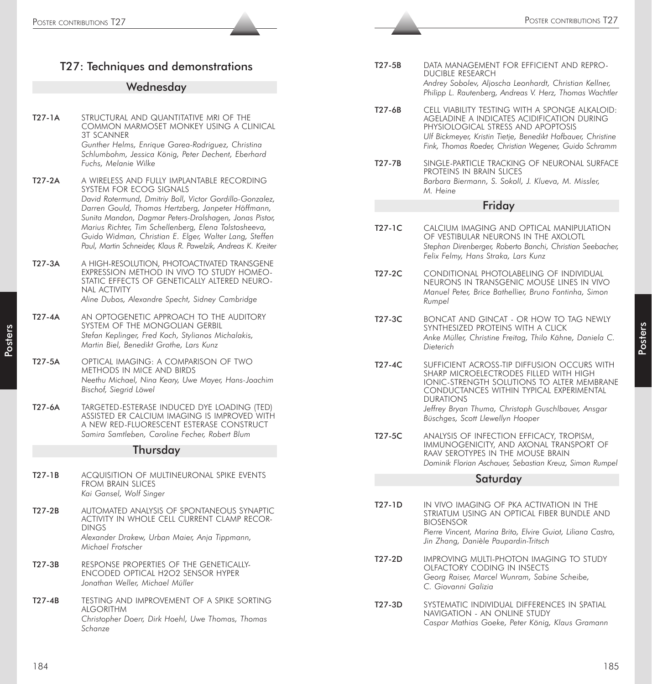|                                                                   | POSTER CONTRIBUTIONS T27                                                                                                                                                                                                                   |                     | POSTER CONTRIBUTIONS T27                                                                                                                                                                                                                                   |
|-------------------------------------------------------------------|--------------------------------------------------------------------------------------------------------------------------------------------------------------------------------------------------------------------------------------------|---------------------|------------------------------------------------------------------------------------------------------------------------------------------------------------------------------------------------------------------------------------------------------------|
|                                                                   |                                                                                                                                                                                                                                            |                     |                                                                                                                                                                                                                                                            |
|                                                                   | T27: Techniques and demonstrations<br>Wednesday                                                                                                                                                                                            | T27-5B              | DATA MANAGEMENT FOR EFFICIENT AND REPRO-<br><b>DUCIBLE RESEARCH</b><br>Andrey Sobolev, Aljoscha Leonhardt, Christian Kellner,<br>Philipp L. Rautenberg, Andreas V. Herz, Thomas Wachtler                                                                   |
| T27-1A                                                            | STRUCTURAL AND QUANTITATIVE MRI OF THE<br>COMMON MARMOSET MONKEY USING A CLINICAL<br><b>3T SCANNER</b><br>Gunther Helms, Enrique Garea-Rodriguez, Christina<br>Schlumbohm, Jessica König, Peter Dechent, Eberhard                          | T27-6B              | CELL VIABILITY TESTING WITH A SPONGE ALKALOID:<br>AGELADINE A INDICATES ACIDIFICATION DURING<br>PHYSIOLOGICAL STRESS AND APOPTOSIS<br>Ulf Bickmeyer, Kristin Tietje, Benedikt Hofbauer, Christine<br>Fink, Thomas Roeder, Christian Wegener, Guido Schramm |
| T27-2A                                                            | Fuchs, Melanie Wilke<br>A WIRELESS AND FULLY IMPLANTABLE RECORDING<br>SYSTEM FOR ECOG SIGNALS<br>David Rotermund, Dmitriy Boll, Victor Gordillo-Gonzalez,                                                                                  | T27-7B              | SINGLE-PARTICLE TRACKING OF NEURONAL SURFACE<br>PROTEINS IN BRAIN SLICES<br>Barbara Biermann, S. Sokoll, J. Klueva, M. Missler,<br>M. Heine                                                                                                                |
|                                                                   | Darren Gould, Thomas Hertzberg, Janpeter Höffmann,                                                                                                                                                                                         |                     | Friday                                                                                                                                                                                                                                                     |
|                                                                   | Sunita Mandon, Dagmar Peters-Drolshagen, Jonas Pistor,<br>Marius Richter, Tim Schellenberg, Elena Tolstosheeva,<br>Guido Widman, Christian E. Elger, Walter Lang, Steffen<br>Paul, Martin Schneider, Klaus R. Pawelzik, Andreas K. Kreiter | $T27-1C$            | CALCIUM IMAGING AND OPTICAL MANIPULATION<br>OF VESTIBULAR NEURONS IN THE AXOLOTL<br>Stephan Direnberger, Roberto Banchi, Christian Seebacher,<br>Felix Felmy, Hans Straka, Lars Kunz                                                                       |
| T27-3A                                                            | A HIGH-RESOLUTION, PHOTOACTIVATED TRANSGENE<br>EXPRESSION METHOD IN VIVO TO STUDY HOMEO-<br>STATIC EFFECTS OF GENETICALLY ALTERED NEURO-<br>NAL ACTIVITY<br>Aline Dubos, Alexandre Specht, Sidney Cambridge                                | T27-2C              | CONDITIONAL PHOTOLABELING OF INDIVIDUAL<br>NEURONS IN TRANSGENIC MOUSE LINES IN VIVO<br>Manuel Peter, Brice Bathellier, Bruno Fontinha, Simon<br>Rumpel                                                                                                    |
| T27-4A                                                            | AN OPTOGENETIC APPROACH TO THE AUDITORY<br>SYSTEM OF THE MONGOLIAN GERBIL<br>Stefan Keplinger, Fred Koch, Stylianos Michalakis,<br>Martin Biel, Benedikt Grothe, Lars Kunz                                                                 | $T27-3C$            | BONCAT AND GINCAT - OR HOW TO TAG NEWLY<br>SYNTHESIZED PROTEINS WITH A CLICK<br>Anke Müller, Christine Freitag, Thilo Kähne, Daniela C.<br>Dieterich                                                                                                       |
| T27-5A                                                            | OPTICAL IMAGING: A COMPARISON OF TWO<br>METHODS IN MICE AND BIRDS<br>Neethu Michael, Nina Keary, Uwe Mayer, Hans-Joachim<br>Bischof, Siegrid Löwel                                                                                         | $T27-4C$            | SUFFICIENT ACROSS-TIP DIFFUSION OCCURS WITH<br>SHARP MICROELECTRODES FILLED WITH HIGH<br>IONIC-STRENGTH SOLUTIONS TO ALTER MEMBRANE<br>CONDUCTANCES WITHIN TYPICAL EXPERIMENTAL<br><b>DURATIONS</b>                                                        |
| T27-6A                                                            | TARGETED-ESTERASE INDUCED DYE LOADING (TED)<br>ASSISTED ER CALCIUM IMAGING IS IMPROVED WITH<br>A NEW RED-FLUORESCENT ESTERASE CONSTRUCT                                                                                                    |                     | Jeffrey Bryan Thuma, Christoph Guschlbauer, Ansgar<br>Büschges, Scott Llewellyn Hooper                                                                                                                                                                     |
| Samira Samtleben, Caroline Fecher, Robert Blum<br><b>Thursday</b> |                                                                                                                                                                                                                                            | T27-5C              | ANALYSIS OF INFECTION EFFICACY, TROPISM,<br>IMMUNOGENICITY, AND AXONAL TRANSPORT OF<br>RAAV SEROTYPES IN THE MOUSE BRAIN<br>Dominik Florian Aschauer, Sebastian Kreuz, Simon Rumpel                                                                        |
| $T27-1B$                                                          | ACQUISITION OF MULTINEURONAL SPIKE EVENTS<br><b>FROM BRAIN SLICES</b>                                                                                                                                                                      |                     | Saturday                                                                                                                                                                                                                                                   |
| T27-2B                                                            | Kai Gansel, Wolf Singer<br>AUTOMATED ANALYSIS OF SPONTANEOUS SYNAPTIC<br>ACTIVITY IN WHOLE CELL CURRENT CLAMP RECOR-<br><b>DINGS</b><br>Alexander Drakew, Urban Maier, Anja Tippmann,<br>Michael Frotscher                                 | T <sub>27</sub> -1D | IN VIVO IMAGING OF PKA ACTIVATION IN THE<br>STRIATUM USING AN OPTICAL FIBER BUNDLE AND<br><b>BIOSENSOR</b><br>Pierre Vincent, Marina Brito, Elvire Guiot, Liliana Castro,<br>Jin Zhang, Danièle Paupardin-Tritsch                                          |
| T27-3B                                                            | RESPONSE PROPERTIES OF THE GENETICALLY-<br>ENCODED OPTICAL H2O2 SENSOR HYPER<br>Jonathan Weller, Michael Müller                                                                                                                            | T27-2D              | IMPROVING MULTI-PHOTON IMAGING TO STUDY<br>OLFACTORY CODING IN INSECTS<br>Georg Raiser, Marcel Wunram, Sabine Scheibe,<br>C. Giovanni Galizia                                                                                                              |
| $T27-4B$                                                          | TESTING AND IMPROVEMENT OF A SPIKE SORTING<br><b>ALGORITHM</b><br>Christopher Doerr, Dirk Hoehl, Uwe Thomas, Thomas<br>Schanze                                                                                                             | T27-3D              | SYSTEMATIC INDIVIDUAL DIFFERENCES IN SPATIAL<br>NAVIGATION - AN ONLINE STUDY<br>Caspar Mathias Goeke, Peter König, Klaus Gramann                                                                                                                           |
| 184                                                               |                                                                                                                                                                                                                                            |                     | 185                                                                                                                                                                                                                                                        |

Posters